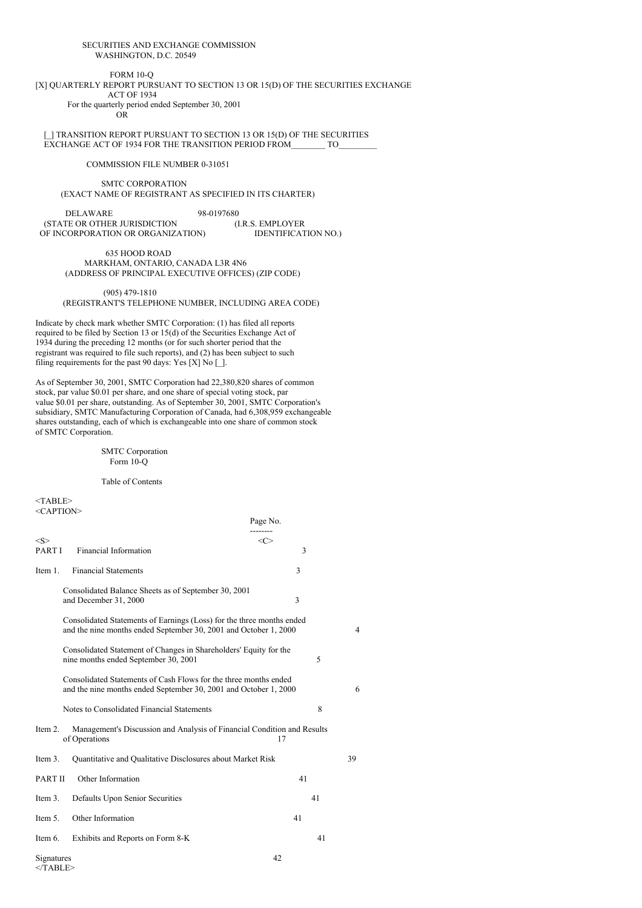#### SECURITIES AND EXCHANGE COMMISSION WASHINGTON, D.C. 20549

### FORM 10-Q

#### [X] QUARTERLY REPORT PURSUANT TO SECTION 13 OR 15(D) OF THE SECURITIES EXCHANGE ACT OF 1934 For the quarterly period ended September 30, 2001

OR

[\_] TRANSITION REPORT PURSUANT TO SECTION 13 OR 15(D) OF THE SECURITIES EXCHANGE ACT OF 1934 FOR THE TRANSITION PERIOD FROM TO

COMMISSION FILE NUMBER 0-31051

#### SMTC CORPORATION (EXACT NAME OF REGISTRANT AS SPECIFIED IN ITS CHARTER)

DELAWARE 98-0197680<br>TE OR OTHER JURISDICTION (I.R.S. EMPLOYER (STATE OR OTHER JURISDICTION (I.R.S. EMPLOYER IDENTIFICATION NO.) OF INCORPORATION OR ORGANIZATION)

635 HOOD ROAD MARKHAM, ONTARIO, CANADA L3R 4N6 (ADDRESS OF PRINCIPAL EXECUTIVE OFFICES) (ZIP CODE)

(905) 479-1810

(REGISTRANT'S TELEPHONE NUMBER, INCLUDING AREA CODE)

Indicate by check mark whether SMTC Corporation: (1) has filed all reports required to be filed by Section 13 or 15(d) of the Securities Exchange Act of 1934 during the preceding 12 months (or for such shorter period that the registrant was required to file such reports), and (2) has been subject to such filing requirements for the past 90 days: Yes [X] No [ $\,$ ].

As of September 30, 2001, SMTC Corporation had 22,380,820 shares of common stock, par value \$0.01 per share, and one share of special voting stock, par value \$0.01 per share, outstanding. As of September 30, 2001, SMTC Corporation's subsidiary, SMTC Manufacturing Corporation of Canada, had 6,308,959 exchangeable shares outstanding, each of which is exchangeable into one share of common stock of SMTC Corporation.

### SMTC Corporation Form 10-Q

Table of Contents

 $<$ TABLE $>$ <CAPTION>

|                         |                                                                                                                                           | Page No.           |                |
|-------------------------|-------------------------------------------------------------------------------------------------------------------------------------------|--------------------|----------------|
| $<\!\!S\!\!>$<br>PART I | <b>Financial Information</b>                                                                                                              | $<\!\!C\!\!>$<br>3 |                |
| Item 1.                 | <b>Financial Statements</b>                                                                                                               | 3                  |                |
|                         | Consolidated Balance Sheets as of September 30, 2001<br>and December 31, 2000                                                             | 3                  |                |
|                         | Consolidated Statements of Earnings (Loss) for the three months ended<br>and the nine months ended September 30, 2001 and October 1, 2000 |                    | $\overline{4}$ |
|                         | Consolidated Statement of Changes in Shareholders' Equity for the<br>nine months ended September 30, 2001                                 | 5                  |                |
|                         | Consolidated Statements of Cash Flows for the three months ended<br>and the nine months ended September 30, 2001 and October 1, 2000      |                    | 6              |
|                         | Notes to Consolidated Financial Statements                                                                                                | 8                  |                |
| Item 2.                 | Management's Discussion and Analysis of Financial Condition and Results<br>of Operations                                                  | 17                 |                |
| Item 3.                 | Quantitative and Qualitative Disclosures about Market Risk                                                                                |                    | 39             |
| PART II                 | Other Information                                                                                                                         | 41                 |                |
| Item 3.                 | Defaults Upon Senior Securities                                                                                                           | 41                 |                |
| Item 5.                 | Other Information                                                                                                                         | 41                 |                |
| Item 6.                 | Exhibits and Reports on Form 8-K                                                                                                          | 41                 |                |
| Signatures              |                                                                                                                                           | 42                 |                |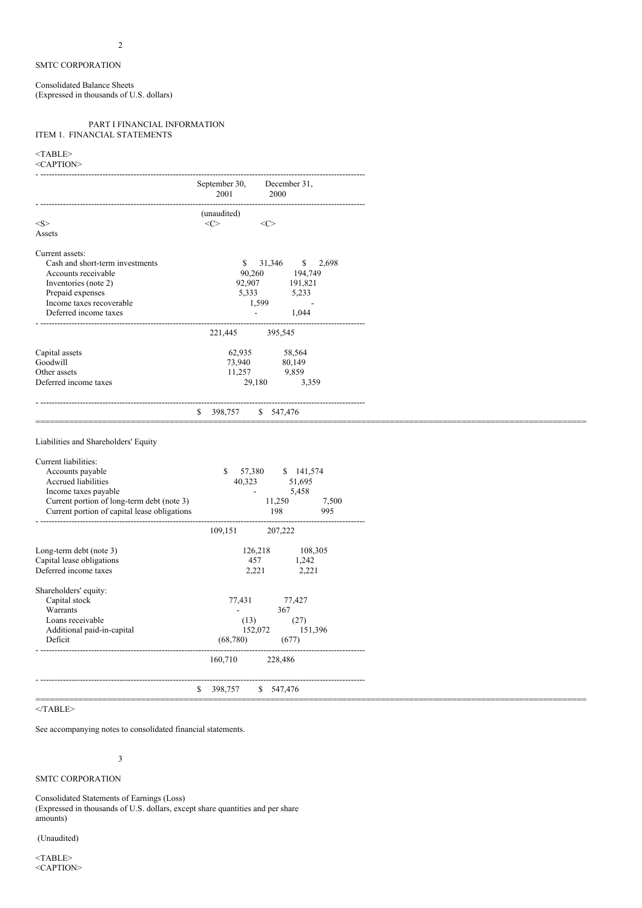Consolidated Balance Sheets (Expressed in thousands of U.S. dollars)

### PART I FINANCIAL INFORMATION ITEM 1. FINANCIAL STATEMENTS

#### $<$ TABLE> <CAPTION>

| -UNI IIUIV                           |                                               |
|--------------------------------------|-----------------------------------------------|
|                                      | September 30,<br>December 31,<br>2001<br>2000 |
|                                      | (unaudited)                                   |
| <s></s>                              | $<\infty$<br>$<\infty$                        |
| Assets                               |                                               |
| Current assets:                      |                                               |
| Cash and short-term investments      | 31,346<br>\$ 2,698<br>S.                      |
| Accounts receivable                  | 90,260<br>194,749                             |
| Inventories (note 2)                 | 92,907<br>191,821                             |
| Prepaid expenses                     | 5,333<br>5,233                                |
| Income taxes recoverable             | 1.599                                         |
| Deferred income taxes                | 1,044<br>$\overline{\phantom{a}}$             |
|                                      | 221,445<br>395,545                            |
| Capital assets                       | 62,935<br>58,564                              |
| Goodwill                             | 73,940<br>80,149                              |
| Other assets                         | 11,257<br>9,859                               |
| Deferred income taxes                | 29,180<br>3,359                               |
|                                      | 398,757<br>\$547,476<br>\$                    |
|                                      |                                               |
| Liabilities and Shareholders' Equity |                                               |
| Current liabilities:                 |                                               |
| Accounts payable                     | 57,380<br>\$ 141,574<br>S                     |

|           |         |                                                                       | 7,500                                                                                   |
|-----------|---------|-----------------------------------------------------------------------|-----------------------------------------------------------------------------------------|
|           |         |                                                                       | 995                                                                                     |
|           |         |                                                                       |                                                                                         |
| 109,151   | 207,222 |                                                                       |                                                                                         |
|           |         |                                                                       |                                                                                         |
|           |         |                                                                       |                                                                                         |
|           |         | 2,221                                                                 |                                                                                         |
|           |         |                                                                       |                                                                                         |
|           |         |                                                                       |                                                                                         |
| 77,431    |         |                                                                       |                                                                                         |
|           | 367     |                                                                       |                                                                                         |
|           |         |                                                                       |                                                                                         |
|           |         |                                                                       |                                                                                         |
| (68, 780) |         |                                                                       |                                                                                         |
|           |         |                                                                       |                                                                                         |
| 160,710   | 228,486 |                                                                       |                                                                                         |
|           |         |                                                                       |                                                                                         |
|           |         |                                                                       |                                                                                         |
|           |         |                                                                       |                                                                                         |
| \$        | 398,757 | 40,323<br>11,250<br>198<br>126,218<br>457<br>2,221<br>(13)<br>152,072 | 51,695<br>5,458<br>108,305<br>1,242<br>77,427<br>(27)<br>151,396<br>(677)<br>\$ 547,476 |

 $<$ /TABLE>

See accompanying notes to consolidated financial statements.

# 3

# SMTC CORPORATION

Consolidated Statements of Earnings (Loss) (Expressed in thousands of U.S. dollars, except share quantities and per share amounts)

(Unaudited)

 $<$ TABLE> <CAPTION>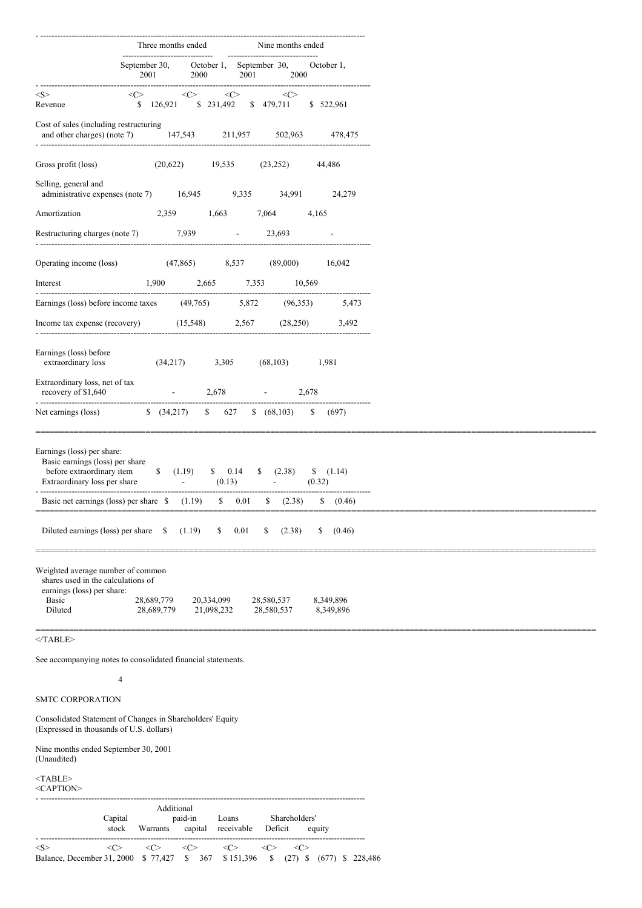|                                                                                                                                                                                                                                                                                                                                                              | Three months ended                                         |                                                  |                                                                       | Nine months ended   |                        |
|--------------------------------------------------------------------------------------------------------------------------------------------------------------------------------------------------------------------------------------------------------------------------------------------------------------------------------------------------------------|------------------------------------------------------------|--------------------------------------------------|-----------------------------------------------------------------------|---------------------|------------------------|
|                                                                                                                                                                                                                                                                                                                                                              | ---------------------------------<br>September 30,<br>2001 | 2000                                             | ---------------------------------<br>October 1, September 30,<br>2001 | 2000                | October 1,             |
| $<\!\!S\!\!>$<br>Revenue                                                                                                                                                                                                                                                                                                                                     | $<\infty$                                                  | $\langle$ C><br>\$ 126,921 \$ 231,492 \$ 479,711 | $\langle C \rangle$                                                   | $\langle C \rangle$ | \$ 522,961             |
| Cost of sales (including restructuring<br>and other charges) (note 7) 147,543 211,957 502,963                                                                                                                                                                                                                                                                |                                                            |                                                  |                                                                       |                     | 478,475                |
| Gross profit (loss)                                                                                                                                                                                                                                                                                                                                          | (20,622)                                                   | 19,535                                           | (23, 252)                                                             |                     | 44,486                 |
| Selling, general and<br>administrative expenses (note 7) 16,945 9,335                                                                                                                                                                                                                                                                                        |                                                            |                                                  |                                                                       | 34,991              | 24,279                 |
| Amortization                                                                                                                                                                                                                                                                                                                                                 | 2,359                                                      | 1,663                                            | 7,064                                                                 | 4,165               |                        |
| Restructuring charges (note 7)                                                                                                                                                                                                                                                                                                                               |                                                            | 7,939                                            | 23,693<br>$\Delta \sim 10^{11}$ m $^{-1}$                             |                     |                        |
| Operating income (loss)                                                                                                                                                                                                                                                                                                                                      | (47, 865)                                                  | 8,537                                            | (89,000)                                                              |                     | 16,042                 |
| Interest                                                                                                                                                                                                                                                                                                                                                     | 1,900                                                      | 2,665                                            | 7,353                                                                 | 10,569              |                        |
| Earnings (loss) before income taxes (49,765) 5,872                                                                                                                                                                                                                                                                                                           |                                                            |                                                  |                                                                       | (96,353)            | 5,473                  |
| Income tax expense (recovery)                                                                                                                                                                                                                                                                                                                                |                                                            | (15, 548)                                        | 2,567                                                                 | (28, 250)           | 3,492                  |
| Earnings (loss) before<br>extraordinary loss                                                                                                                                                                                                                                                                                                                 | (34,217)                                                   | 3,305                                            | (68, 103)                                                             | 1,981               |                        |
| Extraordinary loss, net of tax<br>recovery of \$1,640<br>------------------------------------                                                                                                                                                                                                                                                                |                                                            | 2,678                                            |                                                                       | 2,678               |                        |
| Net earnings (loss)                                                                                                                                                                                                                                                                                                                                          | $\frac{1}{2}$ (34,217)                                     | \$ 627                                           | \$ (68,103)                                                           | \$                  | (697)                  |
| Earnings (loss) per share:<br>Basic earnings (loss) per share<br>before extraordinary item<br>Extraordinary loss per share<br>and the contract of the contract of the contract of the contract of the contract of the contract of the contract of the contract of the contract of the contract of the contract of the contract of the contract of the contra | (1.19)                                                     | \$ 0.14<br>(0.13)<br>$\sim 100$                  | \$<br>(2.38)                                                          | (0.32)              | $\{(1.14)$             |
| Basic net earnings (loss) per share $\quad$ (1.19)                                                                                                                                                                                                                                                                                                           |                                                            |                                                  | $\$\ 0.01$<br>(2.38)                                                  |                     | (0.46)                 |
| Diluted earnings (loss) per share \$                                                                                                                                                                                                                                                                                                                         |                                                            | (1.19)<br>\$                                     | 0.01<br>S                                                             | (2.38)<br>S         | (0.46)                 |
| Weighted average number of common<br>shares used in the calculations of<br>earnings (loss) per share:<br><b>Basic</b><br>Diluted<br>$<$ TABLE>                                                                                                                                                                                                               | 28,689,779<br>28,689,779                                   | 20,334,099<br>21,098,232                         | 28,580,537<br>28,580,537                                              |                     | 8,349,896<br>8,349,896 |
|                                                                                                                                                                                                                                                                                                                                                              |                                                            |                                                  |                                                                       |                     |                        |
| See accompanying notes to consolidated financial statements.                                                                                                                                                                                                                                                                                                 | 4                                                          |                                                  |                                                                       |                     |                        |

SMTC CORPORATION

Consolidated Statement of Changes in Shareholders' Equity (Expressed in thousands of U.S. dollars)

Nine months ended September 30, 2001 (Unaudited)

 $<$ TABLE>

<CAPTION> - ------------------------------------------------------------------------------------------------------------------- Additional Capital paid-in Loans Shareholders' stock Warrants capital receivable Deficit equity - -------------------------------------------------------------------------------------------------------------------  $\langle \mathbb{S} \rangle$   $\langle \mathbb{C} \rangle$   $\langle \mathbb{C} \rangle$   $\langle \mathbb{C} \rangle$   $\langle \mathbb{C} \rangle$   $\langle \mathbb{C} \rangle$   $\langle \mathbb{C} \rangle$   $\langle \mathbb{C} \rangle$ Balance, December 31, 2000 \$ 77,427 \$ 367 \$ 151,396 \$ (27) \$ (677) \$ 228,486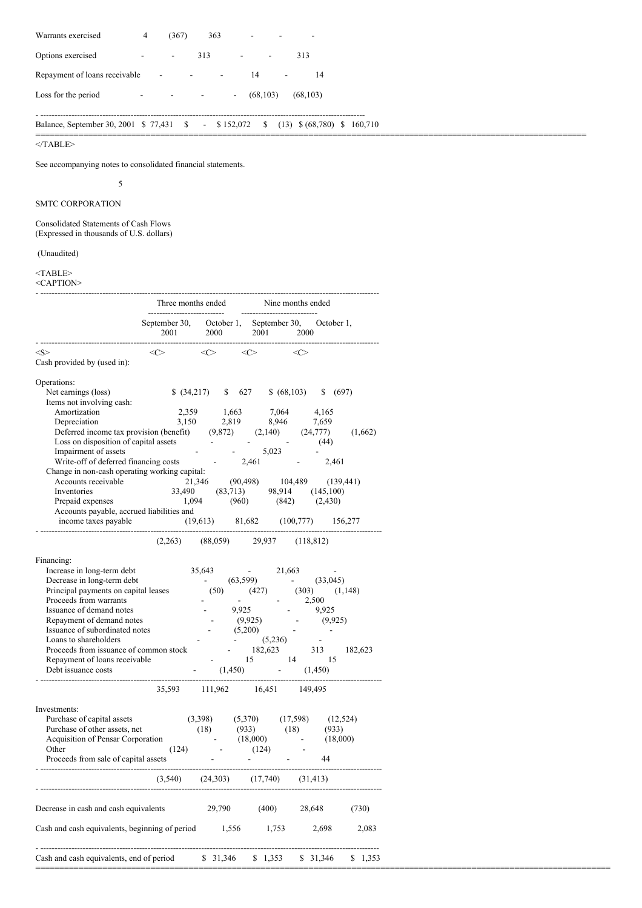| Warrants exercised            | 4                        | (367)                    | 363 |                          |           |           |    |
|-------------------------------|--------------------------|--------------------------|-----|--------------------------|-----------|-----------|----|
| Options exercised             | $\overline{\phantom{a}}$ | $\overline{\phantom{a}}$ | 313 |                          |           | 313       |    |
| Repayment of loans receivable |                          | ۰                        |     |                          | 14        |           | 14 |
| Loss for the period           | -                        | -                        |     | $\overline{\phantom{a}}$ | (68, 103) | (68, 103) |    |

# Balance, September 30, 2001 \$ 77,431 \$ - \$ 152,072 \$ (13) \$ (68,780) \$ 160,710

===================================================================================================================

- -------------------------------------------------------------------------------------------------------------------

 $<$  /TABLE>  $\,$ 

See accompanying notes to consolidated financial statements.

5

# SMTC CORPORATION

Consolidated Statements of Cash Flows (Expressed in thousands of U.S. dollars)

# (Unaudited)

#### <TABLE>

<CAPTION>

|                                                               | Three months ended<br>---------------------------- |                                       | -------------------------- | Nine months ended        |                          |
|---------------------------------------------------------------|----------------------------------------------------|---------------------------------------|----------------------------|--------------------------|--------------------------|
|                                                               | September 30,<br>2001                              | October 1,<br>2000                    | September 30,<br>2001      | 2000                     | October 1,               |
| $<\!\!S\!\!>$<br>Cash provided by (used in):                  | $<\infty$                                          | $<\infty$                             | $<\infty$                  | $<\infty$                |                          |
|                                                               |                                                    |                                       |                            |                          |                          |
| Operations:                                                   |                                                    |                                       |                            |                          |                          |
| Net earnings (loss)                                           | \$ (34,217)                                        | \$                                    | 627<br>\$ (68,103)         |                          | \$ (697)                 |
| Items not involving cash:                                     |                                                    |                                       |                            |                          |                          |
| Amortization                                                  | 2,359                                              | 1,663                                 | 7,064                      | 4,165                    |                          |
| Depreciation                                                  | 3,150                                              | 2,819                                 | 8,946                      | 7,659                    |                          |
| Deferred income tax provision (benefit)                       |                                                    | (9,872)                               | (2,140)                    | (24, 777)                | (1,662)                  |
| Loss on disposition of capital assets<br>Impairment of assets |                                                    |                                       | 5,023                      | (44)                     |                          |
| Write-off of deferred financing costs                         |                                                    | $\overline{\phantom{a}}$              | 2,461                      |                          | 2,461                    |
| Change in non-cash operating working capital:                 |                                                    |                                       |                            |                          |                          |
| Accounts receivable                                           | 21,346                                             |                                       | (90, 498)                  | 104,489                  | (139, 441)               |
| Inventories                                                   | 33,490                                             | (83,713)                              | 98,914                     | (145,100)                |                          |
| Prepaid expenses                                              | 1,094                                              | (960)                                 | (842)                      |                          | (2,430)                  |
| Accounts payable, accrued liabilities and                     |                                                    |                                       |                            |                          |                          |
| income taxes payable                                          |                                                    | (19,613)                              | 81,682                     | (100,777)                | 156,277                  |
|                                                               | (2,263)                                            | (88,059)                              | 29,937                     | (118, 812)               |                          |
| Financing:                                                    |                                                    |                                       |                            |                          |                          |
| Increase in long-term debt                                    |                                                    | 35,643                                | 21,663                     |                          | $\overline{\phantom{a}}$ |
| Decrease in long-term debt                                    |                                                    | (63, 599)<br>$\overline{\phantom{a}}$ |                            |                          | (33,045)                 |
| Principal payments on capital leases                          |                                                    | (50)                                  | (427)                      | (303)                    | (1,148)                  |
| Proceeds from warrants                                        |                                                    |                                       |                            | 2,500                    |                          |
| Issuance of demand notes                                      |                                                    | 9,925                                 |                            | 9,925                    |                          |
| Repayment of demand notes                                     |                                                    |                                       | (9,925)                    |                          | (9, 925)                 |
| Issuance of subordinated notes                                |                                                    |                                       | (5,200)                    |                          | $\overline{\phantom{a}}$ |
| Loans to shareholders                                         |                                                    |                                       | (5,236)                    | $\overline{\phantom{a}}$ |                          |
| Proceeds from issuance of common stock                        |                                                    |                                       | 182,623                    | 313                      | 182,623                  |
| Repayment of loans receivable                                 |                                                    |                                       | 15                         | 14                       | 15                       |
| Debt issuance costs                                           |                                                    | (1, 450)                              |                            | (1, 450)                 |                          |
|                                                               | 35,593                                             | 111,962                               | 16,451                     | 149,495                  |                          |
| Investments:                                                  |                                                    |                                       |                            |                          |                          |
| Purchase of capital assets                                    |                                                    | (3,398)                               | (5,370)                    | (17, 598)                | (12, 524)                |
| Purchase of other assets, net                                 |                                                    | (18)                                  | (933)                      | (18)                     | (933)                    |
| Acquisition of Pensar Corporation                             |                                                    |                                       | (18,000)                   |                          | (18,000)                 |
| Other                                                         | (124)                                              |                                       | (124)                      |                          |                          |
| Proceeds from sale of capital assets                          |                                                    |                                       |                            | 44                       |                          |
|                                                               | (3, 540)                                           | (24, 303)                             | (17,740)                   | (31, 413)                |                          |
| Decrease in cash and cash equivalents                         |                                                    | 29,790                                | (400)                      | 28,648                   | (730)                    |
| Cash and cash equivalents, beginning of period                |                                                    | 1,556                                 | 1,753                      | 2,698                    | 2,083                    |
| Cash and cash equivalents, end of period                      |                                                    | \$31,346                              | \$1,353                    | \$31,346                 | \$1,353                  |
|                                                               |                                                    |                                       |                            |                          |                          |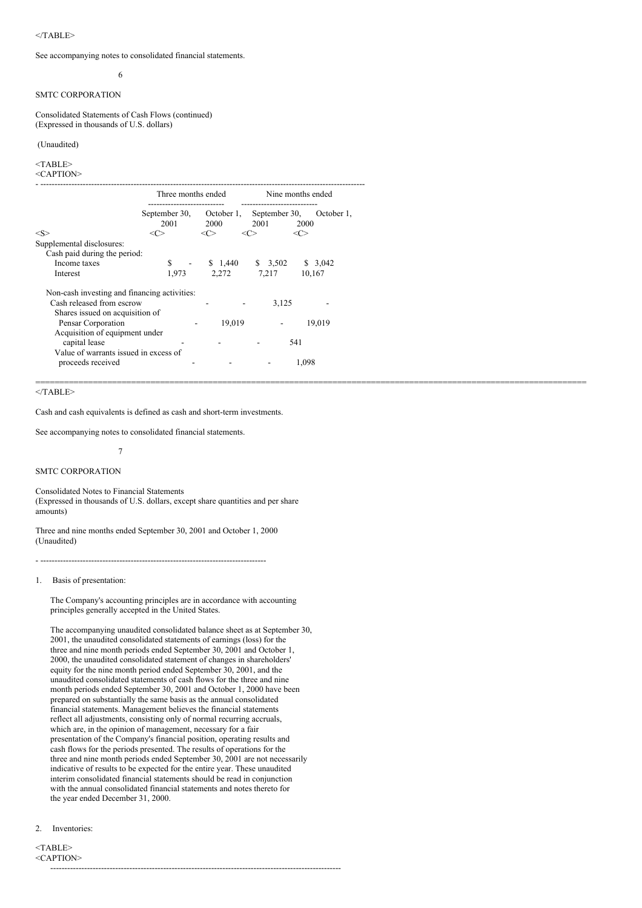#### $\langle$ TABLE>

See accompanying notes to consolidated financial statements.

# 6

# SMTC CORPORATION

Consolidated Statements of Cash Flows (continued) (Expressed in thousands of U.S. dollars)

# (Unaudited)

# <TABLE>

<CAPTION>

|                                              | Three months ended |                 | Nine months ended |                 |
|----------------------------------------------|--------------------|-----------------|-------------------|-----------------|
|                                              | September 30,      | October 1.      | September 30,     | October 1,      |
| $<\!\!S\!\!>$                                | 2001<br><c></c>    | 2000<br><c></c> | 2001<br><c></c>   | 2000<br><c></c> |
| Supplemental disclosures:                    |                    |                 |                   |                 |
| Cash paid during the period:                 |                    |                 |                   |                 |
| Income taxes                                 | S                  | \$1,440         | \$3,502           | \$3,042         |
| Interest                                     | 1,973              | 2,272           | 7,217             | 10,167          |
| Non-cash investing and financing activities: |                    |                 |                   |                 |
| Cash released from escrow                    |                    |                 | 3,125             |                 |
| Shares issued on acquisition of              |                    |                 |                   |                 |
| Pensar Corporation                           |                    | 19,019          |                   | 19,019          |
| Acquisition of equipment under               |                    |                 |                   |                 |
| capital lease                                |                    |                 | 541               |                 |
| Value of warrants issued in excess of        |                    |                 |                   |                 |
| proceeds received                            |                    |                 |                   | 1.098           |

===================================================================================================================

#### $<$ /TABLE>

Cash and cash equivalents is defined as cash and short-term investments.

See accompanying notes to consolidated financial statements.

7

#### SMTC CORPORATION

Consolidated Notes to Financial Statements (Expressed in thousands of U.S. dollars, except share quantities and per share amounts)

Three and nine months ended September 30, 2001 and October 1, 2000 (Unaudited)

- --------------------------------------------------------------------------------

### 1. Basis of presentation:

The Company's accounting principles are in accordance with accounting principles generally accepted in the United States.

The accompanying unaudited consolidated balance sheet as at September 30, 2001, the unaudited consolidated statements of earnings (loss) for the three and nine month periods ended September 30, 2001 and October 1, 2000, the unaudited consolidated statement of changes in shareholders' equity for the nine month period ended September 30, 2001, and the unaudited consolidated statements of cash flows for the three and nine month periods ended September 30, 2001 and October 1, 2000 have been prepared on substantially the same basis as the annual consolidated financial statements. Management believes the financial statements reflect all adjustments, consisting only of normal recurring accruals, which are, in the opinion of management, necessary for a fair presentation of the Company's financial position, operating results and cash flows for the periods presented. The results of operations for the three and nine month periods ended September 30, 2001 are not necessarily indicative of results to be expected for the entire year. These unaudited interim consolidated financial statements should be read in conjunction with the annual consolidated financial statements and notes thereto for the year ended December 31, 2000.

#### 2. Inventories:

<TABLE> <CAPTION> -------------------------------------------------------------------------------------------------------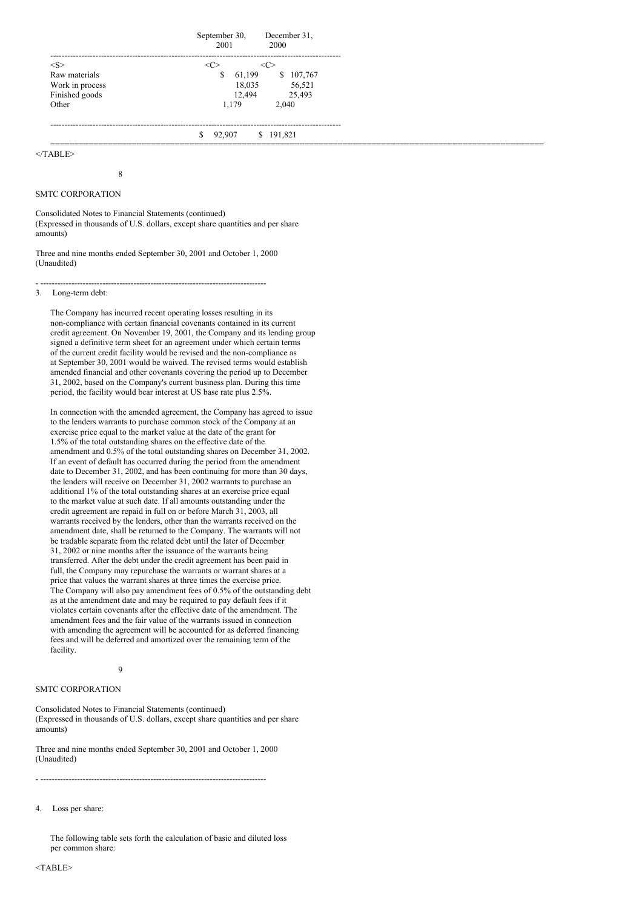|                 | September 30, December 31,<br>2001<br>2000 |
|-----------------|--------------------------------------------|
|                 | -------------------------------            |
| Raw materials   | 61.199<br>107,767<br>\$<br>Y.              |
| Work in process | 56,521<br>18.035                           |
| Finished goods  | 12.494<br>25,493                           |
| Other           | 1.179<br>2.040                             |
|                 | \$191,821<br>S<br>92.907                   |
|                 |                                            |

 $<$ /TABLE>

8

### SMTC CORPORATION

Consolidated Notes to Financial Statements (continued) (Expressed in thousands of U.S. dollars, except share quantities and per share amounts)

Three and nine months ended September 30, 2001 and October 1, 2000 (Unaudited)

#### - -------------------------------------------------------------------------------- 3. Long-term debt:

The Company has incurred recent operating losses resulting in its non-compliance with certain financial covenants contained in its current credit agreement. On November 19, 2001, the Company and its lending group signed a definitive term sheet for an agreement under which certain terms of the current credit facility would be revised and the non-compliance as at September 30, 2001 would be waived. The revised terms would establish amended financial and other covenants covering the period up to December 31, 2002, based on the Company's current business plan. During this time period, the facility would bear interest at US base rate plus 2.5%.

In connection with the amended agreement, the Company has agreed to issue to the lenders warrants to purchase common stock of the Company at an exercise price equal to the market value at the date of the grant for 1.5% of the total outstanding shares on the effective date of the amendment and 0.5% of the total outstanding shares on December 31, 2002. If an event of default has occurred during the period from the amendment date to December 31, 2002, and has been continuing for more than 30 days, the lenders will receive on December 31, 2002 warrants to purchase an additional 1% of the total outstanding shares at an exercise price equal to the market value at such date. If all amounts outstanding under the credit agreement are repaid in full on or before March 31, 2003, all warrants received by the lenders, other than the warrants received on the amendment date, shall be returned to the Company. The warrants will not be tradable separate from the related debt until the later of December 31, 2002 or nine months after the issuance of the warrants being transferred. After the debt under the credit agreement has been paid in full, the Company may repurchase the warrants or warrant shares at a price that values the warrant shares at three times the exercise price. The Company will also pay amendment fees of 0.5% of the outstanding debt as at the amendment date and may be required to pay default fees if it violates certain covenants after the effective date of the amendment. The amendment fees and the fair value of the warrants issued in connection with amending the agreement will be accounted for as deferred financing fees and will be deferred and amortized over the remaining term of the facility.

 $\overline{9}$ 

### SMTC CORPORATION

Consolidated Notes to Financial Statements (continued) (Expressed in thousands of U.S. dollars, except share quantities and per share amounts)

Three and nine months ended September 30, 2001 and October 1, 2000 (Unaudited)

- --------------------------------------------------------------------------------

4. Loss per share:

The following table sets forth the calculation of basic and diluted loss per common share: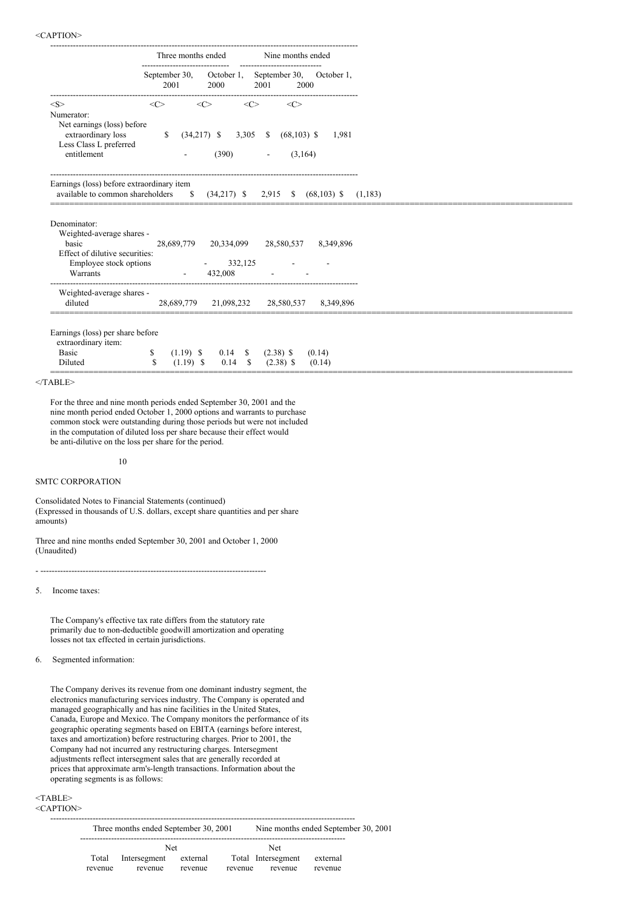|                                                                                                                            | Three months ended |             |                                  | Nine months ended   |                             |                           |                                                   |
|----------------------------------------------------------------------------------------------------------------------------|--------------------|-------------|----------------------------------|---------------------|-----------------------------|---------------------------|---------------------------------------------------|
|                                                                                                                            | 2001               |             | 2000                             |                     | 2001                        | 2000                      | September 30, October 1, September 30, October 1, |
| <s><br/>Numerator:</s>                                                                                                     | <<>                |             | $<\infty$                        | $\langle C \rangle$ |                             | <<>                       |                                                   |
| Net earnings (loss) before<br>extraordinary loss<br>Less Class L preferred<br>entitlement                                  | $\mathbb{S}$       |             | $(34,217)$ \$ 3,305 \$<br>(390)  |                     |                             | $(68, 103)$ \$<br>(3,164) | 1,981                                             |
| Earnings (loss) before extraordinary item                                                                                  |                    |             |                                  |                     | $\overline{\phantom{a}}$    |                           |                                                   |
| available to common shareholders                                                                                           |                    |             | $\frac{1}{2}$ (34,217) \$        |                     |                             |                           | 2,915 \$ (68,103) \$                              |
| Denominator:<br>Weighted-average shares -<br>basic<br>Effect of dilutive securities:<br>Employee stock options<br>Warrants | 28,689,779         |             | 20,334,099 28,580,537<br>432,008 | 332,125             |                             |                           | 8,349,896                                         |
| Weighted-average shares -<br>diluted                                                                                       |                    |             | 28,689,779 21,098,232 28,580,537 |                     |                             |                           | 8,349,896                                         |
| Earnings (loss) per share before<br>extraordinary item:<br><b>Basic</b>                                                    | \$                 | $(1.19)$ \$ |                                  |                     | $0.14 \quad$ \$ $(2.38)$ \$ |                           | (0.14)                                            |

### $<$ TABLE>

For the three and nine month periods ended September 30, 2001 and the nine month period ended October 1, 2000 options and warrants to purchase common stock were outstanding during those periods but were not included in the computation of diluted loss per share because their effect would be anti-dilutive on the loss per share for the period.

10

### SMTC CORPORATION

Consolidated Notes to Financial Statements (continued) (Expressed in thousands of U.S. dollars, except share quantities and per share amounts)

Three and nine months ended September 30, 2001 and October 1, 2000 (Unaudited)

- --------------------------------------------------------------------------------

5. Income taxes:

The Company's effective tax rate differs from the statutory rate primarily due to non-deductible goodwill amortization and operating losses not tax effected in certain jurisdictions.

6. Segmented information:

The Company derives its revenue from one dominant industry segment, the electronics manufacturing services industry. The Company is operated and managed geographically and has nine facilities in the United States, Canada, Europe and Mexico. The Company monitors the performance of its geographic operating segments based on EBITA (earnings before interest, taxes and amortization) before restructuring charges. Prior to 2001, the Company had not incurred any restructuring charges. Intersegment adjustments reflect intersegment sales that are generally recorded at prices that approximate arm's-length transactions. Information about the operating segments is as follows:

# <TABLE>

### <CAPTION>

------------------------------------------------------------------------------------------------------------ Three months ended September 30, 2001 Nine months ended September 30, 2001 ----------------------------------------------------------------------------------------------

|         | Net          |          | Net                |          |
|---------|--------------|----------|--------------------|----------|
| Total   | Intersegment | external | Total Intersegment | external |
| revenue | revenue      | revenue  | revenue<br>revenue | revenue  |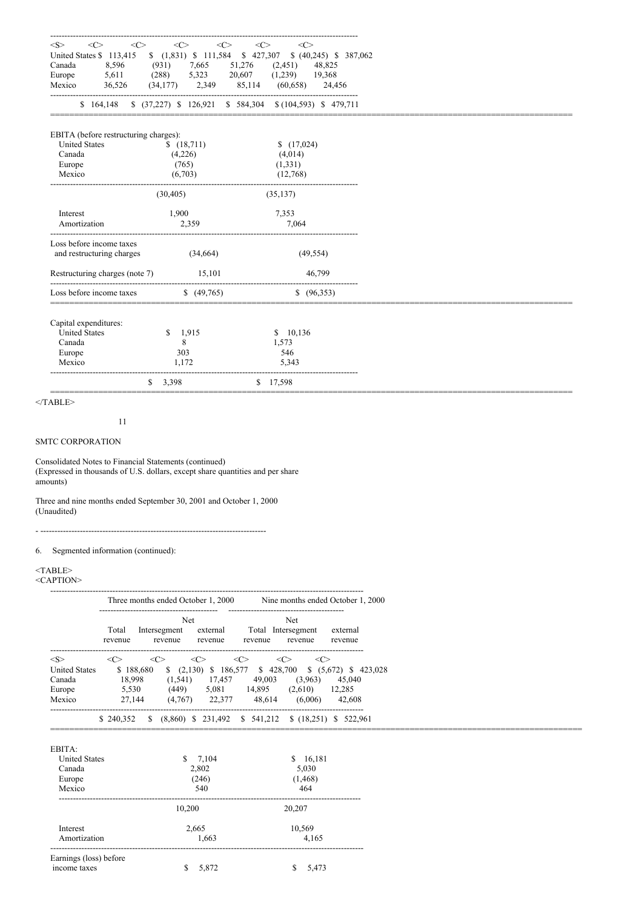| < S ><br><<>                          | $\langle$ C><br><<>     | $<\infty$<br>$\langle$ C>                                                        |
|---------------------------------------|-------------------------|----------------------------------------------------------------------------------|
| <c></c>                               |                         | United States \$ 113,415 \$ (1,831) \$ 111,584 \$ 427,307 \$ (40,245) \$ 387,062 |
| 8,596<br>Canada                       | (931)<br>7,665          | 51,276<br>(2,451)<br>48,825                                                      |
| Europe<br>5,611                       | 5,323<br>(288)          | $(1,239)$ 19,368<br>20,607                                                       |
| Mexico<br>36,526                      | $(34,177)$ 2,349 85,114 | $(60,658)$ 24,456                                                                |
|                                       |                         | \$ 164,148 \$ (37,227) \$ 126,921 \$ 584,304 \$ (104,593) \$ 479,711             |
| EBITA (before restructuring charges): |                         |                                                                                  |
| <b>United States</b>                  | \$(18,711)              | (17,024)                                                                         |
| Canada                                | (4,226)                 | (4,014)                                                                          |
| Europe                                | (765)                   | (1, 331)                                                                         |
| Mexico                                | (6,703)                 | (12,768)                                                                         |
|                                       | (30, 405)               | (35, 137)                                                                        |
| Interest                              | 1,900                   | 7,353                                                                            |
| Amortization                          | 2,359                   | 7,064                                                                            |
| Loss before income taxes              |                         |                                                                                  |
| and restructuring charges             | (34,664)                | (49, 554)                                                                        |
| Restructuring charges (note 7)        | 15,101                  | 46,799                                                                           |
| Loss before income taxes              | (49,765)                | (96,353)                                                                         |
|                                       |                         |                                                                                  |
| Capital expenditures:                 |                         |                                                                                  |
| <b>United States</b>                  | \$<br>1,915             | \$10,136                                                                         |
| Canada                                | 8                       | 1,573                                                                            |
| Europe                                | 303                     | 546                                                                              |
| Mexico                                | 1.172                   | 5,343                                                                            |
|                                       | 3,398<br>S.             | \$17,598                                                                         |

 $\leq$ TABLE>

11

# SMTC CORPORATION

Consolidated Notes to Financial Statements (continued) (Expressed in thousands of U.S. dollars, except share quantities and per share amounts)

Three and nine months ended September 30, 2001 and October 1, 2000 (Unaudited)

- --------------------------------------------------------------------------------

6. Segmented information (continued):

# <TABLE>

#### <CAPTION>

|                      |                  | Three months ended October 1, 2000    |                                  |                  |                                                                          | Nine months ended October 1, 2000 |
|----------------------|------------------|---------------------------------------|----------------------------------|------------------|--------------------------------------------------------------------------|-----------------------------------|
|                      | Total<br>revenue | <b>Net</b><br>Intersegment<br>revenue | external<br>revenue              | Total<br>revenue | --------------------------------------<br>Net<br>Intersegment<br>revenue | external<br>revenue               |
| $<\!\!S\!\!>$        | $\ll$            | $\langle C \rangle$                   | <c></c>                          | $\ll$            | <c><br/>&lt;( <math>&gt;</math></c>                                      |                                   |
| <b>United States</b> | \$188,680        |                                       | $\frac{1}{2}$ (2,130) \$ 186,577 | \$428,700        |                                                                          | $$(5,672)$ \$ 423,028             |
| Canada               | 18.998           | (1, 541)                              | 17.457                           | 49,003           | (3,963)                                                                  | 45,040                            |
| Europe               | 5,530            | (449)                                 | 5,081                            | 14,895           | (2,610)                                                                  | 12,285                            |
| Mexico               | 27.144           | (4,767)                               | 22,377                           | 48.614           | (6.006)                                                                  | 42,608                            |
|                      | \$240,352        | S.                                    | $(8.860)$ \$ 231.492 \$ 541.212  |                  |                                                                          | $$(18,251)$ $$522,961$            |

| EBITA:                                 |            |             |
|----------------------------------------|------------|-------------|
| <b>United States</b>                   | S<br>7,104 | S<br>16,181 |
| Canada                                 | 2,802      | 5,030       |
| Europe                                 | (246)      | (1, 468)    |
| Mexico                                 | 540        | 464         |
|                                        | 10.200     | 20,207      |
| Interest                               | 2,665      | 10,569      |
| Amortization                           | 1,663      | 4,165       |
| Earnings (loss) before<br>income taxes | 5,872<br>S | S<br>5,473  |
|                                        |            |             |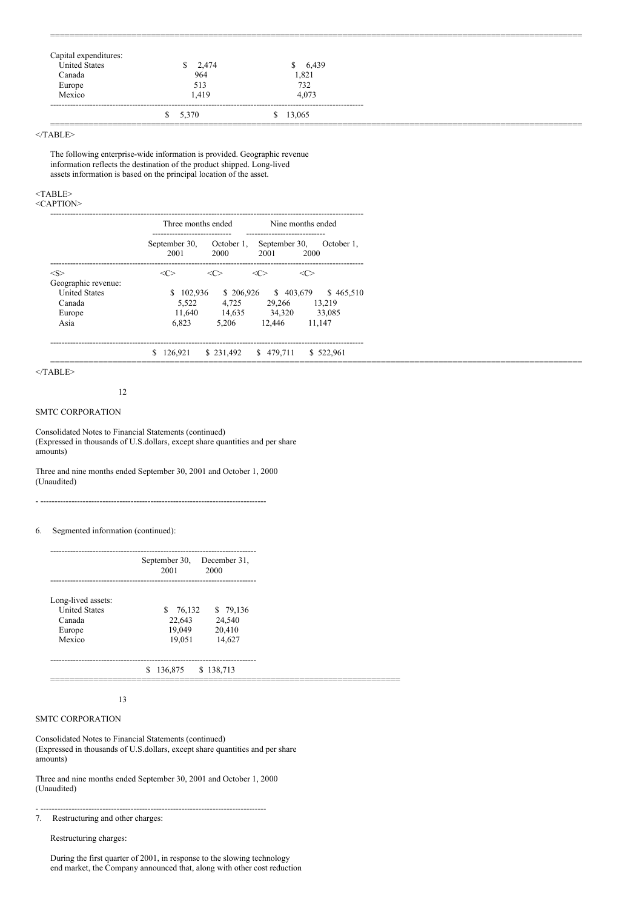| nditures:   |             |           |
|-------------|-------------|-----------|
| ated States | 2.474<br>S. | 6.439     |
| `anada      | 964         | .821      |
| Europe      | 513         | $73'_{-}$ |
| Mexico      | 419         | 4.073     |
|             | \$5,370     | \$13,065  |
|             |             |           |

===============================================================================================================

 $<$ /TABLE>

The following enterprise-wide information is provided. Geographic revenue information reflects the destination of the product shipped. Long-lived assets information is based on the principal location of the asset.

#### <TABLE> <CAPTION>

|                      | Three months ended                                     |                             | Nine months ended                                                |                               |  |  |  |
|----------------------|--------------------------------------------------------|-----------------------------|------------------------------------------------------------------|-------------------------------|--|--|--|
|                      | -----------------------------<br>September 30,<br>2001 | 2000                        | ----------------------------<br>October 1, September 30,<br>2001 | October 1.<br>2000            |  |  |  |
| $<\!\!S\!\!>$        | $\langle C \rangle$                                    | $\langle C \rangle$         | $\langle C \rangle$                                              | $\langle C \rangle$           |  |  |  |
| Geographic revenue:  |                                                        |                             |                                                                  |                               |  |  |  |
| <b>United States</b> | \$102.936                                              |                             |                                                                  | \$206,926 \$403,679 \$465,510 |  |  |  |
| Canada               |                                                        | 5,522 4,725 29,266 13,219   |                                                                  |                               |  |  |  |
| Europe               |                                                        | 11,640 14,635 34,320 33,085 |                                                                  |                               |  |  |  |
| Asia                 | 6.823                                                  | 5.206 12.446 11.147         |                                                                  |                               |  |  |  |
|                      | \$126,921 \$231,492 \$479,711 \$522,961                |                             |                                                                  |                               |  |  |  |

 $<$ /TABLE>

#### 12

### SMTC CORPORATION

Consolidated Notes to Financial Statements (continued) (Expressed in thousands of U.S.dollars, except share quantities and per share amounts)

- --------------------------------------------------------------------------------

Three and nine months ended September 30, 2001 and October 1, 2000 (Unaudited)

6. Segmented information (continued):

|                                                                          | September 30,<br>December 31,<br>2001<br>2000                                         |
|--------------------------------------------------------------------------|---------------------------------------------------------------------------------------|
| Long-lived assets:<br><b>United States</b><br>Canada<br>Europe<br>Mexico | \$ 79,136<br>76,132<br>S.<br>22,643<br>24,540<br>19,049<br>20,410<br>14,627<br>19,051 |
|                                                                          | 136,875<br>\$138,713<br>S.                                                            |

### 13

# SMTC CORPORATION

Consolidated Notes to Financial Statements (continued) (Expressed in thousands of U.S.dollars, except share quantities and per share amounts)

Three and nine months ended September 30, 2001 and October 1, 2000 (Unaudited)

- --------------------------------------------------------------------------------

7. Restructuring and other charges:

Restructuring charges:

During the first quarter of 2001, in response to the slowing technology end market, the Company announced that, along with other cost reduction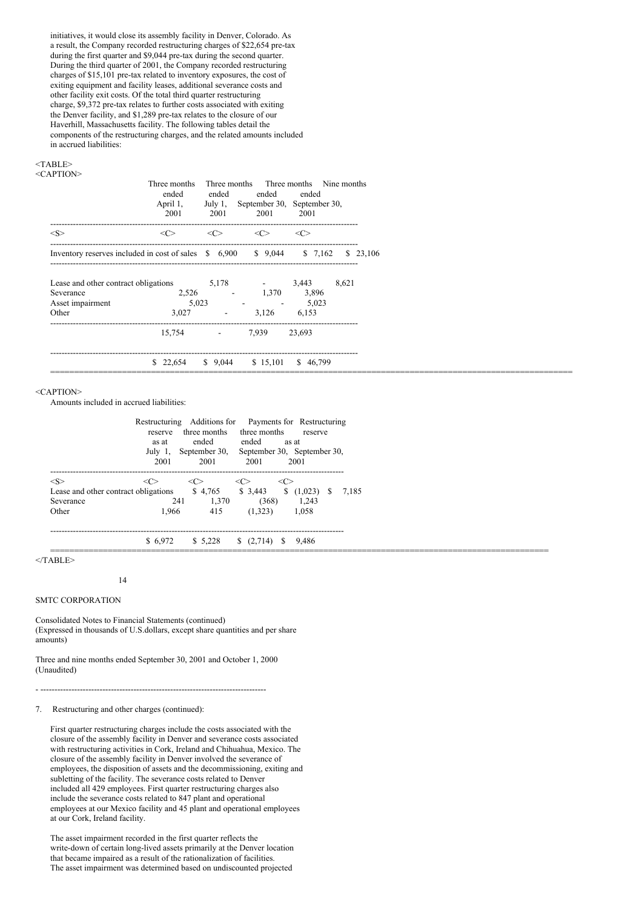initiatives, it would close its assembly facility in Denver, Colorado. As a result, the Company recorded restructuring charges of \$22,654 pre-tax during the first quarter and \$9,044 pre-tax during the second quarter. During the third quarter of 2001, the Company recorded restructuring charges of \$15,101 pre-tax related to inventory exposures, the cost of exiting equipment and facility leases, additional severance costs and other facility exit costs. Of the total third quarter restructuring charge, \$9,372 pre-tax relates to further costs associated with exiting the Denver facility, and \$1,289 pre-tax relates to the closure of our Haverhill, Massachusetts facility. The following tables detail the components of the restructuring charges, and the related amounts included in accrued liabilities:

### <TABLE>

| $\langle$ CAPTION> |
|--------------------|
|--------------------|

|                                                                | Three months<br>ended<br>April 1,      | ended                       | ended                       | Three months Three months Nine months<br>ended<br>July 1, September 30, September 30, |       |          |
|----------------------------------------------------------------|----------------------------------------|-----------------------------|-----------------------------|---------------------------------------------------------------------------------------|-------|----------|
| $<\!\!S\!\!>$                                                  | 2001<br>$\langle C \rangle$            | 2001<br>$\langle C \rangle$ | 2001<br>$\langle C \rangle$ | 2001<br>$\langle C \rangle$                                                           |       |          |
| Inventory reserves included in cost of sales $$6,900$ $$9,044$ |                                        |                             |                             | \$7,162                                                                               |       | \$23,106 |
| Lease and other contract obligations<br>Severance              |                                        | 5,178<br>$2,526$ - 1,370    | $-3,443$                    | 3,896                                                                                 | 8,621 |          |
| Asset impairment<br>Other                                      | 5,023<br>3.027                         | $\overline{\phantom{a}}$    | $-5,023$<br>3.126           | 6,153                                                                                 |       |          |
|                                                                | 15,754                                 | <b>State State</b>          | 7.939                       | 23,693                                                                                |       |          |
|                                                                | \$ 22,654 \$ 9,044 \$ 15,101 \$ 46,799 |                             |                             |                                                                                       |       |          |

#### <CAPTION>

Amounts included in accrued liabilities:

|                                                                   | reserve<br>as at<br>July 1,<br>2001 | ended ended<br>2001 | Restructuring Additions for Payments for Restructuring<br>three months three months<br>as at<br>September 30, September 30, September 30,<br>2001 | reserve<br>2001                    |       |
|-------------------------------------------------------------------|-------------------------------------|---------------------|---------------------------------------------------------------------------------------------------------------------------------------------------|------------------------------------|-------|
| $<\!\!S\!\!>$                                                     | $\ll$                               | $\ll$               | $\langle$ C $>$<br>$\langle$ C $>$                                                                                                                | ---------------------------------- |       |
| Lease and other contract obligations \$4,765 \$3,443<br>Severance | 241                                 | 1,370               | (368)                                                                                                                                             | (1,023)<br>S.<br>1.243             | 7.185 |
| Other                                                             | 1.966                               | 415                 | (1.323)                                                                                                                                           | 1.058                              |       |
|                                                                   | \$6.972                             | \$ 5.228            | $\frac{(2,714)}{2}$<br>-S                                                                                                                         | 9.486                              |       |

 $<$ /TABLE>

14

### SMTC CORPORATION

Consolidated Notes to Financial Statements (continued) (Expressed in thousands of U.S.dollars, except share quantities and per share amounts)

Three and nine months ended September 30, 2001 and October 1, 2000 (Unaudited)

- --------------------------------------------------------------------------------

7. Restructuring and other charges (continued):

First quarter restructuring charges include the costs associated with the closure of the assembly facility in Denver and severance costs associated with restructuring activities in Cork, Ireland and Chihuahua, Mexico. The closure of the assembly facility in Denver involved the severance of employees, the disposition of assets and the decommissioning, exiting and subletting of the facility. The severance costs related to Denver included all 429 employees. First quarter restructuring charges also include the severance costs related to 847 plant and operational employees at our Mexico facility and 45 plant and operational employees at our Cork, Ireland facility.

The asset impairment recorded in the first quarter reflects the write-down of certain long-lived assets primarily at the Denver location that became impaired as a result of the rationalization of facilities. The asset impairment was determined based on undiscounted projected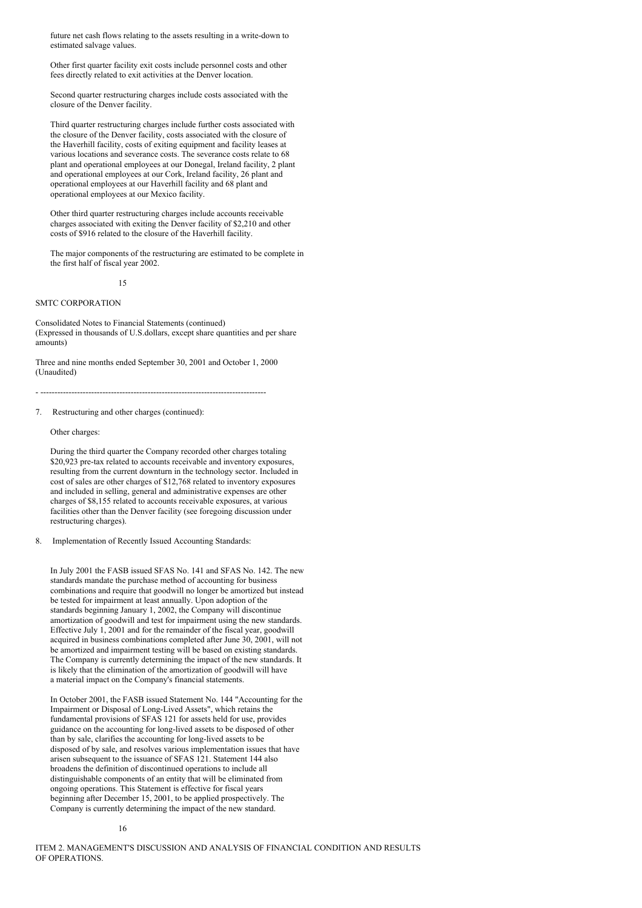future net cash flows relating to the assets resulting in a write-down to estimated salvage values.

Other first quarter facility exit costs include personnel costs and other fees directly related to exit activities at the Denver location.

Second quarter restructuring charges include costs associated with the closure of the Denver facility.

Third quarter restructuring charges include further costs associated with the closure of the Denver facility, costs associated with the closure of the Haverhill facility, costs of exiting equipment and facility leases at various locations and severance costs. The severance costs relate to 68 plant and operational employees at our Donegal, Ireland facility, 2 plant and operational employees at our Cork, Ireland facility, 26 plant and operational employees at our Haverhill facility and 68 plant and operational employees at our Mexico facility.

Other third quarter restructuring charges include accounts receivable charges associated with exiting the Denver facility of \$2,210 and other costs of \$916 related to the closure of the Haverhill facility.

The major components of the restructuring are estimated to be complete in the first half of fiscal year 2002.

15

# SMTC CORPORATION

Consolidated Notes to Financial Statements (continued) (Expressed in thousands of U.S.dollars, except share quantities and per share amounts)

Three and nine months ended September 30, 2001 and October 1, 2000 (Unaudited)

- --------------------------------------------------------------------------------

7. Restructuring and other charges (continued):

Other charges:

During the third quarter the Company recorded other charges totaling \$20,923 pre-tax related to accounts receivable and inventory exposures, resulting from the current downturn in the technology sector. Included in cost of sales are other charges of \$12,768 related to inventory exposures and included in selling, general and administrative expenses are other charges of \$8,155 related to accounts receivable exposures, at various facilities other than the Denver facility (see foregoing discussion under restructuring charges).

8. Implementation of Recently Issued Accounting Standards:

In July 2001 the FASB issued SFAS No. 141 and SFAS No. 142. The new standards mandate the purchase method of accounting for business combinations and require that goodwill no longer be amortized but instead be tested for impairment at least annually. Upon adoption of the standards beginning January 1, 2002, the Company will discontinue amortization of goodwill and test for impairment using the new standards. Effective July 1, 2001 and for the remainder of the fiscal year, goodwill acquired in business combinations completed after June 30, 2001, will not be amortized and impairment testing will be based on existing standards. The Company is currently determining the impact of the new standards. It is likely that the elimination of the amortization of goodwill will have a material impact on the Company's financial statements.

In October 2001, the FASB issued Statement No. 144 "Accounting for the Impairment or Disposal of Long-Lived Assets", which retains the fundamental provisions of SFAS 121 for assets held for use, provides guidance on the accounting for long-lived assets to be disposed of other than by sale, clarifies the accounting for long-lived assets to be disposed of by sale, and resolves various implementation issues that have arisen subsequent to the issuance of SFAS 121. Statement 144 also broadens the definition of discontinued operations to include all distinguishable components of an entity that will be eliminated from ongoing operations. This Statement is effective for fiscal years beginning after December 15, 2001, to be applied prospectively. The Company is currently determining the impact of the new standard.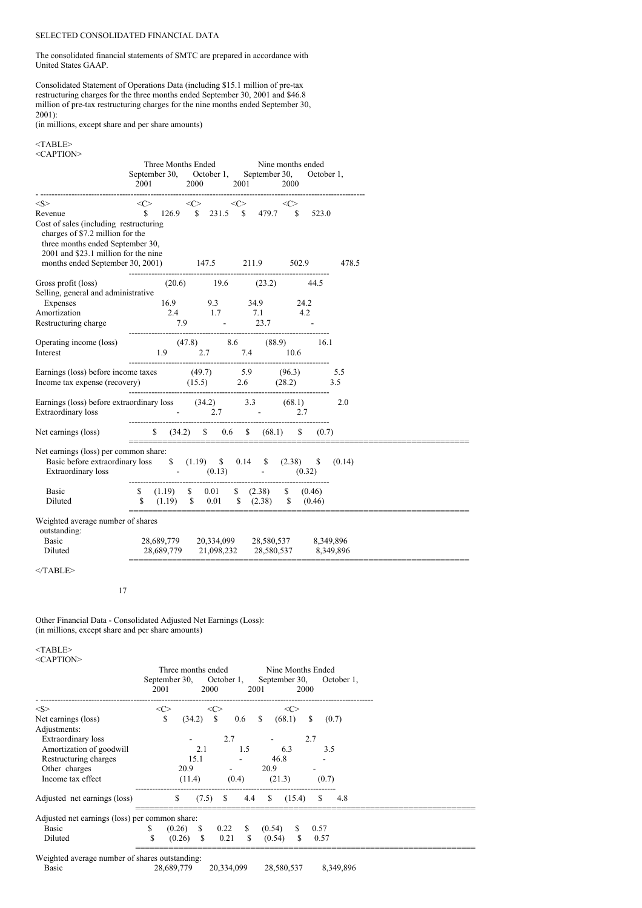# SELECTED CONSOLIDATED FINANCIAL DATA

The consolidated financial statements of SMTC are prepared in accordance with United States GAAP.

Consolidated Statement of Operations Data (including \$15.1 million of pre-tax restructuring charges for the three months ended September 30, 2001 and \$46.8 million of pre-tax restructuring charges for the nine months ended September 30, 2001):

(in millions, except share and per share amounts)

#### $<$ TABLE> <CAPTION>

|                                                                                                                                                                                                                                                                                                                                                                          |                                                   | Three Months Ended                                                                                                                                                                                                                                                                                                                                                                                                                    |  |  |  |                                         |      |                     |  |       |
|--------------------------------------------------------------------------------------------------------------------------------------------------------------------------------------------------------------------------------------------------------------------------------------------------------------------------------------------------------------------------|---------------------------------------------------|---------------------------------------------------------------------------------------------------------------------------------------------------------------------------------------------------------------------------------------------------------------------------------------------------------------------------------------------------------------------------------------------------------------------------------------|--|--|--|-----------------------------------------|------|---------------------|--|-------|
|                                                                                                                                                                                                                                                                                                                                                                          | September 30, October 1, September 30, October 1, |                                                                                                                                                                                                                                                                                                                                                                                                                                       |  |  |  |                                         |      |                     |  |       |
|                                                                                                                                                                                                                                                                                                                                                                          |                                                   | 2001 2000 2001                                                                                                                                                                                                                                                                                                                                                                                                                        |  |  |  |                                         | 2000 |                     |  |       |
| $<\!\!S\!\!>$                                                                                                                                                                                                                                                                                                                                                            |                                                   | $\langle C \rangle$                                                                                                                                                                                                                                                                                                                                                                                                                   |  |  |  | $\langle C \rangle$ $\langle C \rangle$ |      | $\langle C \rangle$ |  |       |
| Revenue                                                                                                                                                                                                                                                                                                                                                                  |                                                   | $\begin{array}{ccccccccc}\n\text{S} & & & & & \text{S} & & & & \text{S} & & & & \text{S} & & & & \text{S} & & & \text{S} & & & \text{S} & & & \text{S} & & & \text{S} & & & \text{S} & & & \text{S} & & & \text{S} & & & \text{S} & & & \text{S} & & & \text{S} & & & \text{S} & & & \text{S} & & & \text{S} & & & \text{S} & & & \text{S} & & & \text{S} & & & \text{S} & & & \text{S} & & & \text{S} & & & \text{S} & & & \text{S}$ |  |  |  |                                         |      |                     |  |       |
| Cost of sales (including restructuring)<br>charges of \$7.2 million for the<br>three months ended September 30,<br>2001 and \$23.1 million for the nine                                                                                                                                                                                                                  |                                                   |                                                                                                                                                                                                                                                                                                                                                                                                                                       |  |  |  |                                         |      |                     |  |       |
| months ended September 30, 2001) 147.5 211.9 502.9                                                                                                                                                                                                                                                                                                                       |                                                   |                                                                                                                                                                                                                                                                                                                                                                                                                                       |  |  |  |                                         |      |                     |  | 478.5 |
| Gross profit (loss)<br>$(20.6)$<br>$(30.6)$<br>$(30.7)$<br>Selling, general and administrative                                                                                                                                                                                                                                                                           |                                                   |                                                                                                                                                                                                                                                                                                                                                                                                                                       |  |  |  |                                         |      |                     |  |       |
| Expenses                                                                                                                                                                                                                                                                                                                                                                 |                                                   |                                                                                                                                                                                                                                                                                                                                                                                                                                       |  |  |  |                                         |      |                     |  |       |
| 16.9 9.3 34.9 24.2<br>2.4 1.7 7.1 4.2<br>Amortization                                                                                                                                                                                                                                                                                                                    |                                                   |                                                                                                                                                                                                                                                                                                                                                                                                                                       |  |  |  |                                         |      |                     |  |       |
| Restructuring charge 7.9 - 23.7                                                                                                                                                                                                                                                                                                                                          |                                                   |                                                                                                                                                                                                                                                                                                                                                                                                                                       |  |  |  |                                         |      |                     |  |       |
|                                                                                                                                                                                                                                                                                                                                                                          |                                                   |                                                                                                                                                                                                                                                                                                                                                                                                                                       |  |  |  |                                         |      |                     |  |       |
|                                                                                                                                                                                                                                                                                                                                                                          |                                                   |                                                                                                                                                                                                                                                                                                                                                                                                                                       |  |  |  |                                         |      |                     |  |       |
| Operating income (loss) (47.8) 8.6 (88.9) 16.1<br>Interest 1.9 2.7 7.4 10.6                                                                                                                                                                                                                                                                                              |                                                   |                                                                                                                                                                                                                                                                                                                                                                                                                                       |  |  |  |                                         |      |                     |  |       |
| Earnings (loss) before income taxes (49.7) 5.9 (96.3) 5.5                                                                                                                                                                                                                                                                                                                |                                                   |                                                                                                                                                                                                                                                                                                                                                                                                                                       |  |  |  |                                         |      |                     |  |       |
| Income tax expense (recovery) $(15.5)$ $2.6$ $(28.2)$ $3.5$                                                                                                                                                                                                                                                                                                              |                                                   |                                                                                                                                                                                                                                                                                                                                                                                                                                       |  |  |  |                                         |      |                     |  |       |
|                                                                                                                                                                                                                                                                                                                                                                          |                                                   |                                                                                                                                                                                                                                                                                                                                                                                                                                       |  |  |  |                                         |      |                     |  |       |
| Earnings (loss) before extraordinary loss (34.2) 3.3 (68.1) 2.0                                                                                                                                                                                                                                                                                                          |                                                   |                                                                                                                                                                                                                                                                                                                                                                                                                                       |  |  |  |                                         |      |                     |  |       |
| Extraordinary loss                                                                                                                                                                                                                                                                                                                                                       |                                                   | $2.7$ $2.7$ $2.7$                                                                                                                                                                                                                                                                                                                                                                                                                     |  |  |  |                                         |      |                     |  |       |
| Net earnings (loss) $\begin{array}{cccc} \n\text{Set} & (34.2) & \text{Set} & (36.1) & \text{Set} & (0.7) \\  & \text{Set} & (34.2) & \text{Set} & (0.6) & (0.81) & (0.7) \\  & \text{Set} & (34.2) & \text{Set} & (34.2) & (0.6) & (0.7) \\  & \text{Set} & (34.2) & \text{Set} & (34.2) & (0.6) & (0.7) \\  & \text{Set} & (34.2) & \text{Set} & (34.2) & (0.6) & (0.$ | ----------------                                  |                                                                                                                                                                                                                                                                                                                                                                                                                                       |  |  |  |                                         |      |                     |  |       |
|                                                                                                                                                                                                                                                                                                                                                                          |                                                   |                                                                                                                                                                                                                                                                                                                                                                                                                                       |  |  |  |                                         |      |                     |  |       |
| Net earnings (loss) per common share:                                                                                                                                                                                                                                                                                                                                    |                                                   |                                                                                                                                                                                                                                                                                                                                                                                                                                       |  |  |  |                                         |      |                     |  |       |
| Basic before extraordinary loss \$ (1.19) \$ 0.14 \$ (2.38) \$ (0.14)<br>Extraordinary loss (0.13) (0.32)                                                                                                                                                                                                                                                                |                                                   |                                                                                                                                                                                                                                                                                                                                                                                                                                       |  |  |  |                                         |      |                     |  |       |
| Basic                                                                                                                                                                                                                                                                                                                                                                    |                                                   | $$(1.19) \quad $0.01 \quad $(2.38) \quad $(0.46)$                                                                                                                                                                                                                                                                                                                                                                                     |  |  |  |                                         |      |                     |  |       |
| Diluted                                                                                                                                                                                                                                                                                                                                                                  |                                                   |                                                                                                                                                                                                                                                                                                                                                                                                                                       |  |  |  |                                         |      |                     |  |       |
|                                                                                                                                                                                                                                                                                                                                                                          |                                                   |                                                                                                                                                                                                                                                                                                                                                                                                                                       |  |  |  |                                         |      |                     |  |       |
| Weighted average number of shares                                                                                                                                                                                                                                                                                                                                        |                                                   |                                                                                                                                                                                                                                                                                                                                                                                                                                       |  |  |  |                                         |      |                     |  |       |
| outstanding:                                                                                                                                                                                                                                                                                                                                                             |                                                   |                                                                                                                                                                                                                                                                                                                                                                                                                                       |  |  |  |                                         |      |                     |  |       |
| Basic                                                                                                                                                                                                                                                                                                                                                                    |                                                   | 28,689,779 20,334,099 28,580,537 8,349,896                                                                                                                                                                                                                                                                                                                                                                                            |  |  |  |                                         |      |                     |  |       |
| Diluted                                                                                                                                                                                                                                                                                                                                                                  |                                                   | 28,689,779 21,098,232 28,580,537 8,349,896                                                                                                                                                                                                                                                                                                                                                                                            |  |  |  |                                         |      |                     |  |       |
| $<$ TABLE>                                                                                                                                                                                                                                                                                                                                                               |                                                   |                                                                                                                                                                                                                                                                                                                                                                                                                                       |  |  |  |                                         |      |                     |  |       |

17

Other Financial Data - Consolidated Adjusted Net Earnings (Loss): (in millions, except share and per share amounts)

 $<$ TABLE>

| <caption></caption>                            |                    |              |               |       |                         |               |               |            |  |  |
|------------------------------------------------|--------------------|--------------|---------------|-------|-------------------------|---------------|---------------|------------|--|--|
|                                                | Three months ended |              |               |       | Nine Months Ended       |               |               |            |  |  |
|                                                | September 30,      |              | October 1,    |       | September 30,           |               |               | October 1, |  |  |
|                                                | 2001               |              | 2000          |       | 2001                    | 2000          |               |            |  |  |
| $<\!\!S\!\!>$                                  | $<\infty$          |              | <<>           |       |                         | <<>           |               |            |  |  |
| Net earnings (loss)                            | \$                 | (34.2)       | <sup>\$</sup> | 0.6   | <sup>\$</sup><br>(68.1) |               | S.            | (0.7)      |  |  |
| Adjustments:                                   |                    |              |               |       |                         |               |               |            |  |  |
| Extraordinary loss                             |                    |              | 2.7           |       |                         |               | 2.7           |            |  |  |
| Amortization of goodwill                       |                    | 2.1          |               | 1.5   | 6.3                     |               | 3.5           |            |  |  |
| Restructuring charges                          |                    | 15.1         |               |       | 46.8                    |               |               |            |  |  |
| Other charges                                  |                    | 20.9         |               |       | 20.9                    |               |               |            |  |  |
| Income tax effect                              |                    | (11.4)       |               | (0.4) | (21.3)                  |               | (0.7)         |            |  |  |
|                                                |                    |              |               |       |                         |               |               |            |  |  |
| Adjusted net earnings (loss)                   |                    | $\mathbb{S}$ | $(7.5)$ \$    | 4.4   | $\frac{(15.4)}{2}$      |               | <sup>\$</sup> | 4.8        |  |  |
| Adjusted net earnings (loss) per common share: |                    |              |               |       |                         |               |               |            |  |  |
| Basic                                          | \$                 | $(0.26)$ \$  | 0.22          | S     | (0.54)                  | S.            | 0.57          |            |  |  |
| Diluted                                        | S                  | $(0.26)$ \$  | 0.21          | S     | (0.54)                  | <sup>\$</sup> | 0.57          |            |  |  |
| Weighted average number of shares outstanding: |                    |              |               |       |                         |               |               |            |  |  |
| Basic                                          |                    | 28,689,779   | 20,334,099    |       | 28,580,537              |               |               | 8,349,896  |  |  |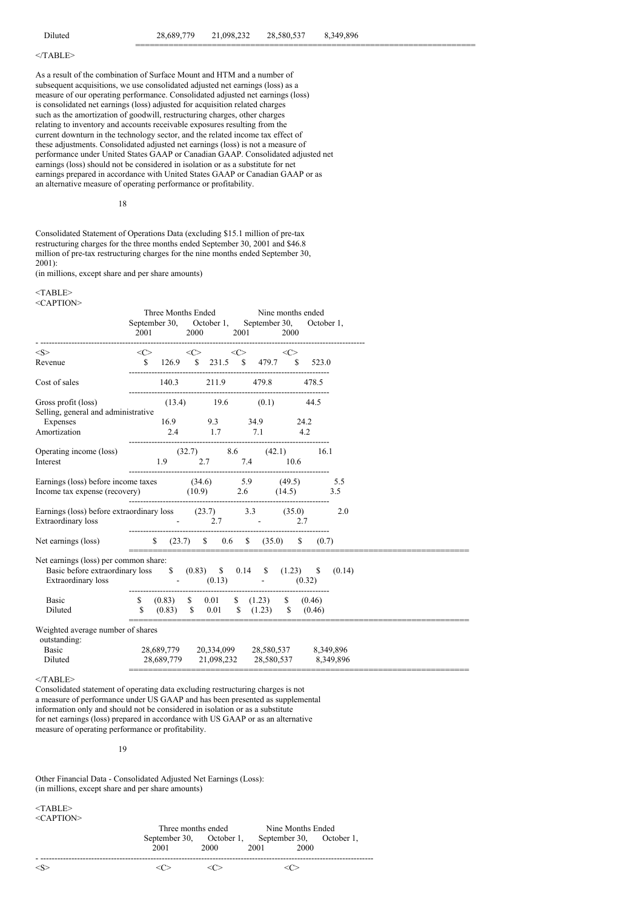=======================================================================

# $<$ /TABLE>

As a result of the combination of Surface Mount and HTM and a number of subsequent acquisitions, we use consolidated adjusted net earnings (loss) as a measure of our operating performance. Consolidated adjusted net earnings (loss) is consolidated net earnings (loss) adjusted for acquisition related charges such as the amortization of goodwill, restructuring charges, other charges relating to inventory and accounts receivable exposures resulting from the current downturn in the technology sector, and the related income tax effect of these adjustments. Consolidated adjusted net earnings (loss) is not a measure of performance under United States GAAP or Canadian GAAP. Consolidated adjusted net earnings (loss) should not be considered in isolation or as a substitute for net earnings prepared in accordance with United States GAAP or Canadian GAAP or as an alternative measure of operating performance or profitability.

18

Consolidated Statement of Operations Data (excluding \$15.1 million of pre-tax restructuring charges for the three months ended September 30, 2001 and \$46.8 million of pre-tax restructuring charges for the nine months ended September 30, 2001):

(in millions, except share and per share amounts)

#### <TABLE> <CAPTION>

|                                                                                                                                                            | Three Months Ended Nine months ended<br>September 30, October 1, September 30, October 1,<br>2001 2000 2001 2000                                                                                                                                     |  |  |  |  |
|------------------------------------------------------------------------------------------------------------------------------------------------------------|------------------------------------------------------------------------------------------------------------------------------------------------------------------------------------------------------------------------------------------------------|--|--|--|--|
| $<\!\!S\!\!>$                                                                                                                                              | $\langle \langle \rangle \rangle$ $\langle \langle \rangle$ $\langle \rangle$ $\langle \rangle$                                                                                                                                                      |  |  |  |  |
| Revenue                                                                                                                                                    | \$ 126.9 \$ 231.5 \$ 479.7 \$ 523.0<br>$$126.9$ $$231.5$ $$479.7$ $$523.0$                                                                                                                                                                           |  |  |  |  |
| Cost of sales                                                                                                                                              | 140.3 211.9 479.8 478.5                                                                                                                                                                                                                              |  |  |  |  |
| Gross profit (loss)<br>Selling, general and administrative                                                                                                 | $(13.4)$ 19.6 $(0.1)$ 44.5                                                                                                                                                                                                                           |  |  |  |  |
| Expenses<br>Amortization                                                                                                                                   | 16.9 9.3 34.9 24.2<br>2.4 1.7 7.1 4.2                                                                                                                                                                                                                |  |  |  |  |
| Operating income (loss) (32.7) 8.6 (42.1) 16.1<br>Interest 1.9 2.7 7.4 10.6                                                                                |                                                                                                                                                                                                                                                      |  |  |  |  |
| Earnings (loss) before income taxes (34.6) 5.9 (49.5) 5.5<br>Income tax expense (recovery) (10.9) 2.6 (14.5) 3.5                                           |                                                                                                                                                                                                                                                      |  |  |  |  |
| Earnings (loss) before extraordinary loss (23.7) 3.3 (35.0) 2.0<br>Extraordinary loss - 2.7 - 2.7 2.7                                                      |                                                                                                                                                                                                                                                      |  |  |  |  |
|                                                                                                                                                            |                                                                                                                                                                                                                                                      |  |  |  |  |
| Net earnings (loss) per common share:<br>Basic before extraordinary loss $$ (0.83) $ $ 0.14 $ $ (1.23) $ $ (0.14) $$<br>Extraordinary loss $(0.13)$ (0.32) |                                                                                                                                                                                                                                                      |  |  |  |  |
| Basic<br>Diluted                                                                                                                                           | $\begin{array}{ccccccccc} \mathbb{S} & (0.83) & \mathbb{S} & 0.01 & \mathbb{S} & (1.23) & \mathbb{S} & (0.46) \\ \mathbb{S} & (0.83) & \mathbb{S} & 0.01 & \mathbb{S} & (1.23) & \mathbb{S} & (0.46) \\ \end{array}$<br>____________________________ |  |  |  |  |
| Weighted average number of shares<br>outstanding:                                                                                                          |                                                                                                                                                                                                                                                      |  |  |  |  |
| Basic<br>Diluted                                                                                                                                           | 28,689,779 20,334,099 28,580,537 8,349,896<br>28,689,779 21,098,232 28,580,537 8,349,896                                                                                                                                                             |  |  |  |  |

 $<$ TABLE>

Consolidated statement of operating data excluding restructuring charges is not a measure of performance under US GAAP and has been presented as supplemental information only and should not be considered in isolation or as a substitute for net earnings (loss) prepared in accordance with US GAAP or as an alternative measure of operating performance or profitability.

19

Other Financial Data - Consolidated Adjusted Net Earnings (Loss): (in millions, except share and per share amounts)

<TABLE> <CAPTION>

| NGAT HUIV | Three months ended       |      | Nine Months Ended |      |                          |
|-----------|--------------------------|------|-------------------|------|--------------------------|
|           | September 30, October 1, |      |                   |      | September 30, October 1, |
|           | 2001                     | 2000 | 2001              | 2000 |                          |
|           |                          |      |                   |      |                          |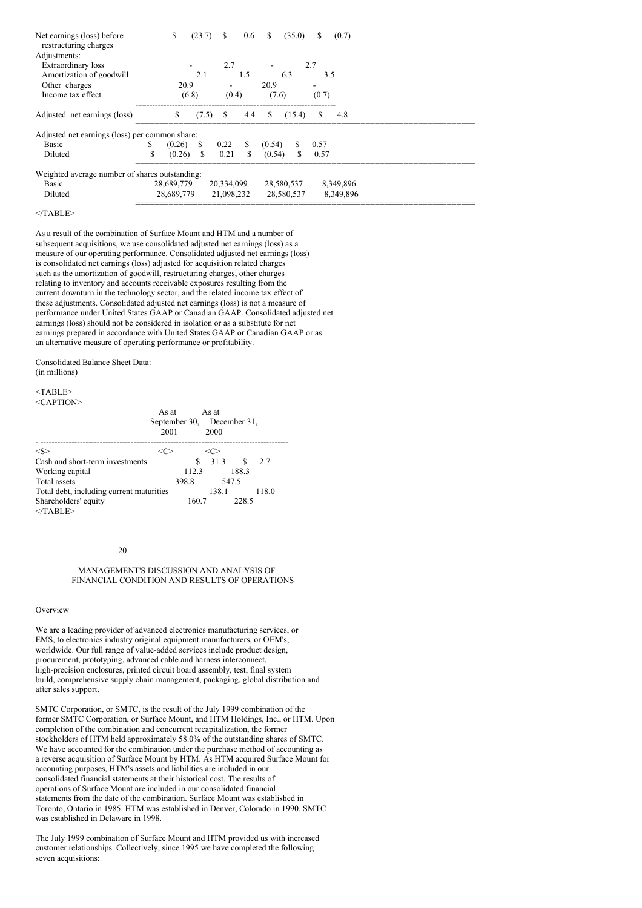| S<br>(23.7)             | S<br>0.6                                                                                                                     | \$<br>(35.0)                                   | (0.7)<br>S. |
|-------------------------|------------------------------------------------------------------------------------------------------------------------------|------------------------------------------------|-------------|
|                         |                                                                                                                              |                                                |             |
| -                       | 2.7                                                                                                                          |                                                | 2.7         |
| 2.1                     | 1.5                                                                                                                          | 6.3                                            | 3.5         |
| 20.9                    |                                                                                                                              | 20.9                                           |             |
| (6.8)                   | (0.4)                                                                                                                        | (7.6)                                          | (0.7)       |
| \$                      | 4.4                                                                                                                          | S.<br>(15.4)                                   | S.<br>4.8   |
|                         |                                                                                                                              |                                                |             |
| (0.26)<br>\$            | S                                                                                                                            | S.<br>(0.54)                                   | 0.57        |
| <sup>\$</sup><br>(0.26) | 0.21<br>\$                                                                                                                   | (0.54)<br>\$                                   | 0.57        |
|                         |                                                                                                                              |                                                |             |
|                         |                                                                                                                              | 28,580,537                                     | 8,349,896   |
|                         |                                                                                                                              | 28,580,537                                     | 8,349,896   |
|                         | Adjusted net earnings (loss) per common share:<br>Weighted average number of shares outstanding:<br>28,689,779<br>28,689,779 | $(7.5)$ \$<br>0.22<br>20,334,099<br>21,098,232 |             |

 $<$ /TABLE>

As a result of the combination of Surface Mount and HTM and a number of subsequent acquisitions, we use consolidated adjusted net earnings (loss) as a measure of our operating performance. Consolidated adjusted net earnings (loss) is consolidated net earnings (loss) adjusted for acquisition related charges such as the amortization of goodwill, restructuring charges, other charges relating to inventory and accounts receivable exposures resulting from the current downturn in the technology sector, and the related income tax effect of these adjustments. Consolidated adjusted net earnings (loss) is not a measure of performance under United States GAAP or Canadian GAAP. Consolidated adjusted net earnings (loss) should not be considered in isolation or as a substitute for net earnings prepared in accordance with United States GAAP or Canadian GAAP or as an alternative measure of operating performance or profitability.

Consolidated Balance Sheet Data: (in millions)

<TABLE> <CAPTION>

|                                          | As at<br>September 30, December 31,<br>2001 |       | As at<br>2000 |              |       |
|------------------------------------------|---------------------------------------------|-------|---------------|--------------|-------|
| $<\!\!S\!\!>$                            |                                             |       | <( >          |              |       |
| Cash and short-term investments          |                                             | S     | 31.3          | $\mathbf{s}$ | 2.7   |
| Working capital                          |                                             | 112.3 |               | 188.3        |       |
| Total assets                             |                                             | 398.8 |               | 547.5        |       |
| Total debt, including current maturities |                                             |       | 138.1         |              | 118.0 |
| Shareholders' equity<br>$<$ TABLE>       |                                             | 160.7 |               | 228.5        |       |

#### 20

### MANAGEMENT'S DISCUSSION AND ANALYSIS OF FINANCIAL CONDITION AND RESULTS OF OPERATIONS

#### Overview

We are a leading provider of advanced electronics manufacturing services, or EMS, to electronics industry original equipment manufacturers, or OEM's, worldwide. Our full range of value-added services include product design, procurement, prototyping, advanced cable and harness interconnect, high-precision enclosures, printed circuit board assembly, test, final system build, comprehensive supply chain management, packaging, global distribution and after sales support.

SMTC Corporation, or SMTC, is the result of the July 1999 combination of the former SMTC Corporation, or Surface Mount, and HTM Holdings, Inc., or HTM. Upon completion of the combination and concurrent recapitalization, the former stockholders of HTM held approximately 58.0% of the outstanding shares of SMTC. We have accounted for the combination under the purchase method of accounting as a reverse acquisition of Surface Mount by HTM. As HTM acquired Surface Mount for accounting purposes, HTM's assets and liabilities are included in our consolidated financial statements at their historical cost. The results of operations of Surface Mount are included in our consolidated financial statements from the date of the combination. Surface Mount was established in Toronto, Ontario in 1985. HTM was established in Denver, Colorado in 1990. SMTC was established in Delaware in 1998.

The July 1999 combination of Surface Mount and HTM provided us with increased customer relationships. Collectively, since 1995 we have completed the following seven acquisitions: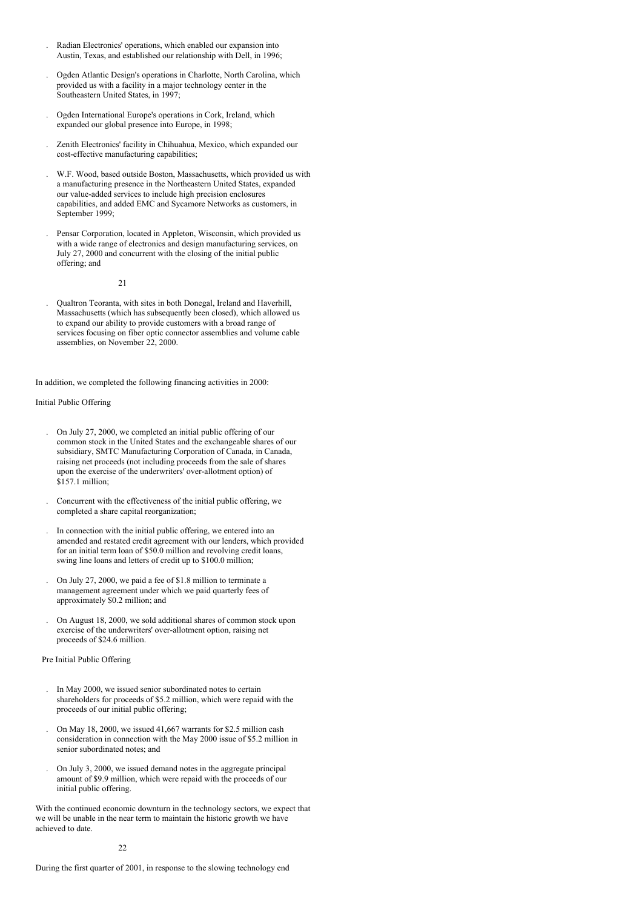- . Radian Electronics' operations, which enabled our expansion into Austin, Texas, and established our relationship with Dell, in 1996;
- . Ogden Atlantic Design's operations in Charlotte, North Carolina, which provided us with a facility in a major technology center in the Southeastern United States, in 1997;
- . Ogden International Europe's operations in Cork, Ireland, which expanded our global presence into Europe, in 1998;
- . Zenith Electronics' facility in Chihuahua, Mexico, which expanded our cost-effective manufacturing capabilities;
- . W.F. Wood, based outside Boston, Massachusetts, which provided us with a manufacturing presence in the Northeastern United States, expanded our value-added services to include high precision enclosures capabilities, and added EMC and Sycamore Networks as customers, in September 1999;
- . Pensar Corporation, located in Appleton, Wisconsin, which provided us with a wide range of electronics and design manufacturing services, on July 27, 2000 and concurrent with the closing of the initial public offering; and

21

. Qualtron Teoranta, with sites in both Donegal, Ireland and Haverhill, Massachusetts (which has subsequently been closed), which allowed us to expand our ability to provide customers with a broad range of services focusing on fiber optic connector assemblies and volume cable assemblies, on November 22, 2000.

In addition, we completed the following financing activities in 2000:

Initial Public Offering

- . On July 27, 2000, we completed an initial public offering of our common stock in the United States and the exchangeable shares of our subsidiary, SMTC Manufacturing Corporation of Canada, in Canada, raising net proceeds (not including proceeds from the sale of shares upon the exercise of the underwriters' over-allotment option) of \$157.1 million;
- . Concurrent with the effectiveness of the initial public offering, we completed a share capital reorganization;
- . In connection with the initial public offering, we entered into an amended and restated credit agreement with our lenders, which provided for an initial term loan of \$50.0 million and revolving credit loans, swing line loans and letters of credit up to \$100.0 million;
- . On July 27, 2000, we paid a fee of \$1.8 million to terminate a management agreement under which we paid quarterly fees of approximately \$0.2 million; and
- . On August 18, 2000, we sold additional shares of common stock upon exercise of the underwriters' over-allotment option, raising net proceeds of \$24.6 million.

#### Pre Initial Public Offering

- . In May 2000, we issued senior subordinated notes to certain shareholders for proceeds of \$5.2 million, which were repaid with the proceeds of our initial public offering;
- . On May 18, 2000, we issued 41,667 warrants for \$2.5 million cash consideration in connection with the May 2000 issue of \$5.2 million in senior subordinated notes; and
- . On July 3, 2000, we issued demand notes in the aggregate principal amount of \$9.9 million, which were repaid with the proceeds of our initial public offering.

With the continued economic downturn in the technology sectors, we expect that we will be unable in the near term to maintain the historic growth we have achieved to date.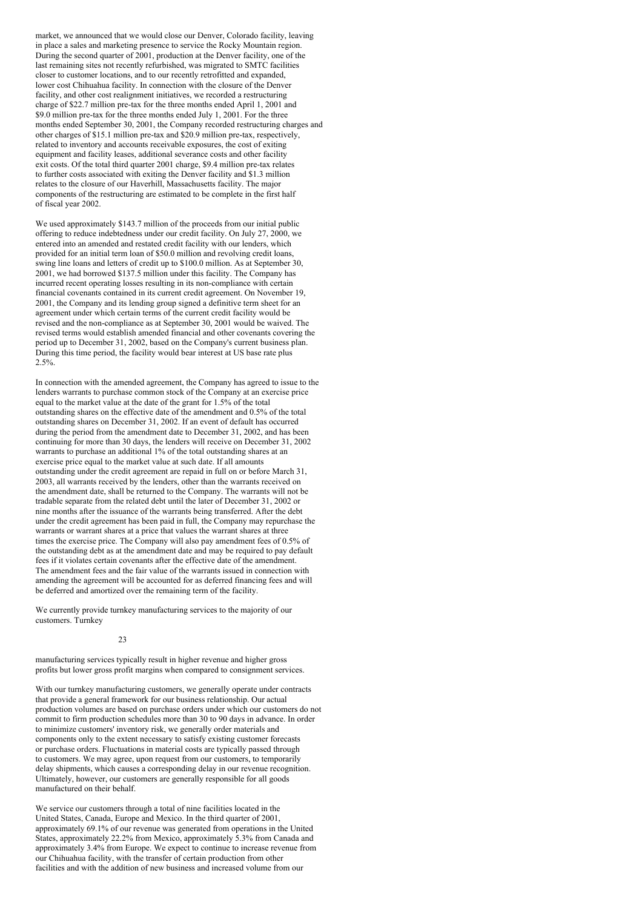market, we announced that we would close our Denver, Colorado facility, leaving in place a sales and marketing presence to service the Rocky Mountain region. During the second quarter of 2001, production at the Denver facility, one of the last remaining sites not recently refurbished, was migrated to SMTC facilities closer to customer locations, and to our recently retrofitted and expanded, lower cost Chihuahua facility. In connection with the closure of the Denver facility, and other cost realignment initiatives, we recorded a restructuring charge of \$22.7 million pre-tax for the three months ended April 1, 2001 and \$9.0 million pre-tax for the three months ended July 1, 2001. For the three months ended September 30, 2001, the Company recorded restructuring charges and other charges of \$15.1 million pre-tax and \$20.9 million pre-tax, respectively, related to inventory and accounts receivable exposures, the cost of exiting equipment and facility leases, additional severance costs and other facility exit costs. Of the total third quarter 2001 charge, \$9.4 million pre-tax relates to further costs associated with exiting the Denver facility and \$1.3 million relates to the closure of our Haverhill, Massachusetts facility. The major components of the restructuring are estimated to be complete in the first half of fiscal year 2002.

We used approximately \$143.7 million of the proceeds from our initial public offering to reduce indebtedness under our credit facility. On July 27, 2000, we entered into an amended and restated credit facility with our lenders, which provided for an initial term loan of \$50.0 million and revolving credit loans, swing line loans and letters of credit up to \$100.0 million. As at September 30, 2001, we had borrowed \$137.5 million under this facility. The Company has incurred recent operating losses resulting in its non-compliance with certain financial covenants contained in its current credit agreement. On November 19, 2001, the Company and its lending group signed a definitive term sheet for an agreement under which certain terms of the current credit facility would be revised and the non-compliance as at September 30, 2001 would be waived. The revised terms would establish amended financial and other covenants covering the period up to December 31, 2002, based on the Company's current business plan. During this time period, the facility would bear interest at US base rate plus 2.5%.

In connection with the amended agreement, the Company has agreed to issue to the lenders warrants to purchase common stock of the Company at an exercise price equal to the market value at the date of the grant for 1.5% of the total outstanding shares on the effective date of the amendment and 0.5% of the total outstanding shares on December 31, 2002. If an event of default has occurred during the period from the amendment date to December 31, 2002, and has been continuing for more than 30 days, the lenders will receive on December 31, 2002 warrants to purchase an additional 1% of the total outstanding shares at an exercise price equal to the market value at such date. If all amounts outstanding under the credit agreement are repaid in full on or before March 31, 2003, all warrants received by the lenders, other than the warrants received on the amendment date, shall be returned to the Company. The warrants will not be tradable separate from the related debt until the later of December 31, 2002 or nine months after the issuance of the warrants being transferred. After the debt under the credit agreement has been paid in full, the Company may repurchase the warrants or warrant shares at a price that values the warrant shares at three times the exercise price. The Company will also pay amendment fees of 0.5% of the outstanding debt as at the amendment date and may be required to pay default fees if it violates certain covenants after the effective date of the amendment. The amendment fees and the fair value of the warrants issued in connection with amending the agreement will be accounted for as deferred financing fees and will be deferred and amortized over the remaining term of the facility.

We currently provide turnkey manufacturing services to the majority of our customers. Turnkey

 $23$ 

manufacturing services typically result in higher revenue and higher gross profits but lower gross profit margins when compared to consignment services.

With our turnkey manufacturing customers, we generally operate under contracts that provide a general framework for our business relationship. Our actual production volumes are based on purchase orders under which our customers do not commit to firm production schedules more than 30 to 90 days in advance. In order to minimize customers' inventory risk, we generally order materials and components only to the extent necessary to satisfy existing customer forecasts or purchase orders. Fluctuations in material costs are typically passed through to customers. We may agree, upon request from our customers, to temporarily delay shipments, which causes a corresponding delay in our revenue recognition. Ultimately, however, our customers are generally responsible for all goods manufactured on their behalf.

We service our customers through a total of nine facilities located in the United States, Canada, Europe and Mexico. In the third quarter of 2001, approximately 69.1% of our revenue was generated from operations in the United States, approximately 22.2% from Mexico, approximately 5.3% from Canada and approximately 3.4% from Europe. We expect to continue to increase revenue from our Chihuahua facility, with the transfer of certain production from other facilities and with the addition of new business and increased volume from our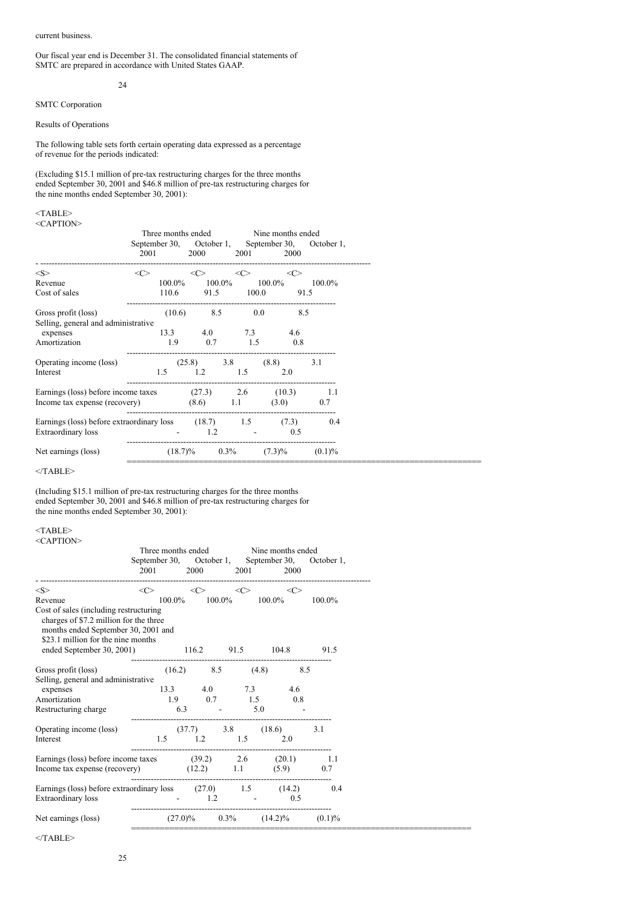#### current business.

Our fiscal year end is December 31. The consolidated financial statements of SMTC are prepared in accordance with United States GAAP.

#### 24

# SMTC Corporation

Results of Operations

The following table sets forth certain operating data expressed as a percentage of revenue for the periods indicated:

(Excluding \$15.1 million of pre-tax restructuring charges for the three months ended September 30, 2001 and \$46.8 million of pre-tax restructuring charges for the nine months ended September 30, 2001):

<TABLE> <CAPTION>

| $\langle C \rangle$<br>< S<br><<><br>$\langle$ C><br><<><br>$100.0\%$ $100.0\%$<br>$100.0\%$<br>Revenue<br>$100.0\%$<br>Cost of sales<br>110.6<br>91.5 100.0<br>91.5<br>$(10.6)$ 8.5 0.0<br>8.5<br>Gross profit (loss)<br>Selling, general and administrative<br>13.3 4.0 7.3 4.6<br>expenses<br>1.5<br>1.9<br>0.7<br>0.8<br>Amortization<br>Operating income (loss)<br>$(25.8)$ 3.8 $(8.8)$<br>3.1<br>1.5<br>$1.2 \t1.5$<br>2.0<br>Interest<br>Earnings (loss) before income taxes (27.3) 2.6 (10.3) 1.1<br>Income tax expense (recovery) $(8.6)$ 1.1 $(3.0)$ 0.7<br>Earnings (loss) before extraordinary loss $(18.7)$ 1.5 $(7.3)$<br>0.4<br>Extraordinary loss<br>1.2<br><b>Contract Contract</b><br>0.5<br>$\sim$<br>$(7.3)\%$<br>Net earnings (loss)<br>$(18.7)\%$ 0.3%<br>$(0.1)\%$ | 2001 | Three months ended Nine months ended<br>2000 | 2001 | 2000 | September 30, October 1, September 30, October 1, |
|-------------------------------------------------------------------------------------------------------------------------------------------------------------------------------------------------------------------------------------------------------------------------------------------------------------------------------------------------------------------------------------------------------------------------------------------------------------------------------------------------------------------------------------------------------------------------------------------------------------------------------------------------------------------------------------------------------------------------------------------------------------------------------------------|------|----------------------------------------------|------|------|---------------------------------------------------|
|                                                                                                                                                                                                                                                                                                                                                                                                                                                                                                                                                                                                                                                                                                                                                                                           |      |                                              |      |      |                                                   |
|                                                                                                                                                                                                                                                                                                                                                                                                                                                                                                                                                                                                                                                                                                                                                                                           |      |                                              |      |      |                                                   |
|                                                                                                                                                                                                                                                                                                                                                                                                                                                                                                                                                                                                                                                                                                                                                                                           |      |                                              |      |      |                                                   |
|                                                                                                                                                                                                                                                                                                                                                                                                                                                                                                                                                                                                                                                                                                                                                                                           |      |                                              |      |      |                                                   |
|                                                                                                                                                                                                                                                                                                                                                                                                                                                                                                                                                                                                                                                                                                                                                                                           |      |                                              |      |      |                                                   |
|                                                                                                                                                                                                                                                                                                                                                                                                                                                                                                                                                                                                                                                                                                                                                                                           |      |                                              |      |      |                                                   |
|                                                                                                                                                                                                                                                                                                                                                                                                                                                                                                                                                                                                                                                                                                                                                                                           |      |                                              |      |      |                                                   |
|                                                                                                                                                                                                                                                                                                                                                                                                                                                                                                                                                                                                                                                                                                                                                                                           |      |                                              |      |      |                                                   |
|                                                                                                                                                                                                                                                                                                                                                                                                                                                                                                                                                                                                                                                                                                                                                                                           |      |                                              |      |      |                                                   |
|                                                                                                                                                                                                                                                                                                                                                                                                                                                                                                                                                                                                                                                                                                                                                                                           |      |                                              |      |      |                                                   |
|                                                                                                                                                                                                                                                                                                                                                                                                                                                                                                                                                                                                                                                                                                                                                                                           |      |                                              |      |      |                                                   |
|                                                                                                                                                                                                                                                                                                                                                                                                                                                                                                                                                                                                                                                                                                                                                                                           |      |                                              |      |      |                                                   |
|                                                                                                                                                                                                                                                                                                                                                                                                                                                                                                                                                                                                                                                                                                                                                                                           |      |                                              |      |      |                                                   |
|                                                                                                                                                                                                                                                                                                                                                                                                                                                                                                                                                                                                                                                                                                                                                                                           |      |                                              |      |      |                                                   |

 $<$ /TABLE>

(Including \$15.1 million of pre-tax restructuring charges for the three months ended September 30, 2001 and \$46.8 million of pre-tax restructuring charges for the nine months ended September 30, 2001):

#### <TABLE> <CAPTION>

|                                                                                                                                                               |                                      |                     | Three months ended Nine months ended<br>2001 2000 2001 2000 |              |                     | September 30, October 1, September 30, October 1, |
|---------------------------------------------------------------------------------------------------------------------------------------------------------------|--------------------------------------|---------------------|-------------------------------------------------------------|--------------|---------------------|---------------------------------------------------|
| $<\!\!S\!\!>$                                                                                                                                                 | $\langle$ $\rangle$                  | $\langle C \rangle$ |                                                             | $\langle$ C> | $\langle C \rangle$ |                                                   |
| Revenue                                                                                                                                                       |                                      |                     | $100.0\%$ $100.0\%$ $100.0\%$ $100.0\%$ $100.0\%$           |              |                     |                                                   |
| Cost of sales (including restructuring<br>charges of \$7.2 million for the three<br>months ended September 30, 2001 and<br>\$23.1 million for the nine months |                                      |                     |                                                             |              |                     |                                                   |
| ended September 30, 2001) 116.2 91.5 104.8 91.5                                                                                                               |                                      |                     |                                                             |              |                     |                                                   |
|                                                                                                                                                               |                                      |                     |                                                             |              |                     |                                                   |
| Gross profit (loss) (16.2) 8.5 (4.8) 8.5                                                                                                                      |                                      |                     |                                                             |              |                     |                                                   |
| Selling, general and administrative                                                                                                                           |                                      |                     |                                                             |              |                     |                                                   |
| expenses                                                                                                                                                      |                                      |                     | 13.3 4.0 7.3 4.6                                            |              |                     |                                                   |
| Amortization                                                                                                                                                  | 1.9 0.7 1.5 0.8                      |                     |                                                             |              |                     |                                                   |
| Restructuring charge 6.3 - 5.0 -                                                                                                                              |                                      |                     |                                                             |              |                     |                                                   |
| Operating income (loss)                                                                                                                                       | $(37.7)$ 3.8 $(18.6)$                |                     |                                                             |              |                     | 3.1                                               |
| Interest                                                                                                                                                      | 1.5 1.2 1.5 2.0                      |                     |                                                             |              |                     |                                                   |
|                                                                                                                                                               |                                      |                     |                                                             |              |                     |                                                   |
| Earnings (loss) before income taxes (39.2) 2.6 (20.1) 1.1                                                                                                     |                                      |                     |                                                             |              |                     |                                                   |
| Income tax expense (recovery) $(12.2)$ 1.1 $(5.9)$ 0.7                                                                                                        |                                      |                     |                                                             |              |                     |                                                   |
| Earnings (loss) before extraordinary loss $(27.0)$ 1.5 $(14.2)$ 0.4<br>Extraordinary loss                                                                     | $-1.2$                               |                     |                                                             |              | 0.5                 |                                                   |
| Net earnings (loss)                                                                                                                                           | $(27.0)\%$ 0.3% $(14.2)\%$ $(0.1)\%$ |                     |                                                             |              |                     |                                                   |

 $<$ /TABLE>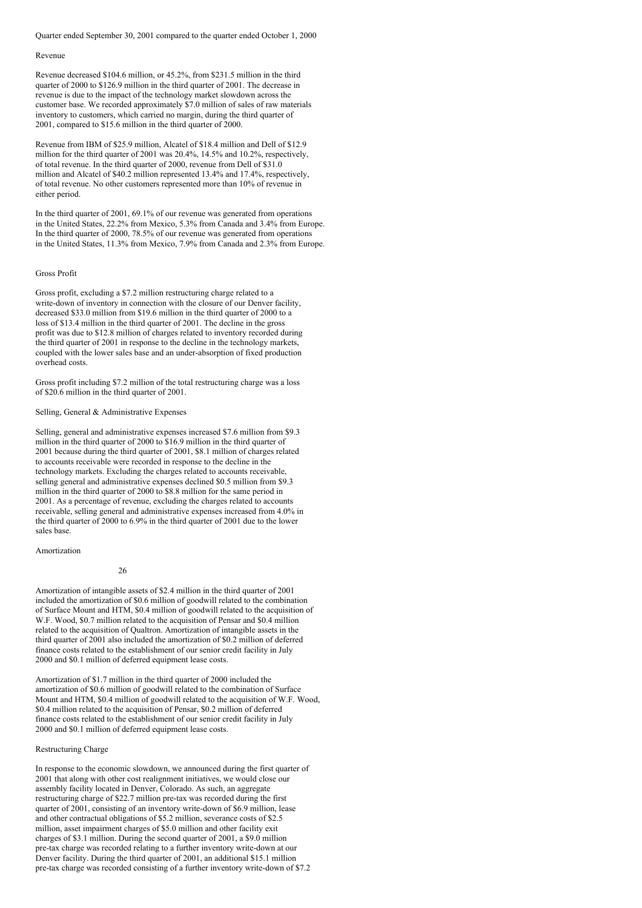Quarter ended September 30, 2001 compared to the quarter ended October 1, 2000

#### Revenue

Revenue decreased \$104.6 million, or 45.2%, from \$231.5 million in the third quarter of 2000 to \$126.9 million in the third quarter of 2001. The decrease in revenue is due to the impact of the technology market slowdown across the customer base. We recorded approximately \$7.0 million of sales of raw materials inventory to customers, which carried no margin, during the third quarter of 2001, compared to \$15.6 million in the third quarter of 2000.

Revenue from IBM of \$25.9 million, Alcatel of \$18.4 million and Dell of \$12.9 million for the third quarter of 2001 was 20.4%, 14.5% and 10.2%, respectively, of total revenue. In the third quarter of 2000, revenue from Dell of \$31.0 million and Alcatel of \$40.2 million represented 13.4% and 17.4%, respectively, of total revenue. No other customers represented more than 10% of revenue in either period.

In the third quarter of 2001, 69.1% of our revenue was generated from operations in the United States, 22.2% from Mexico, 5.3% from Canada and 3.4% from Europe. In the third quarter of 2000, 78.5% of our revenue was generated from operations in the United States, 11.3% from Mexico, 7.9% from Canada and 2.3% from Europe.

#### Gross Profit

Gross profit, excluding a \$7.2 million restructuring charge related to a write-down of inventory in connection with the closure of our Denver facility. decreased \$33.0 million from \$19.6 million in the third quarter of 2000 to a loss of \$13.4 million in the third quarter of 2001. The decline in the gross profit was due to \$12.8 million of charges related to inventory recorded during the third quarter of 2001 in response to the decline in the technology markets, coupled with the lower sales base and an under-absorption of fixed production overhead costs.

Gross profit including \$7.2 million of the total restructuring charge was a loss of \$20.6 million in the third quarter of 2001.

### Selling, General & Administrative Expenses

Selling, general and administrative expenses increased \$7.6 million from \$9.3 million in the third quarter of 2000 to \$16.9 million in the third quarter of 2001 because during the third quarter of 2001, \$8.1 million of charges related to accounts receivable were recorded in response to the decline in the technology markets. Excluding the charges related to accounts receivable, selling general and administrative expenses declined \$0.5 million from \$9.3 million in the third quarter of 2000 to \$8.8 million for the same period in 2001. As a percentage of revenue, excluding the charges related to accounts receivable, selling general and administrative expenses increased from 4.0% in the third quarter of 2000 to 6.9% in the third quarter of 2001 due to the lower sales base.

#### Amortization

#### 26

Amortization of intangible assets of \$2.4 million in the third quarter of 2001 included the amortization of \$0.6 million of goodwill related to the combination of Surface Mount and HTM, \$0.4 million of goodwill related to the acquisition of W.F. Wood, \$0.7 million related to the acquisition of Pensar and \$0.4 million related to the acquisition of Qualtron. Amortization of intangible assets in the third quarter of 2001 also included the amortization of \$0.2 million of deferred finance costs related to the establishment of our senior credit facility in July 2000 and \$0.1 million of deferred equipment lease costs.

Amortization of \$1.7 million in the third quarter of 2000 included the amortization of \$0.6 million of goodwill related to the combination of Surface Mount and HTM, \$0.4 million of goodwill related to the acquisition of W.F. Wood, \$0.4 million related to the acquisition of Pensar, \$0.2 million of deferred finance costs related to the establishment of our senior credit facility in July 2000 and \$0.1 million of deferred equipment lease costs.

#### Restructuring Charge

In response to the economic slowdown, we announced during the first quarter of 2001 that along with other cost realignment initiatives, we would close our assembly facility located in Denver, Colorado. As such, an aggregate restructuring charge of \$22.7 million pre-tax was recorded during the first quarter of 2001, consisting of an inventory write-down of \$6.9 million, lease and other contractual obligations of \$5.2 million, severance costs of \$2.5 million, asset impairment charges of \$5.0 million and other facility exit charges of \$3.1 million. During the second quarter of 2001, a \$9.0 million pre-tax charge was recorded relating to a further inventory write-down at our Denver facility. During the third quarter of 2001, an additional \$15.1 million pre-tax charge was recorded consisting of a further inventory write-down of \$7.2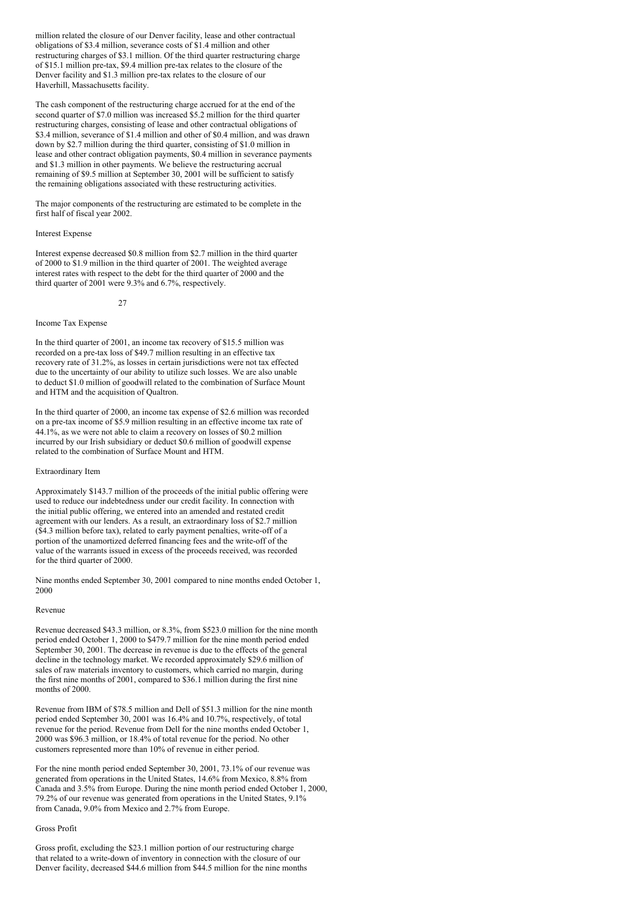million related the closure of our Denver facility, lease and other contractual obligations of \$3.4 million, severance costs of \$1.4 million and other restructuring charges of \$3.1 million. Of the third quarter restructuring charge of \$15.1 million pre-tax, \$9.4 million pre-tax relates to the closure of the Denver facility and \$1.3 million pre-tax relates to the closure of our Haverhill, Massachusetts facility.

The cash component of the restructuring charge accrued for at the end of the second quarter of \$7.0 million was increased \$5.2 million for the third quarter restructuring charges, consisting of lease and other contractual obligations of \$3.4 million, severance of \$1.4 million and other of \$0.4 million, and was drawn down by \$2.7 million during the third quarter, consisting of \$1.0 million in lease and other contract obligation payments, \$0.4 million in severance payments and \$1.3 million in other payments. We believe the restructuring accrual remaining of \$9.5 million at September 30, 2001 will be sufficient to satisfy the remaining obligations associated with these restructuring activities.

The major components of the restructuring are estimated to be complete in the first half of fiscal year 2002.

#### Interest Expense

Interest expense decreased \$0.8 million from \$2.7 million in the third quarter of 2000 to \$1.9 million in the third quarter of 2001. The weighted average interest rates with respect to the debt for the third quarter of 2000 and the third quarter of 2001 were 9.3% and 6.7%, respectively.

27

#### Income Tax Expense

In the third quarter of 2001, an income tax recovery of \$15.5 million was recorded on a pre-tax loss of \$49.7 million resulting in an effective tax recovery rate of 31.2%, as losses in certain jurisdictions were not tax effected due to the uncertainty of our ability to utilize such losses. We are also unable to deduct \$1.0 million of goodwill related to the combination of Surface Mount and HTM and the acquisition of Qualtron.

In the third quarter of 2000, an income tax expense of \$2.6 million was recorded on a pre-tax income of \$5.9 million resulting in an effective income tax rate of 44.1%, as we were not able to claim a recovery on losses of \$0.2 million incurred by our Irish subsidiary or deduct \$0.6 million of goodwill expense related to the combination of Surface Mount and HTM.

#### Extraordinary Item

Approximately \$143.7 million of the proceeds of the initial public offering were used to reduce our indebtedness under our credit facility. In connection with the initial public offering, we entered into an amended and restated credit agreement with our lenders. As a result, an extraordinary loss of \$2.7 million (\$4.3 million before tax), related to early payment penalties, write-off of a portion of the unamortized deferred financing fees and the write-off of the value of the warrants issued in excess of the proceeds received, was recorded for the third quarter of 2000.

Nine months ended September 30, 2001 compared to nine months ended October 1, 2000

#### Revenue

Revenue decreased \$43.3 million, or 8.3%, from \$523.0 million for the nine month period ended October 1, 2000 to \$479.7 million for the nine month period ended September 30, 2001. The decrease in revenue is due to the effects of the general decline in the technology market. We recorded approximately \$29.6 million of sales of raw materials inventory to customers, which carried no margin, during the first nine months of 2001, compared to \$36.1 million during the first nine months of 2000.

Revenue from IBM of \$78.5 million and Dell of \$51.3 million for the nine month period ended September 30, 2001 was 16.4% and 10.7%, respectively, of total revenue for the period. Revenue from Dell for the nine months ended October 1, 2000 was \$96.3 million, or 18.4% of total revenue for the period. No other customers represented more than 10% of revenue in either period.

For the nine month period ended September 30, 2001, 73.1% of our revenue was generated from operations in the United States, 14.6% from Mexico, 8.8% from Canada and 3.5% from Europe. During the nine month period ended October 1, 2000, 79.2% of our revenue was generated from operations in the United States, 9.1% from Canada, 9.0% from Mexico and 2.7% from Europe.

#### Gross Profit

Gross profit, excluding the \$23.1 million portion of our restructuring charge that related to a write-down of inventory in connection with the closure of our Denver facility, decreased \$44.6 million from \$44.5 million for the nine months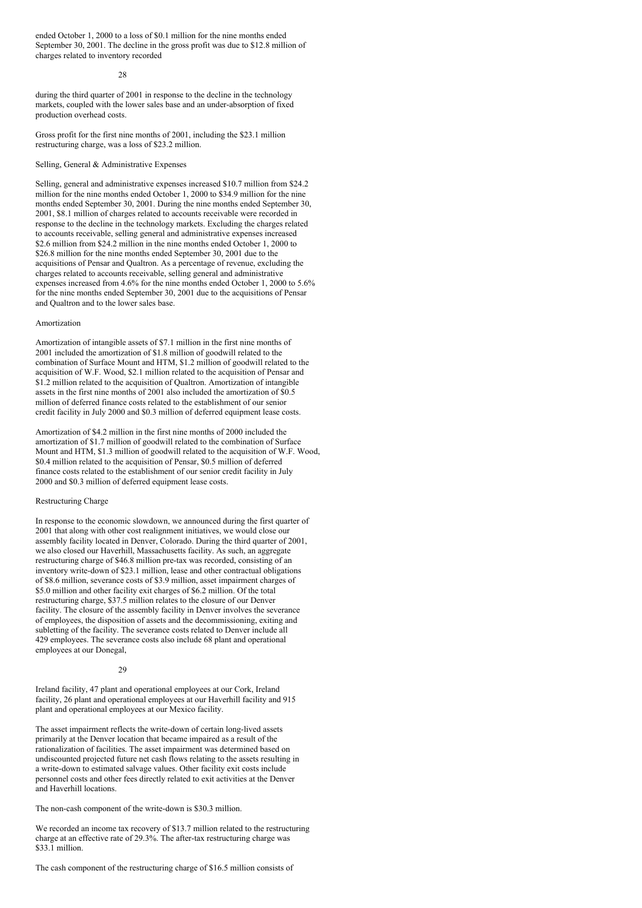ended October 1, 2000 to a loss of \$0.1 million for the nine months ended September 30, 2001. The decline in the gross profit was due to \$12.8 million of charges related to inventory recorded

### $28$

during the third quarter of 2001 in response to the decline in the technology markets, coupled with the lower sales base and an under-absorption of fixed production overhead costs.

Gross profit for the first nine months of 2001, including the \$23.1 million restructuring charge, was a loss of \$23.2 million.

Selling, General & Administrative Expenses

Selling, general and administrative expenses increased \$10.7 million from \$24.2 million for the nine months ended October 1, 2000 to \$34.9 million for the nine months ended September 30, 2001. During the nine months ended September 30, 2001, \$8.1 million of charges related to accounts receivable were recorded in response to the decline in the technology markets. Excluding the charges related to accounts receivable, selling general and administrative expenses increased \$2.6 million from \$24.2 million in the nine months ended October 1, 2000 to \$26.8 million for the nine months ended September 30, 2001 due to the acquisitions of Pensar and Qualtron. As a percentage of revenue, excluding the charges related to accounts receivable, selling general and administrative expenses increased from 4.6% for the nine months ended October 1, 2000 to 5.6% for the nine months ended September 30, 2001 due to the acquisitions of Pensar and Qualtron and to the lower sales base.

#### Amortization

Amortization of intangible assets of \$7.1 million in the first nine months of 2001 included the amortization of \$1.8 million of goodwill related to the combination of Surface Mount and HTM, \$1.2 million of goodwill related to the acquisition of W.F. Wood, \$2.1 million related to the acquisition of Pensar and \$1.2 million related to the acquisition of Qualtron. Amortization of intangible assets in the first nine months of 2001 also included the amortization of \$0.5 million of deferred finance costs related to the establishment of our senior credit facility in July 2000 and \$0.3 million of deferred equipment lease costs.

Amortization of \$4.2 million in the first nine months of 2000 included the amortization of \$1.7 million of goodwill related to the combination of Surface Mount and HTM, \$1.3 million of goodwill related to the acquisition of W.F. Wood, \$0.4 million related to the acquisition of Pensar, \$0.5 million of deferred finance costs related to the establishment of our senior credit facility in July 2000 and \$0.3 million of deferred equipment lease costs.

#### Restructuring Charge

In response to the economic slowdown, we announced during the first quarter of 2001 that along with other cost realignment initiatives, we would close our assembly facility located in Denver, Colorado. During the third quarter of 2001, we also closed our Haverhill, Massachusetts facility. As such, an aggregate restructuring charge of \$46.8 million pre-tax was recorded, consisting of an inventory write-down of \$23.1 million, lease and other contractual obligations of \$8.6 million, severance costs of \$3.9 million, asset impairment charges of \$5.0 million and other facility exit charges of \$6.2 million. Of the total restructuring charge, \$37.5 million relates to the closure of our Denver facility. The closure of the assembly facility in Denver involves the severance of employees, the disposition of assets and the decommissioning, exiting and subletting of the facility. The severance costs related to Denver include all 429 employees. The severance costs also include 68 plant and operational employees at our Donegal,

#### $29$

Ireland facility, 47 plant and operational employees at our Cork, Ireland facility, 26 plant and operational employees at our Haverhill facility and 915 plant and operational employees at our Mexico facility.

The asset impairment reflects the write-down of certain long-lived assets primarily at the Denver location that became impaired as a result of the rationalization of facilities. The asset impairment was determined based on undiscounted projected future net cash flows relating to the assets resulting in a write-down to estimated salvage values. Other facility exit costs include personnel costs and other fees directly related to exit activities at the Denver and Haverhill locations.

The non-cash component of the write-down is \$30.3 million.

We recorded an income tax recovery of \$13.7 million related to the restructuring charge at an effective rate of 29.3%. The after-tax restructuring charge was \$33.1 million.

The cash component of the restructuring charge of \$16.5 million consists of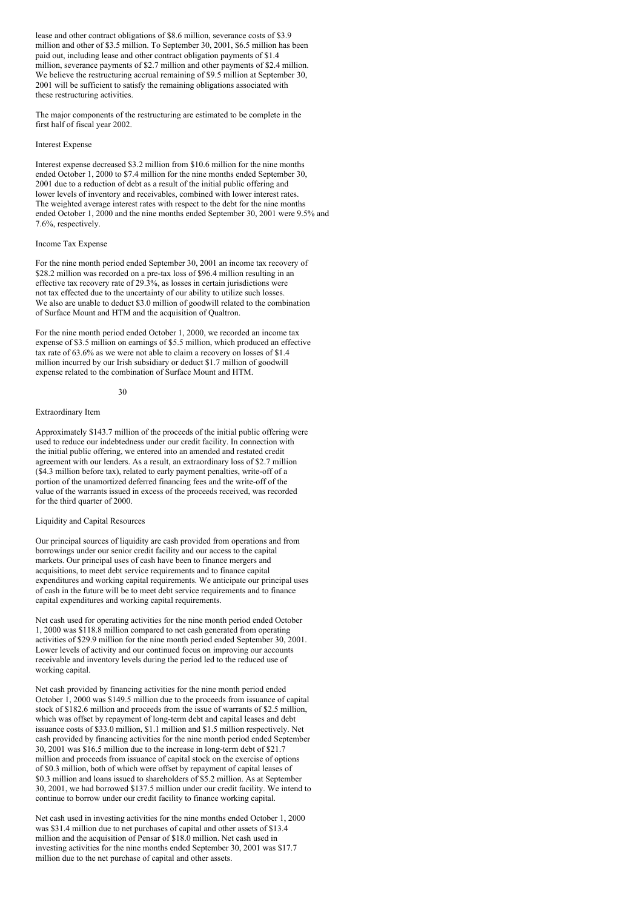lease and other contract obligations of \$8.6 million, severance costs of \$3.9 million and other of \$3.5 million. To September 30, 2001, \$6.5 million has been paid out, including lease and other contract obligation payments of \$1.4 million, severance payments of \$2.7 million and other payments of \$2.4 million. We believe the restructuring accrual remaining of \$9.5 million at September 30, 2001 will be sufficient to satisfy the remaining obligations associated with these restructuring activities.

The major components of the restructuring are estimated to be complete in the first half of fiscal year 2002.

#### Interest Expense

Interest expense decreased \$3.2 million from \$10.6 million for the nine months ended October 1, 2000 to \$7.4 million for the nine months ended September 30, 2001 due to a reduction of debt as a result of the initial public offering and lower levels of inventory and receivables, combined with lower interest rates. The weighted average interest rates with respect to the debt for the nine months ended October 1, 2000 and the nine months ended September 30, 2001 were 9.5% and 7.6%, respectively.

#### Income Tax Expense

For the nine month period ended September 30, 2001 an income tax recovery of \$28.2 million was recorded on a pre-tax loss of \$96.4 million resulting in an effective tax recovery rate of 29.3%, as losses in certain jurisdictions were not tax effected due to the uncertainty of our ability to utilize such losses. We also are unable to deduct \$3.0 million of goodwill related to the combination of Surface Mount and HTM and the acquisition of Qualtron.

For the nine month period ended October 1, 2000, we recorded an income tax expense of \$3.5 million on earnings of \$5.5 million, which produced an effective tax rate of 63.6% as we were not able to claim a recovery on losses of \$1.4 million incurred by our Irish subsidiary or deduct \$1.7 million of goodwill expense related to the combination of Surface Mount and HTM.

#### $30$

#### Extraordinary Item

Approximately \$143.7 million of the proceeds of the initial public offering were used to reduce our indebtedness under our credit facility. In connection with the initial public offering, we entered into an amended and restated credit agreement with our lenders. As a result, an extraordinary loss of \$2.7 million (\$4.3 million before tax), related to early payment penalties, write-off of a portion of the unamortized deferred financing fees and the write-off of the value of the warrants issued in excess of the proceeds received, was recorded for the third quarter of 2000.

#### Liquidity and Capital Resources

Our principal sources of liquidity are cash provided from operations and from borrowings under our senior credit facility and our access to the capital markets. Our principal uses of cash have been to finance mergers and acquisitions, to meet debt service requirements and to finance capital expenditures and working capital requirements. We anticipate our principal uses of cash in the future will be to meet debt service requirements and to finance capital expenditures and working capital requirements.

Net cash used for operating activities for the nine month period ended October 1, 2000 was \$118.8 million compared to net cash generated from operating activities of \$29.9 million for the nine month period ended September 30, 2001. Lower levels of activity and our continued focus on improving our accounts receivable and inventory levels during the period led to the reduced use of working capital.

Net cash provided by financing activities for the nine month period ended October 1, 2000 was \$149.5 million due to the proceeds from issuance of capital stock of \$182.6 million and proceeds from the issue of warrants of \$2.5 million, which was offset by repayment of long-term debt and capital leases and debt issuance costs of \$33.0 million, \$1.1 million and \$1.5 million respectively. Net cash provided by financing activities for the nine month period ended September 30, 2001 was \$16.5 million due to the increase in long-term debt of \$21.7 million and proceeds from issuance of capital stock on the exercise of options of \$0.3 million, both of which were offset by repayment of capital leases of \$0.3 million and loans issued to shareholders of \$5.2 million. As at September 30, 2001, we had borrowed \$137.5 million under our credit facility. We intend to continue to borrow under our credit facility to finance working capital.

Net cash used in investing activities for the nine months ended October 1, 2000 was \$31.4 million due to net purchases of capital and other assets of \$13.4 million and the acquisition of Pensar of \$18.0 million. Net cash used in investing activities for the nine months ended September 30, 2001 was \$17.7 million due to the net purchase of capital and other assets.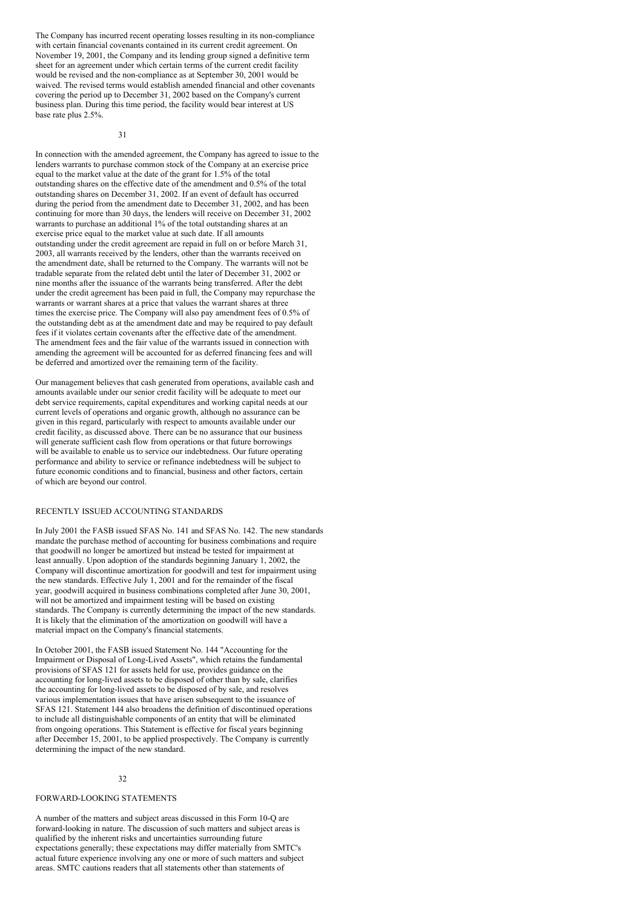The Company has incurred recent operating losses resulting in its non-compliance with certain financial covenants contained in its current credit agreement. On November 19, 2001, the Company and its lending group signed a definitive term sheet for an agreement under which certain terms of the current credit facility would be revised and the non-compliance as at September 30, 2001 would be waived. The revised terms would establish amended financial and other covenants covering the period up to December 31, 2002 based on the Company's current business plan. During this time period, the facility would bear interest at US base rate plus 2.5%.

31

In connection with the amended agreement, the Company has agreed to issue to the lenders warrants to purchase common stock of the Company at an exercise price equal to the market value at the date of the grant for 1.5% of the total outstanding shares on the effective date of the amendment and 0.5% of the total outstanding shares on December 31, 2002. If an event of default has occurred during the period from the amendment date to December 31, 2002, and has been continuing for more than 30 days, the lenders will receive on December 31, 2002 warrants to purchase an additional 1% of the total outstanding shares at an exercise price equal to the market value at such date. If all amounts outstanding under the credit agreement are repaid in full on or before March 31, 2003, all warrants received by the lenders, other than the warrants received on the amendment date, shall be returned to the Company. The warrants will not be tradable separate from the related debt until the later of December 31, 2002 or nine months after the issuance of the warrants being transferred. After the debt under the credit agreement has been paid in full, the Company may repurchase the warrants or warrant shares at a price that values the warrant shares at three times the exercise price. The Company will also pay amendment fees of 0.5% of the outstanding debt as at the amendment date and may be required to pay default fees if it violates certain covenants after the effective date of the amendment. The amendment fees and the fair value of the warrants issued in connection with amending the agreement will be accounted for as deferred financing fees and will be deferred and amortized over the remaining term of the facility.

Our management believes that cash generated from operations, available cash and amounts available under our senior credit facility will be adequate to meet our debt service requirements, capital expenditures and working capital needs at our current levels of operations and organic growth, although no assurance can be given in this regard, particularly with respect to amounts available under our credit facility, as discussed above. There can be no assurance that our business will generate sufficient cash flow from operations or that future borrowings will be available to enable us to service our indebtedness. Our future operating performance and ability to service or refinance indebtedness will be subject to future economic conditions and to financial, business and other factors, certain of which are beyond our control.

#### RECENTLY ISSUED ACCOUNTING STANDARDS

In July 2001 the FASB issued SFAS No. 141 and SFAS No. 142. The new standards mandate the purchase method of accounting for business combinations and require that goodwill no longer be amortized but instead be tested for impairment at least annually. Upon adoption of the standards beginning January 1, 2002, the Company will discontinue amortization for goodwill and test for impairment using the new standards. Effective July 1, 2001 and for the remainder of the fiscal year, goodwill acquired in business combinations completed after June 30, 2001, will not be amortized and impairment testing will be based on existing standards. The Company is currently determining the impact of the new standards. It is likely that the elimination of the amortization on goodwill will have a material impact on the Company's financial statements.

In October 2001, the FASB issued Statement No. 144 "Accounting for the Impairment or Disposal of Long-Lived Assets", which retains the fundamental provisions of SFAS 121 for assets held for use, provides guidance on the accounting for long-lived assets to be disposed of other than by sale, clarifies the accounting for long-lived assets to be disposed of by sale, and resolves various implementation issues that have arisen subsequent to the issuance of SFAS 121. Statement 144 also broadens the definition of discontinued operations to include all distinguishable components of an entity that will be eliminated from ongoing operations. This Statement is effective for fiscal years beginning after December 15, 2001, to be applied prospectively. The Company is currently determining the impact of the new standard.

### 32

#### FORWARD-LOOKING STATEMENTS

A number of the matters and subject areas discussed in this Form 10-Q are forward-looking in nature. The discussion of such matters and subject areas is qualified by the inherent risks and uncertainties surrounding future expectations generally; these expectations may differ materially from SMTC's actual future experience involving any one or more of such matters and subject areas. SMTC cautions readers that all statements other than statements of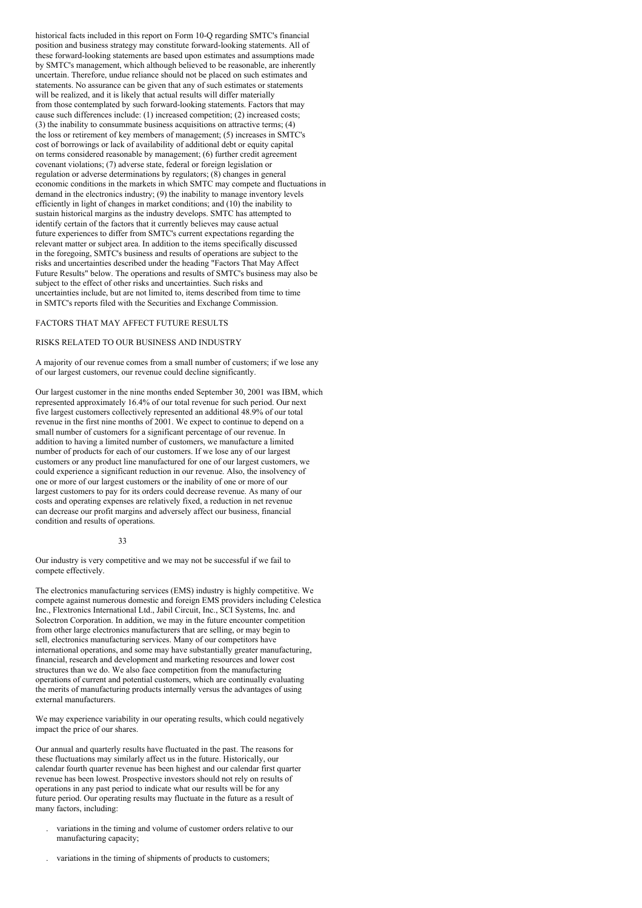historical facts included in this report on Form 10-Q regarding SMTC's financial position and business strategy may constitute forward-looking statements. All of these forward-looking statements are based upon estimates and assumptions made by SMTC's management, which although believed to be reasonable, are inherently uncertain. Therefore, undue reliance should not be placed on such estimates and statements. No assurance can be given that any of such estimates or statements will be realized, and it is likely that actual results will differ materially from those contemplated by such forward-looking statements. Factors that may cause such differences include: (1) increased competition; (2) increased costs; (3) the inability to consummate business acquisitions on attractive terms; (4) the loss or retirement of key members of management; (5) increases in SMTC's cost of borrowings or lack of availability of additional debt or equity capital on terms considered reasonable by management; (6) further credit agreement covenant violations; (7) adverse state, federal or foreign legislation or regulation or adverse determinations by regulators; (8) changes in general economic conditions in the markets in which SMTC may compete and fluctuations in demand in the electronics industry; (9) the inability to manage inventory levels efficiently in light of changes in market conditions; and (10) the inability to sustain historical margins as the industry develops. SMTC has attempted to identify certain of the factors that it currently believes may cause actual future experiences to differ from SMTC's current expectations regarding the relevant matter or subject area. In addition to the items specifically discussed in the foregoing, SMTC's business and results of operations are subject to the risks and uncertainties described under the heading "Factors That May Affect Future Results" below. The operations and results of SMTC's business may also be subject to the effect of other risks and uncertainties. Such risks and uncertainties include, but are not limited to, items described from time to time in SMTC's reports filed with the Securities and Exchange Commission.

#### FACTORS THAT MAY AFFECT FUTURE RESULTS

#### RISKS RELATED TO OUR BUSINESS AND INDUSTRY

A majority of our revenue comes from a small number of customers; if we lose any of our largest customers, our revenue could decline significantly.

Our largest customer in the nine months ended September 30, 2001 was IBM, which represented approximately 16.4% of our total revenue for such period. Our next five largest customers collectively represented an additional 48.9% of our total revenue in the first nine months of 2001. We expect to continue to depend on a small number of customers for a significant percentage of our revenue. In addition to having a limited number of customers, we manufacture a limited number of products for each of our customers. If we lose any of our largest customers or any product line manufactured for one of our largest customers, we could experience a significant reduction in our revenue. Also, the insolvency of one or more of our largest customers or the inability of one or more of our largest customers to pay for its orders could decrease revenue. As many of our costs and operating expenses are relatively fixed, a reduction in net revenue can decrease our profit margins and adversely affect our business, financial condition and results of operations.

#### 33

Our industry is very competitive and we may not be successful if we fail to compete effectively.

The electronics manufacturing services (EMS) industry is highly competitive. We compete against numerous domestic and foreign EMS providers including Celestica Inc., Flextronics International Ltd., Jabil Circuit, Inc., SCI Systems, Inc. and Solectron Corporation. In addition, we may in the future encounter competition from other large electronics manufacturers that are selling, or may begin to sell, electronics manufacturing services. Many of our competitors have international operations, and some may have substantially greater manufacturing, financial, research and development and marketing resources and lower cost structures than we do. We also face competition from the manufacturing operations of current and potential customers, which are continually evaluating the merits of manufacturing products internally versus the advantages of using external manufacturers.

We may experience variability in our operating results, which could negatively impact the price of our shares.

Our annual and quarterly results have fluctuated in the past. The reasons for these fluctuations may similarly affect us in the future. Historically, our calendar fourth quarter revenue has been highest and our calendar first quarter revenue has been lowest. Prospective investors should not rely on results of operations in any past period to indicate what our results will be for any future period. Our operating results may fluctuate in the future as a result of many factors, including:

- . variations in the timing and volume of customer orders relative to our manufacturing capacity;
- . variations in the timing of shipments of products to customers;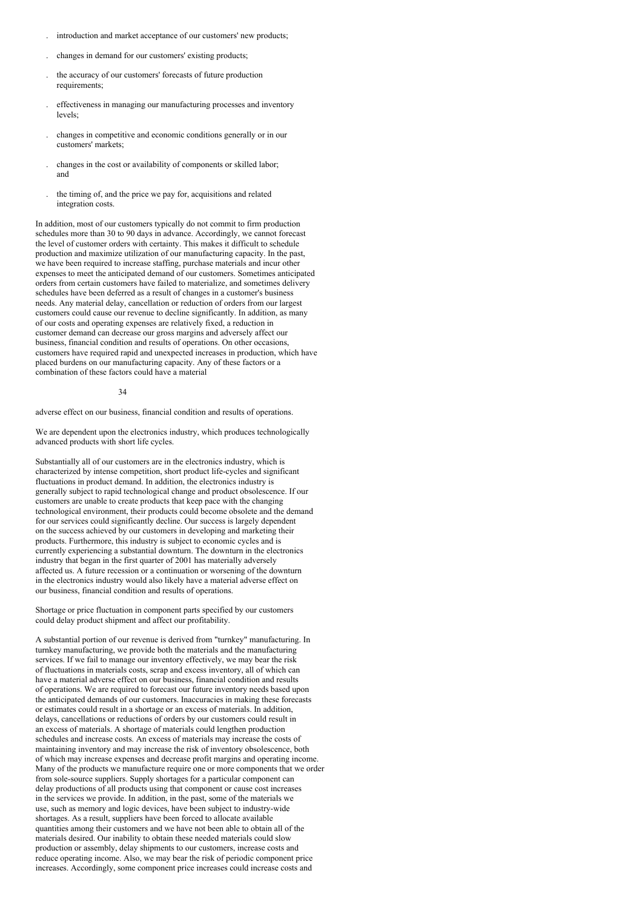- . introduction and market acceptance of our customers' new products;
- . changes in demand for our customers' existing products;
- . the accuracy of our customers' forecasts of future production requirements;
- . effectiveness in managing our manufacturing processes and inventory levels;
- . changes in competitive and economic conditions generally or in our customers' markets;
- . changes in the cost or availability of components or skilled labor; and
- . the timing of, and the price we pay for, acquisitions and related integration costs.

In addition, most of our customers typically do not commit to firm production schedules more than 30 to 90 days in advance. Accordingly, we cannot forecast the level of customer orders with certainty. This makes it difficult to schedule production and maximize utilization of our manufacturing capacity. In the past, we have been required to increase staffing, purchase materials and incur other expenses to meet the anticipated demand of our customers. Sometimes anticipated orders from certain customers have failed to materialize, and sometimes delivery schedules have been deferred as a result of changes in a customer's business needs. Any material delay, cancellation or reduction of orders from our largest customers could cause our revenue to decline significantly. In addition, as many of our costs and operating expenses are relatively fixed, a reduction in customer demand can decrease our gross margins and adversely affect our business, financial condition and results of operations. On other occasions, customers have required rapid and unexpected increases in production, which have placed burdens on our manufacturing capacity. Any of these factors or a combination of these factors could have a material

#### 34

adverse effect on our business, financial condition and results of operations.

We are dependent upon the electronics industry, which produces technologically advanced products with short life cycles.

Substantially all of our customers are in the electronics industry, which is characterized by intense competition, short product life-cycles and significant fluctuations in product demand. In addition, the electronics industry is generally subject to rapid technological change and product obsolescence. If our customers are unable to create products that keep pace with the changing technological environment, their products could become obsolete and the demand for our services could significantly decline. Our success is largely dependent on the success achieved by our customers in developing and marketing their products. Furthermore, this industry is subject to economic cycles and is currently experiencing a substantial downturn. The downturn in the electronics industry that began in the first quarter of 2001 has materially adversely affected us. A future recession or a continuation or worsening of the downturn in the electronics industry would also likely have a material adverse effect on our business, financial condition and results of operations.

Shortage or price fluctuation in component parts specified by our customers could delay product shipment and affect our profitability.

A substantial portion of our revenue is derived from "turnkey" manufacturing. In turnkey manufacturing, we provide both the materials and the manufacturing services. If we fail to manage our inventory effectively, we may bear the risk of fluctuations in materials costs, scrap and excess inventory, all of which can have a material adverse effect on our business, financial condition and results of operations. We are required to forecast our future inventory needs based upon the anticipated demands of our customers. Inaccuracies in making these forecasts or estimates could result in a shortage or an excess of materials. In addition, delays, cancellations or reductions of orders by our customers could result in an excess of materials. A shortage of materials could lengthen production schedules and increase costs. An excess of materials may increase the costs of maintaining inventory and may increase the risk of inventory obsolescence, both of which may increase expenses and decrease profit margins and operating income. Many of the products we manufacture require one or more components that we order from sole-source suppliers. Supply shortages for a particular component can delay productions of all products using that component or cause cost increases in the services we provide. In addition, in the past, some of the materials we use, such as memory and logic devices, have been subject to industry-wide shortages. As a result, suppliers have been forced to allocate available quantities among their customers and we have not been able to obtain all of the materials desired. Our inability to obtain these needed materials could slow production or assembly, delay shipments to our customers, increase costs and reduce operating income. Also, we may bear the risk of periodic component price increases. Accordingly, some component price increases could increase costs and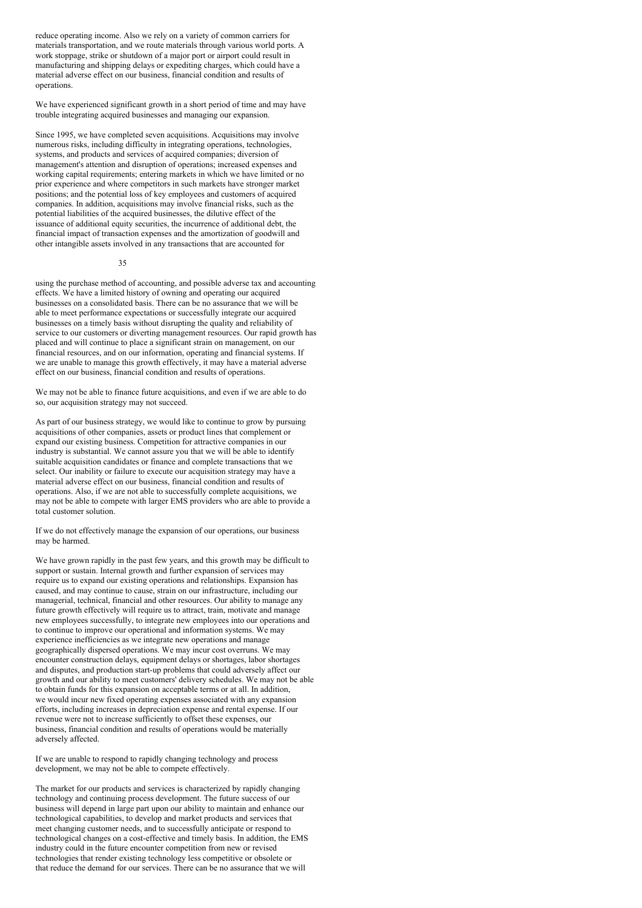reduce operating income. Also we rely on a variety of common carriers for materials transportation, and we route materials through various world ports. A work stoppage, strike or shutdown of a major port or airport could result in manufacturing and shipping delays or expediting charges, which could have a material adverse effect on our business, financial condition and results of operations.

We have experienced significant growth in a short period of time and may have trouble integrating acquired businesses and managing our expansion.

Since 1995, we have completed seven acquisitions. Acquisitions may involve numerous risks, including difficulty in integrating operations, technologies, systems, and products and services of acquired companies; diversion of management's attention and disruption of operations; increased expenses and working capital requirements; entering markets in which we have limited or no prior experience and where competitors in such markets have stronger market positions; and the potential loss of key employees and customers of acquired companies. In addition, acquisitions may involve financial risks, such as the potential liabilities of the acquired businesses, the dilutive effect of the issuance of additional equity securities, the incurrence of additional debt, the financial impact of transaction expenses and the amortization of goodwill and other intangible assets involved in any transactions that are accounted for

#### 35

using the purchase method of accounting, and possible adverse tax and accounting effects. We have a limited history of owning and operating our acquired businesses on a consolidated basis. There can be no assurance that we will be able to meet performance expectations or successfully integrate our acquired businesses on a timely basis without disrupting the quality and reliability of service to our customers or diverting management resources. Our rapid growth has placed and will continue to place a significant strain on management, on our financial resources, and on our information, operating and financial systems. If we are unable to manage this growth effectively, it may have a material adverse effect on our business, financial condition and results of operations.

We may not be able to finance future acquisitions, and even if we are able to do so, our acquisition strategy may not succeed.

As part of our business strategy, we would like to continue to grow by pursuing acquisitions of other companies, assets or product lines that complement or expand our existing business. Competition for attractive companies in our industry is substantial. We cannot assure you that we will be able to identify suitable acquisition candidates or finance and complete transactions that we select. Our inability or failure to execute our acquisition strategy may have a material adverse effect on our business, financial condition and results of operations. Also, if we are not able to successfully complete acquisitions, we may not be able to compete with larger EMS providers who are able to provide a total customer solution.

If we do not effectively manage the expansion of our operations, our business may be harmed.

We have grown rapidly in the past few years, and this growth may be difficult to support or sustain. Internal growth and further expansion of services may require us to expand our existing operations and relationships. Expansion has caused, and may continue to cause, strain on our infrastructure, including our managerial, technical, financial and other resources. Our ability to manage any future growth effectively will require us to attract, train, motivate and manage new employees successfully, to integrate new employees into our operations and to continue to improve our operational and information systems. We may experience inefficiencies as we integrate new operations and manage geographically dispersed operations. We may incur cost overruns. We may encounter construction delays, equipment delays or shortages, labor shortages and disputes, and production start-up problems that could adversely affect our growth and our ability to meet customers' delivery schedules. We may not be able to obtain funds for this expansion on acceptable terms or at all. In addition, we would incur new fixed operating expenses associated with any expansion efforts, including increases in depreciation expense and rental expense. If our revenue were not to increase sufficiently to offset these expenses, our business, financial condition and results of operations would be materially adversely affected.

If we are unable to respond to rapidly changing technology and process development, we may not be able to compete effectively.

The market for our products and services is characterized by rapidly changing technology and continuing process development. The future success of our business will depend in large part upon our ability to maintain and enhance our technological capabilities, to develop and market products and services that meet changing customer needs, and to successfully anticipate or respond to technological changes on a cost-effective and timely basis. In addition, the EMS industry could in the future encounter competition from new or revised technologies that render existing technology less competitive or obsolete or that reduce the demand for our services. There can be no assurance that we will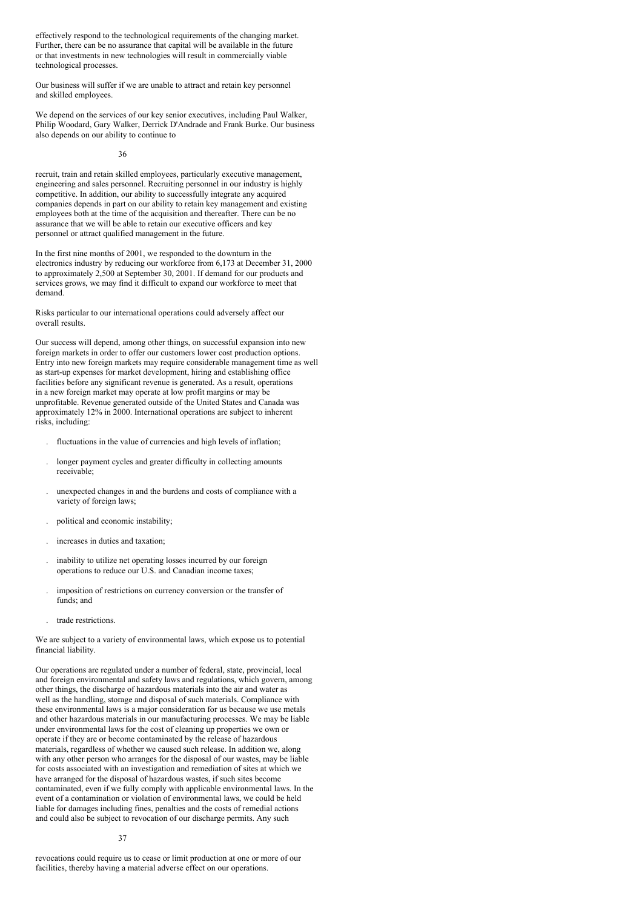effectively respond to the technological requirements of the changing market. Further, there can be no assurance that capital will be available in the future or that investments in new technologies will result in commercially viable technological processes.

Our business will suffer if we are unable to attract and retain key personnel and skilled employees.

We depend on the services of our key senior executives, including Paul Walker, Philip Woodard, Gary Walker, Derrick D'Andrade and Frank Burke. Our business also depends on our ability to continue to

36

recruit, train and retain skilled employees, particularly executive management, engineering and sales personnel. Recruiting personnel in our industry is highly competitive. In addition, our ability to successfully integrate any acquired companies depends in part on our ability to retain key management and existing employees both at the time of the acquisition and thereafter. There can be no assurance that we will be able to retain our executive officers and key personnel or attract qualified management in the future.

In the first nine months of 2001, we responded to the downturn in the electronics industry by reducing our workforce from 6,173 at December 31, 2000 to approximately 2,500 at September 30, 2001. If demand for our products and services grows, we may find it difficult to expand our workforce to meet that demand.

Risks particular to our international operations could adversely affect our overall results.

Our success will depend, among other things, on successful expansion into new foreign markets in order to offer our customers lower cost production options. Entry into new foreign markets may require considerable management time as well as start-up expenses for market development, hiring and establishing office facilities before any significant revenue is generated. As a result, operations in a new foreign market may operate at low profit margins or may be unprofitable. Revenue generated outside of the United States and Canada was approximately 12% in 2000. International operations are subject to inherent risks, including:

- . fluctuations in the value of currencies and high levels of inflation;
- . longer payment cycles and greater difficulty in collecting amounts receivable;
- . unexpected changes in and the burdens and costs of compliance with a variety of foreign laws;
- . political and economic instability;
- . increases in duties and taxation;
- . inability to utilize net operating losses incurred by our foreign operations to reduce our U.S. and Canadian income taxes;
- . imposition of restrictions on currency conversion or the transfer of funds; and
- . trade restrictions.

We are subject to a variety of environmental laws, which expose us to potential financial liability.

Our operations are regulated under a number of federal, state, provincial, local and foreign environmental and safety laws and regulations, which govern, among other things, the discharge of hazardous materials into the air and water as well as the handling, storage and disposal of such materials. Compliance with these environmental laws is a major consideration for us because we use metals and other hazardous materials in our manufacturing processes. We may be liable under environmental laws for the cost of cleaning up properties we own or operate if they are or become contaminated by the release of hazardous materials, regardless of whether we caused such release. In addition we, along with any other person who arranges for the disposal of our wastes, may be liable for costs associated with an investigation and remediation of sites at which we have arranged for the disposal of hazardous wastes, if such sites become contaminated, even if we fully comply with applicable environmental laws. In the event of a contamination or violation of environmental laws, we could be held liable for damages including fines, penalties and the costs of remedial actions and could also be subject to revocation of our discharge permits. Any such

revocations could require us to cease or limit production at one or more of our facilities, thereby having a material adverse effect on our operations.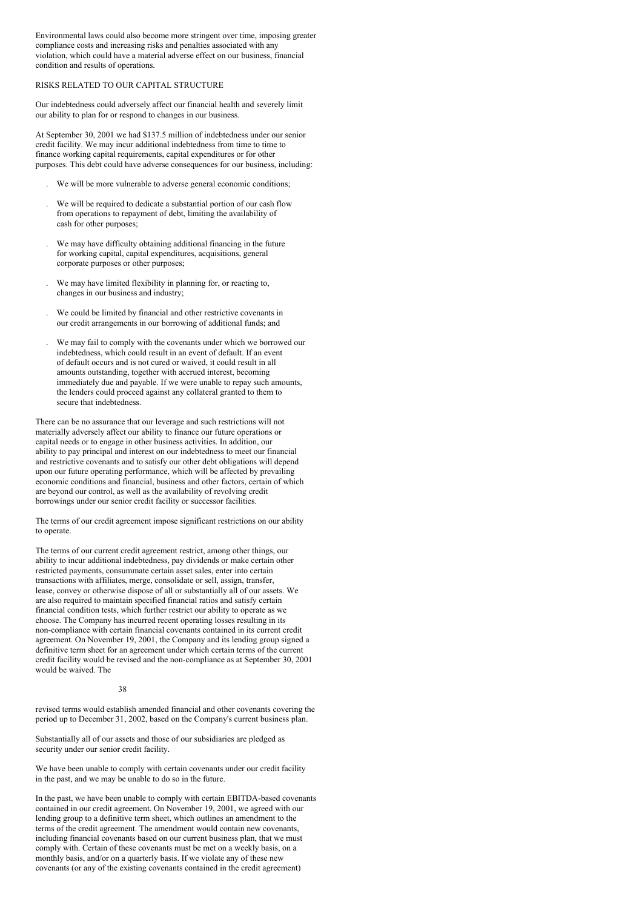Environmental laws could also become more stringent over time, imposing greater compliance costs and increasing risks and penalties associated with any violation, which could have a material adverse effect on our business, financial condition and results of operations.

#### RISKS RELATED TO OUR CAPITAL STRUCTURE

Our indebtedness could adversely affect our financial health and severely limit our ability to plan for or respond to changes in our business.

At September 30, 2001 we had \$137.5 million of indebtedness under our senior credit facility. We may incur additional indebtedness from time to time to finance working capital requirements, capital expenditures or for other purposes. This debt could have adverse consequences for our business, including:

- . We will be more vulnerable to adverse general economic conditions;
- . We will be required to dedicate a substantial portion of our cash flow from operations to repayment of debt, limiting the availability of cash for other purposes;
- . We may have difficulty obtaining additional financing in the future for working capital, capital expenditures, acquisitions, general corporate purposes or other purposes;
- . We may have limited flexibility in planning for, or reacting to, changes in our business and industry;
- . We could be limited by financial and other restrictive covenants in our credit arrangements in our borrowing of additional funds; and
- We may fail to comply with the covenants under which we borrowed our indebtedness, which could result in an event of default. If an event of default occurs and is not cured or waived, it could result in all amounts outstanding, together with accrued interest, becoming immediately due and payable. If we were unable to repay such amounts, the lenders could proceed against any collateral granted to them to secure that indebtedness.

There can be no assurance that our leverage and such restrictions will not materially adversely affect our ability to finance our future operations or capital needs or to engage in other business activities. In addition, our ability to pay principal and interest on our indebtedness to meet our financial and restrictive covenants and to satisfy our other debt obligations will depend upon our future operating performance, which will be affected by prevailing economic conditions and financial, business and other factors, certain of which are beyond our control, as well as the availability of revolving credit borrowings under our senior credit facility or successor facilities.

The terms of our credit agreement impose significant restrictions on our ability to operate.

The terms of our current credit agreement restrict, among other things, our ability to incur additional indebtedness, pay dividends or make certain other restricted payments, consummate certain asset sales, enter into certain transactions with affiliates, merge, consolidate or sell, assign, transfer, lease, convey or otherwise dispose of all or substantially all of our assets. We are also required to maintain specified financial ratios and satisfy certain financial condition tests, which further restrict our ability to operate as we choose. The Company has incurred recent operating losses resulting in its non-compliance with certain financial covenants contained in its current credit agreement. On November 19, 2001, the Company and its lending group signed a definitive term sheet for an agreement under which certain terms of the current credit facility would be revised and the non-compliance as at September 30, 2001 would be waived. The

#### 38

revised terms would establish amended financial and other covenants covering the period up to December 31, 2002, based on the Company's current business plan.

Substantially all of our assets and those of our subsidiaries are pledged as security under our senior credit facility.

We have been unable to comply with certain covenants under our credit facility in the past, and we may be unable to do so in the future.

In the past, we have been unable to comply with certain EBITDA-based covenants contained in our credit agreement. On November 19, 2001, we agreed with our lending group to a definitive term sheet, which outlines an amendment to the terms of the credit agreement. The amendment would contain new covenants, including financial covenants based on our current business plan, that we must comply with. Certain of these covenants must be met on a weekly basis, on a monthly basis, and/or on a quarterly basis. If we violate any of these new covenants (or any of the existing covenants contained in the credit agreement)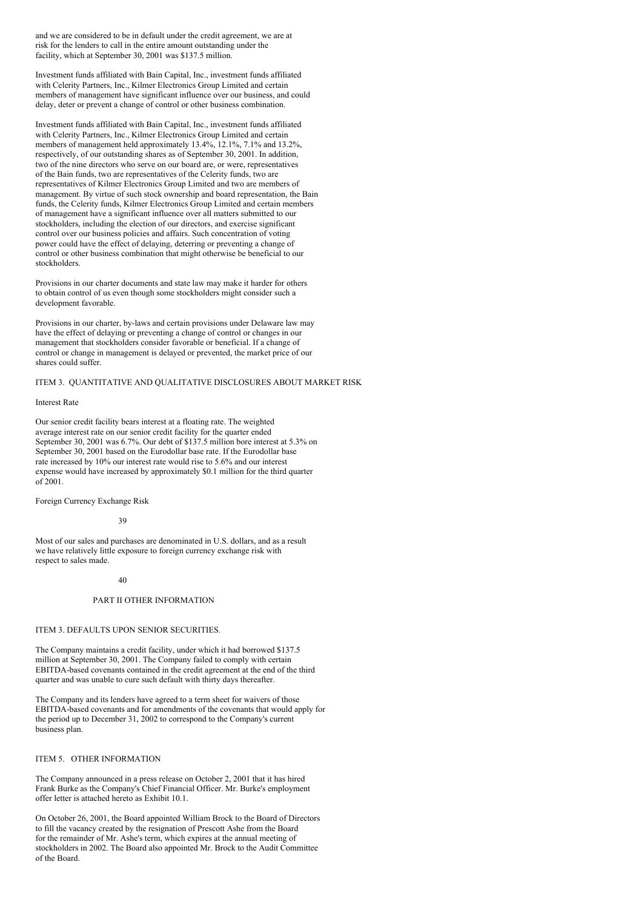and we are considered to be in default under the credit agreement, we are at risk for the lenders to call in the entire amount outstanding under the facility, which at September 30, 2001 was \$137.5 million.

Investment funds affiliated with Bain Capital, Inc., investment funds affiliated with Celerity Partners, Inc., Kilmer Electronics Group Limited and certain members of management have significant influence over our business, and could delay, deter or prevent a change of control or other business combination.

Investment funds affiliated with Bain Capital, Inc., investment funds affiliated with Celerity Partners, Inc., Kilmer Electronics Group Limited and certain members of management held approximately 13.4%, 12.1%, 7.1% and 13.2%, respectively, of our outstanding shares as of September 30, 2001. In addition, two of the nine directors who serve on our board are, or were, representatives of the Bain funds, two are representatives of the Celerity funds, two are representatives of Kilmer Electronics Group Limited and two are members of management. By virtue of such stock ownership and board representation, the Bain funds, the Celerity funds, Kilmer Electronics Group Limited and certain members of management have a significant influence over all matters submitted to our stockholders, including the election of our directors, and exercise significant control over our business policies and affairs. Such concentration of voting power could have the effect of delaying, deterring or preventing a change of control or other business combination that might otherwise be beneficial to our stockholders.

Provisions in our charter documents and state law may make it harder for others to obtain control of us even though some stockholders might consider such a development favorable.

Provisions in our charter, by-laws and certain provisions under Delaware law may have the effect of delaying or preventing a change of control or changes in our management that stockholders consider favorable or beneficial. If a change of control or change in management is delayed or prevented, the market price of our shares could suffer.

ITEM 3. QUANTITATIVE AND QUALITATIVE DISCLOSURES ABOUT MARKET RISK

#### Interest Rate

Our senior credit facility bears interest at a floating rate. The weighted average interest rate on our senior credit facility for the quarter ended September 30, 2001 was 6.7%. Our debt of \$137.5 million bore interest at 5.3% on September 30, 2001 based on the Eurodollar base rate. If the Eurodollar base rate increased by 10% our interest rate would rise to 5.6% and our interest expense would have increased by approximately \$0.1 million for the third quarter  $of 2001$ 

Foreign Currency Exchange Risk

#### 39

Most of our sales and purchases are denominated in U.S. dollars, and as a result we have relatively little exposure to foreign currency exchange risk with respect to sales made.

#### 40

### PART II OTHER INFORMATION

### ITEM 3. DEFAULTS UPON SENIOR SECURITIES.

The Company maintains a credit facility, under which it had borrowed \$137.5 million at September 30, 2001. The Company failed to comply with certain EBITDA-based covenants contained in the credit agreement at the end of the third quarter and was unable to cure such default with thirty days thereafter.

The Company and its lenders have agreed to a term sheet for waivers of those EBITDA-based covenants and for amendments of the covenants that would apply for the period up to December 31, 2002 to correspond to the Company's current business plan.

#### ITEM 5. OTHER INFORMATION

The Company announced in a press release on October 2, 2001 that it has hired Frank Burke as the Company's Chief Financial Officer. Mr. Burke's employment offer letter is attached hereto as Exhibit 10.1.

On October 26, 2001, the Board appointed William Brock to the Board of Directors to fill the vacancy created by the resignation of Prescott Ashe from the Board for the remainder of Mr. Ashe's term, which expires at the annual meeting of stockholders in 2002. The Board also appointed Mr. Brock to the Audit Committee of the Board.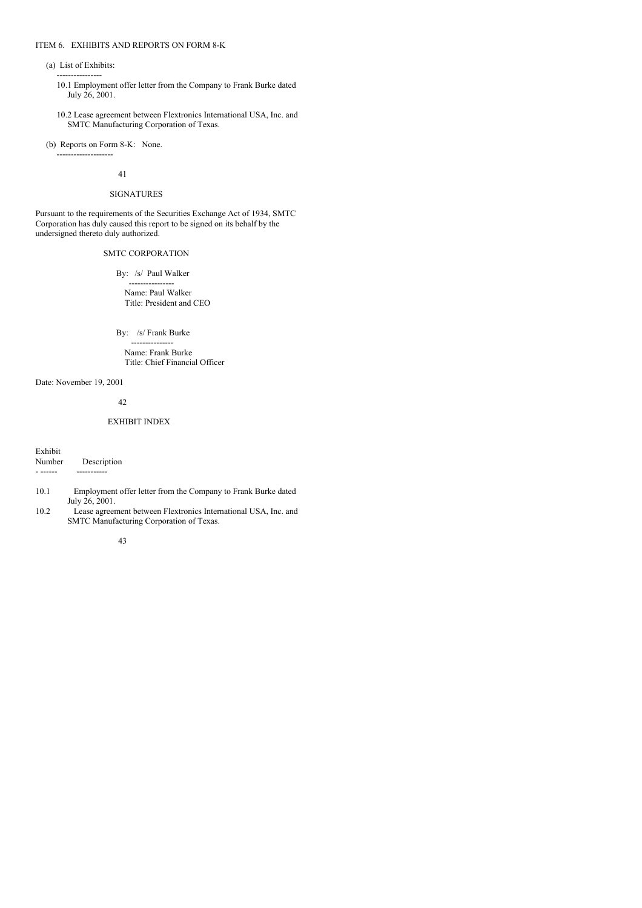#### ITEM 6. EXHIBITS AND REPORTS ON FORM 8-K

(a) List of Exhibits:

----------------

- 10.1 Employment offer letter from the Company to Frank Burke dated July 26, 2001.
- 10.2 Lease agreement between Flextronics International USA, Inc. and SMTC Manufacturing Corporation of Texas.

(b) Reports on Form 8-K: None.

--------------------

41

# SIGNATURES

Pursuant to the requirements of the Securities Exchange Act of 1934, SMTC Corporation has duly caused this report to be signed on its behalf by the undersigned thereto duly authorized.

# SMTC CORPORATION

By: /s/ Paul Walker

---------------- Name: Paul Walker Title: President and CEO

By: /s/ Frank Burke

--------------- Name: Frank Burke Title: Chief Financial Officer

Date: November 19, 2001

42

### EXHIBIT INDEX

Exhibit

| <b>EXHIDIL</b> |             |
|----------------|-------------|
| Number         | Description |
|                |             |

- 10.1 Employment offer letter from the Company to Frank Burke dated July 26, 2001.
- 10.2 Lease agreement between Flextronics International USA, Inc. and SMTC Manufacturing Corporation of Texas.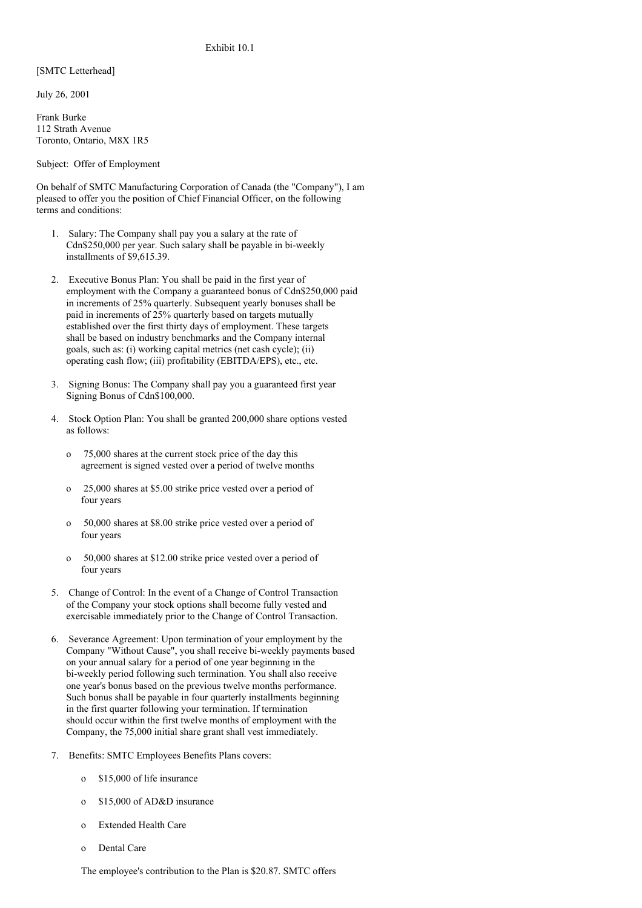### Exhibit 10.1

[SMTC Letterhead]

July 26, 2001

Frank Burke 112 Strath Avenue Toronto, Ontario, M8X 1R5

Subject: Offer of Employment

On behalf of SMTC Manufacturing Corporation of Canada (the "Company"), I am pleased to offer you the position of Chief Financial Officer, on the following terms and conditions:

- 1. Salary: The Company shall pay you a salary at the rate of Cdn\$250,000 per year. Such salary shall be payable in bi-weekly installments of \$9,615.39.
- 2. Executive Bonus Plan: You shall be paid in the first year of employment with the Company a guaranteed bonus of Cdn\$250,000 paid in increments of 25% quarterly. Subsequent yearly bonuses shall be paid in increments of 25% quarterly based on targets mutually established over the first thirty days of employment. These targets shall be based on industry benchmarks and the Company internal goals, such as: (i) working capital metrics (net cash cycle); (ii) operating cash flow; (iii) profitability (EBITDA/EPS), etc., etc.
- 3. Signing Bonus: The Company shall pay you a guaranteed first year Signing Bonus of Cdn\$100,000.
- 4. Stock Option Plan: You shall be granted 200,000 share options vested as follows:
	- o 75,000 shares at the current stock price of the day this agreement is signed vested over a period of twelve months
	- o 25,000 shares at \$5.00 strike price vested over a period of four years
	- o 50,000 shares at \$8.00 strike price vested over a period of four years
	- o 50,000 shares at \$12.00 strike price vested over a period of four years
- 5. Change of Control: In the event of a Change of Control Transaction of the Company your stock options shall become fully vested and exercisable immediately prior to the Change of Control Transaction.
- 6. Severance Agreement: Upon termination of your employment by the Company "Without Cause", you shall receive bi-weekly payments based on your annual salary for a period of one year beginning in the bi-weekly period following such termination. You shall also receive one year's bonus based on the previous twelve months performance. Such bonus shall be payable in four quarterly installments beginning in the first quarter following your termination. If termination should occur within the first twelve months of employment with the Company, the 75,000 initial share grant shall vest immediately.
- 7. Benefits: SMTC Employees Benefits Plans covers:
	- o \$15,000 of life insurance
	- o \$15,000 of AD&D insurance
	- o Extended Health Care
	- o Dental Care

The employee's contribution to the Plan is \$20.87. SMTC offers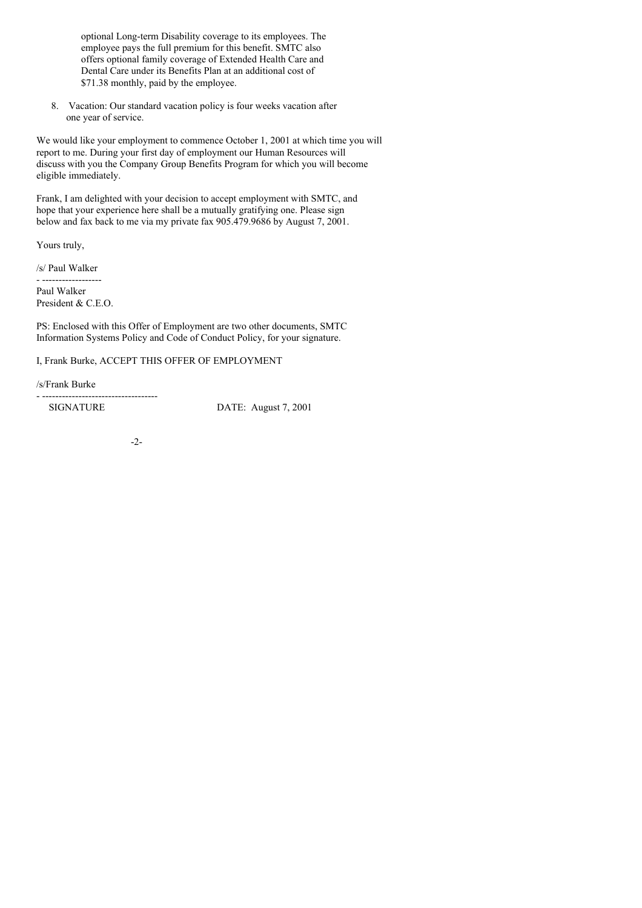optional Long-term Disability coverage to its employees. The employee pays the full premium for this benefit. SMTC also offers optional family coverage of Extended Health Care and Dental Care under its Benefits Plan at an additional cost of \$71.38 monthly, paid by the employee.

8. Vacation: Our standard vacation policy is four weeks vacation after one year of service.

We would like your employment to commence October 1, 2001 at which time you will report to me. During your first day of employment our Human Resources will discuss with you the Company Group Benefits Program for which you will become eligible immediately.

Frank, I am delighted with your decision to accept employment with SMTC, and hope that your experience here shall be a mutually gratifying one. Please sign below and fax back to me via my private fax 905.479.9686 by August 7, 2001.

Yours truly,

/s/ Paul Walker - ------------------

Paul Walker President & C.E.O.

PS: Enclosed with this Offer of Employment are two other documents, SMTC Information Systems Policy and Code of Conduct Policy, for your signature.

I, Frank Burke, ACCEPT THIS OFFER OF EMPLOYMENT

/s/Frank Burke - -----------------------------------

SIGNATURE DATE: August 7, 2001

-2-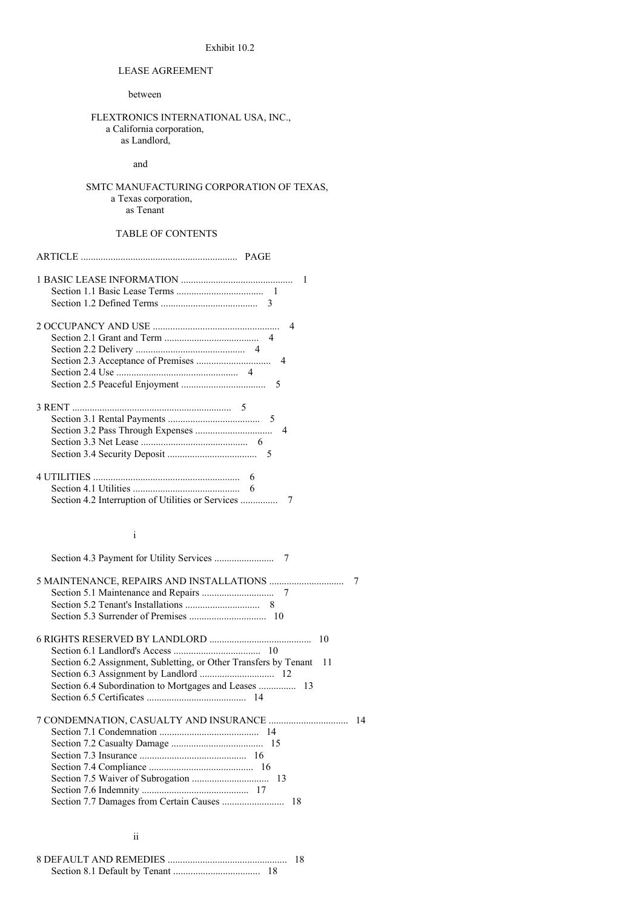# Exhibit 10.2

# LEASE AGREEMENT

between

# FLEXTRONICS INTERNATIONAL USA, INC., a California corporation, as Landlord,

### and

# SMTC MANUFACTURING CORPORATION OF TEXAS, a Texas corporation, as Tenant

ARTICLE ............................................................... PAGE

# TABLE OF CONTENTS

| 6 |
|---|

# i

| 7                                                                       |
|-------------------------------------------------------------------------|
|                                                                         |
|                                                                         |
|                                                                         |
| 10                                                                      |
|                                                                         |
| Section 6.2 Assignment, Subletting, or Other Transfers by Tenant<br>-11 |
|                                                                         |
|                                                                         |
|                                                                         |
| 14                                                                      |
|                                                                         |
|                                                                         |
|                                                                         |
|                                                                         |
|                                                                         |
|                                                                         |
|                                                                         |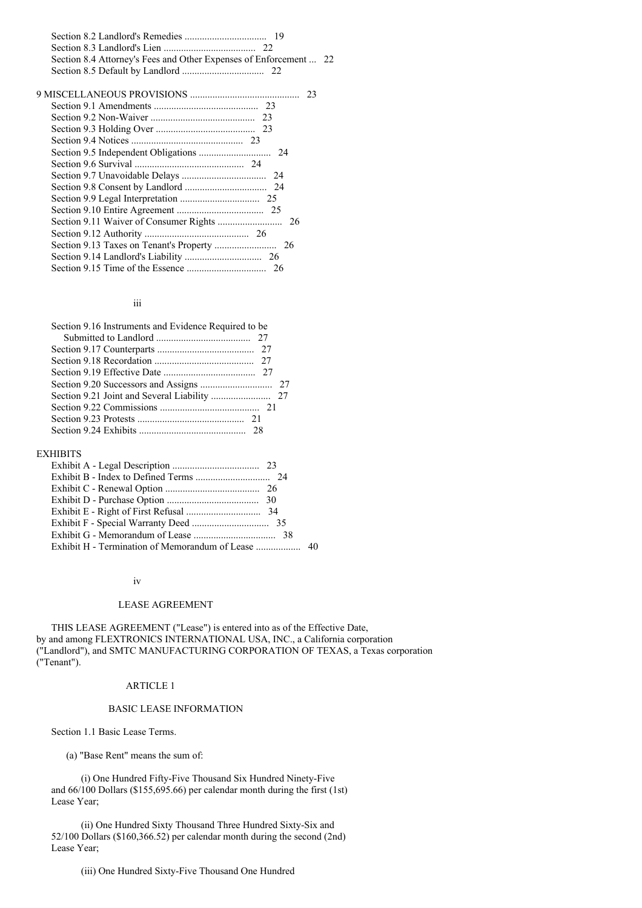Section 8.2 Landlord's Remedies ................................. 19 Section 8.3 Landlord's Lien ..................................... 22 Section 8.4 Attorney's Fees and Other Expenses of Enforcement ... 22 Section 8.5 Default by Landlord ................................. 22

#### iii

| Section 9.16 Instruments and Evidence Required to be |  |
|------------------------------------------------------|--|
|                                                      |  |
|                                                      |  |
|                                                      |  |
|                                                      |  |
|                                                      |  |
|                                                      |  |
|                                                      |  |
|                                                      |  |
|                                                      |  |

# EXHIBITS

#### iv

#### LEASE AGREEMENT

THIS LEASE AGREEMENT ("Lease") is entered into as of the Effective Date, by and among FLEXTRONICS INTERNATIONAL USA, INC., a California corporation ("Landlord"), and SMTC MANUFACTURING CORPORATION OF TEXAS, a Texas corporation ("Tenant").

# ARTICLE 1

# BASIC LEASE INFORMATION

Section 1.1 Basic Lease Terms.

(a) "Base Rent" means the sum of:

(i) One Hundred Fifty-Five Thousand Six Hundred Ninety-Five and 66/100 Dollars (\$155,695.66) per calendar month during the first (1st) Lease Year;

(ii) One Hundred Sixty Thousand Three Hundred Sixty-Six and 52/100 Dollars (\$160,366.52) per calendar month during the second (2nd) Lease Year;

(iii) One Hundred Sixty-Five Thousand One Hundred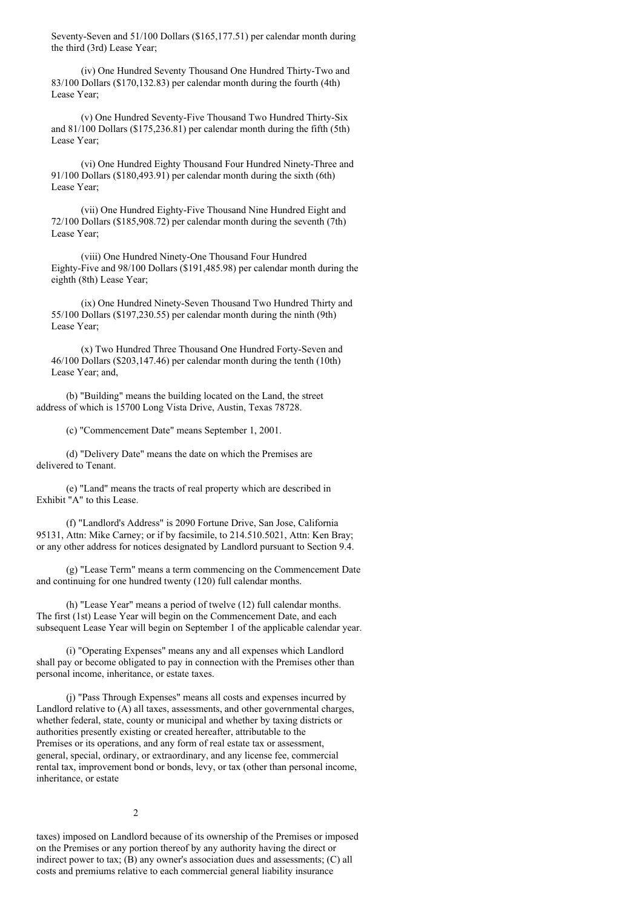Seventy-Seven and 51/100 Dollars (\$165,177.51) per calendar month during the third (3rd) Lease Year;

(iv) One Hundred Seventy Thousand One Hundred Thirty-Two and 83/100 Dollars (\$170,132.83) per calendar month during the fourth (4th) Lease Year;

(v) One Hundred Seventy-Five Thousand Two Hundred Thirty-Six and 81/100 Dollars (\$175,236.81) per calendar month during the fifth (5th) Lease Year;

(vi) One Hundred Eighty Thousand Four Hundred Ninety-Three and 91/100 Dollars (\$180,493.91) per calendar month during the sixth (6th) Lease Year;

(vii) One Hundred Eighty-Five Thousand Nine Hundred Eight and 72/100 Dollars (\$185,908.72) per calendar month during the seventh (7th) Lease Year;

(viii) One Hundred Ninety-One Thousand Four Hundred Eighty-Five and 98/100 Dollars (\$191,485.98) per calendar month during the eighth (8th) Lease Year;

(ix) One Hundred Ninety-Seven Thousand Two Hundred Thirty and 55/100 Dollars (\$197,230.55) per calendar month during the ninth (9th) Lease Year;

(x) Two Hundred Three Thousand One Hundred Forty-Seven and 46/100 Dollars (\$203,147.46) per calendar month during the tenth (10th) Lease Year; and,

(b) "Building" means the building located on the Land, the street address of which is 15700 Long Vista Drive, Austin, Texas 78728.

(c) "Commencement Date" means September 1, 2001.

(d) "Delivery Date" means the date on which the Premises are delivered to Tenant.

(e) "Land" means the tracts of real property which are described in Exhibit "A" to this Lease.

(f) "Landlord's Address" is 2090 Fortune Drive, San Jose, California 95131, Attn: Mike Carney; or if by facsimile, to 214.510.5021, Attn: Ken Bray; or any other address for notices designated by Landlord pursuant to Section 9.4.

(g) "Lease Term" means a term commencing on the Commencement Date and continuing for one hundred twenty (120) full calendar months.

(h) "Lease Year" means a period of twelve (12) full calendar months. The first (1st) Lease Year will begin on the Commencement Date, and each subsequent Lease Year will begin on September 1 of the applicable calendar year.

(i) "Operating Expenses" means any and all expenses which Landlord shall pay or become obligated to pay in connection with the Premises other than personal income, inheritance, or estate taxes.

(j) "Pass Through Expenses" means all costs and expenses incurred by Landlord relative to (A) all taxes, assessments, and other governmental charges, whether federal, state, county or municipal and whether by taxing districts or authorities presently existing or created hereafter, attributable to the Premises or its operations, and any form of real estate tax or assessment, general, special, ordinary, or extraordinary, and any license fee, commercial rental tax, improvement bond or bonds, levy, or tax (other than personal income, inheritance, or estate

# $\mathcal{L}$

taxes) imposed on Landlord because of its ownership of the Premises or imposed on the Premises or any portion thereof by any authority having the direct or indirect power to tax; (B) any owner's association dues and assessments; (C) all costs and premiums relative to each commercial general liability insurance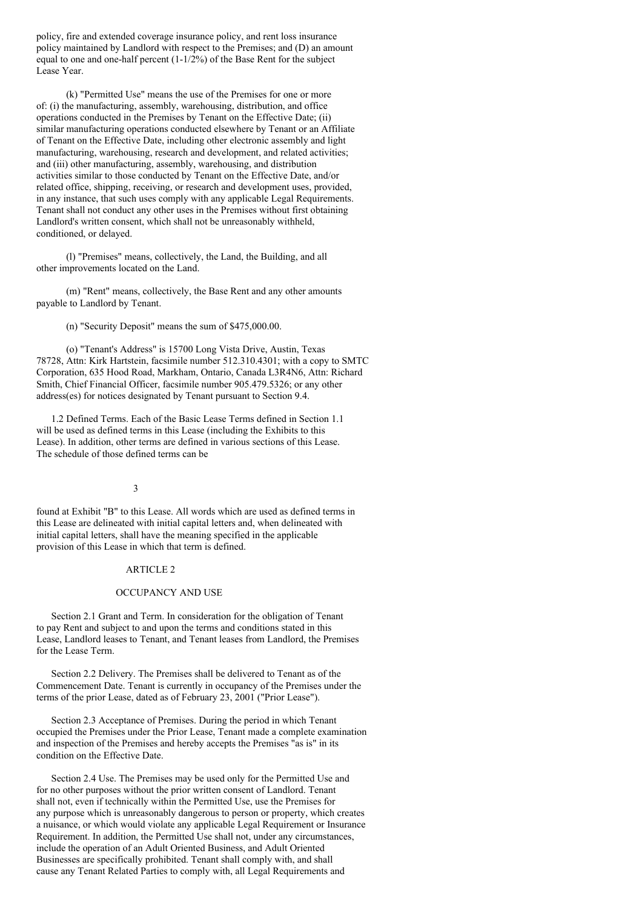policy, fire and extended coverage insurance policy, and rent loss insurance policy maintained by Landlord with respect to the Premises; and (D) an amount equal to one and one-half percent (1-1/2%) of the Base Rent for the subject Lease Year.

(k) "Permitted Use" means the use of the Premises for one or more of: (i) the manufacturing, assembly, warehousing, distribution, and office operations conducted in the Premises by Tenant on the Effective Date; (ii) similar manufacturing operations conducted elsewhere by Tenant or an Affiliate of Tenant on the Effective Date, including other electronic assembly and light manufacturing, warehousing, research and development, and related activities; and (iii) other manufacturing, assembly, warehousing, and distribution activities similar to those conducted by Tenant on the Effective Date, and/or related office, shipping, receiving, or research and development uses, provided, in any instance, that such uses comply with any applicable Legal Requirements. Tenant shall not conduct any other uses in the Premises without first obtaining Landlord's written consent, which shall not be unreasonably withheld, conditioned, or delayed.

(l) "Premises" means, collectively, the Land, the Building, and all other improvements located on the Land.

(m) "Rent" means, collectively, the Base Rent and any other amounts payable to Landlord by Tenant.

(n) "Security Deposit" means the sum of \$475,000.00.

(o) "Tenant's Address" is 15700 Long Vista Drive, Austin, Texas 78728, Attn: Kirk Hartstein, facsimile number 512.310.4301; with a copy to SMTC Corporation, 635 Hood Road, Markham, Ontario, Canada L3R4N6, Attn: Richard Smith, Chief Financial Officer, facsimile number 905.479.5326; or any other address(es) for notices designated by Tenant pursuant to Section 9.4.

1.2 Defined Terms. Each of the Basic Lease Terms defined in Section 1.1 will be used as defined terms in this Lease (including the Exhibits to this Lease). In addition, other terms are defined in various sections of this Lease. The schedule of those defined terms can be

# 3

found at Exhibit "B" to this Lease. All words which are used as defined terms in this Lease are delineated with initial capital letters and, when delineated with initial capital letters, shall have the meaning specified in the applicable provision of this Lease in which that term is defined.

# ARTICLE 2

### OCCUPANCY AND USE

Section 2.1 Grant and Term. In consideration for the obligation of Tenant to pay Rent and subject to and upon the terms and conditions stated in this Lease, Landlord leases to Tenant, and Tenant leases from Landlord, the Premises for the Lease Term.

Section 2.2 Delivery. The Premises shall be delivered to Tenant as of the Commencement Date. Tenant is currently in occupancy of the Premises under the terms of the prior Lease, dated as of February 23, 2001 ("Prior Lease").

Section 2.3 Acceptance of Premises. During the period in which Tenant occupied the Premises under the Prior Lease, Tenant made a complete examination and inspection of the Premises and hereby accepts the Premises "as is" in its condition on the Effective Date.

Section 2.4 Use. The Premises may be used only for the Permitted Use and for no other purposes without the prior written consent of Landlord. Tenant shall not, even if technically within the Permitted Use, use the Premises for any purpose which is unreasonably dangerous to person or property, which creates a nuisance, or which would violate any applicable Legal Requirement or Insurance Requirement. In addition, the Permitted Use shall not, under any circumstances, include the operation of an Adult Oriented Business, and Adult Oriented Businesses are specifically prohibited. Tenant shall comply with, and shall cause any Tenant Related Parties to comply with, all Legal Requirements and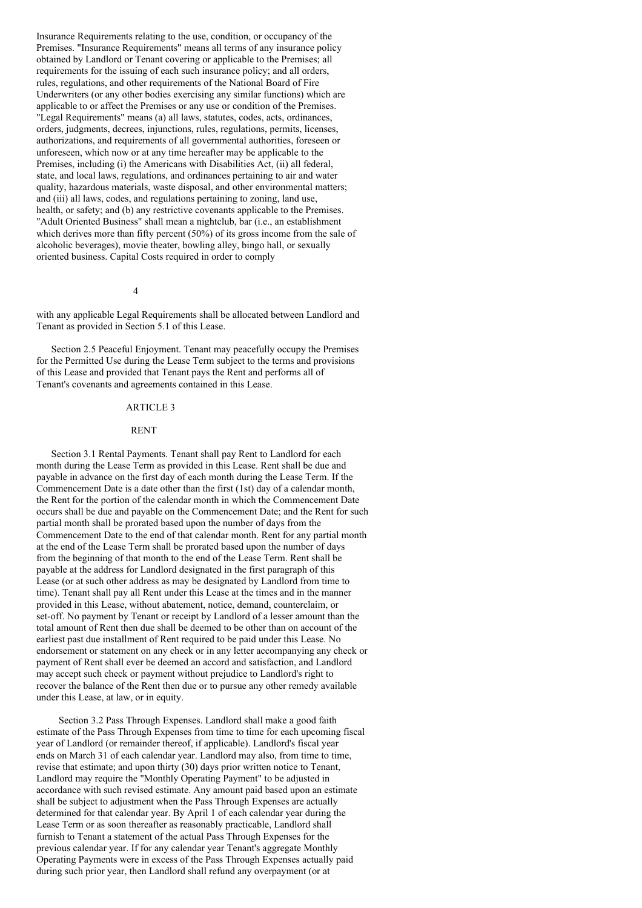Insurance Requirements relating to the use, condition, or occupancy of the Premises. "Insurance Requirements" means all terms of any insurance policy obtained by Landlord or Tenant covering or applicable to the Premises; all requirements for the issuing of each such insurance policy; and all orders, rules, regulations, and other requirements of the National Board of Fire Underwriters (or any other bodies exercising any similar functions) which are applicable to or affect the Premises or any use or condition of the Premises. "Legal Requirements" means (a) all laws, statutes, codes, acts, ordinances, orders, judgments, decrees, injunctions, rules, regulations, permits, licenses, authorizations, and requirements of all governmental authorities, foreseen or unforeseen, which now or at any time hereafter may be applicable to the Premises, including (i) the Americans with Disabilities Act, (ii) all federal, state, and local laws, regulations, and ordinances pertaining to air and water quality, hazardous materials, waste disposal, and other environmental matters; and (iii) all laws, codes, and regulations pertaining to zoning, land use, health, or safety; and (b) any restrictive covenants applicable to the Premises. "Adult Oriented Business" shall mean a nightclub, bar (i.e., an establishment which derives more than fifty percent  $(50\%)$  of its gross income from the sale of alcoholic beverages), movie theater, bowling alley, bingo hall, or sexually oriented business. Capital Costs required in order to comply

### 4

with any applicable Legal Requirements shall be allocated between Landlord and Tenant as provided in Section 5.1 of this Lease.

Section 2.5 Peaceful Enjoyment. Tenant may peacefully occupy the Premises for the Permitted Use during the Lease Term subject to the terms and provisions of this Lease and provided that Tenant pays the Rent and performs all of Tenant's covenants and agreements contained in this Lease.

### ARTICLE 3

### RENT

Section 3.1 Rental Payments. Tenant shall pay Rent to Landlord for each month during the Lease Term as provided in this Lease. Rent shall be due and payable in advance on the first day of each month during the Lease Term. If the Commencement Date is a date other than the first (1st) day of a calendar month, the Rent for the portion of the calendar month in which the Commencement Date occurs shall be due and payable on the Commencement Date; and the Rent for such partial month shall be prorated based upon the number of days from the Commencement Date to the end of that calendar month. Rent for any partial month at the end of the Lease Term shall be prorated based upon the number of days from the beginning of that month to the end of the Lease Term. Rent shall be payable at the address for Landlord designated in the first paragraph of this Lease (or at such other address as may be designated by Landlord from time to time). Tenant shall pay all Rent under this Lease at the times and in the manner provided in this Lease, without abatement, notice, demand, counterclaim, or set-off. No payment by Tenant or receipt by Landlord of a lesser amount than the total amount of Rent then due shall be deemed to be other than on account of the earliest past due installment of Rent required to be paid under this Lease. No endorsement or statement on any check or in any letter accompanying any check or payment of Rent shall ever be deemed an accord and satisfaction, and Landlord may accept such check or payment without prejudice to Landlord's right to recover the balance of the Rent then due or to pursue any other remedy available under this Lease, at law, or in equity.

Section 3.2 Pass Through Expenses. Landlord shall make a good faith estimate of the Pass Through Expenses from time to time for each upcoming fiscal year of Landlord (or remainder thereof, if applicable). Landlord's fiscal year ends on March 31 of each calendar year. Landlord may also, from time to time, revise that estimate; and upon thirty (30) days prior written notice to Tenant, Landlord may require the "Monthly Operating Payment" to be adjusted in accordance with such revised estimate. Any amount paid based upon an estimate shall be subject to adjustment when the Pass Through Expenses are actually determined for that calendar year. By April 1 of each calendar year during the Lease Term or as soon thereafter as reasonably practicable, Landlord shall furnish to Tenant a statement of the actual Pass Through Expenses for the previous calendar year. If for any calendar year Tenant's aggregate Monthly Operating Payments were in excess of the Pass Through Expenses actually paid during such prior year, then Landlord shall refund any overpayment (or at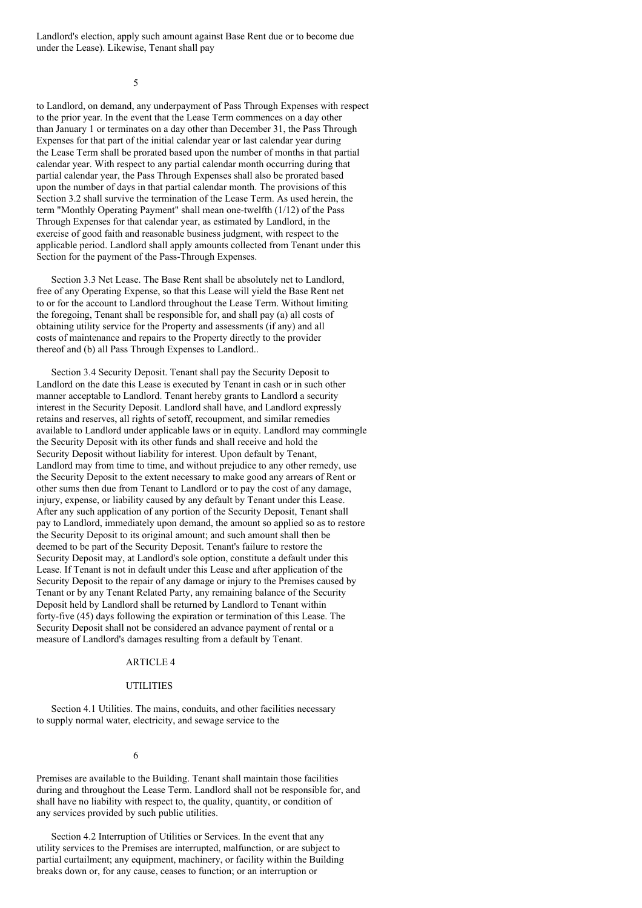Landlord's election, apply such amount against Base Rent due or to become due under the Lease). Likewise, Tenant shall pay

5

to Landlord, on demand, any underpayment of Pass Through Expenses with respect to the prior year. In the event that the Lease Term commences on a day other than January 1 or terminates on a day other than December 31, the Pass Through Expenses for that part of the initial calendar year or last calendar year during the Lease Term shall be prorated based upon the number of months in that partial calendar year. With respect to any partial calendar month occurring during that partial calendar year, the Pass Through Expenses shall also be prorated based upon the number of days in that partial calendar month. The provisions of this Section 3.2 shall survive the termination of the Lease Term. As used herein, the term "Monthly Operating Payment" shall mean one-twelfth (1/12) of the Pass Through Expenses for that calendar year, as estimated by Landlord, in the exercise of good faith and reasonable business judgment, with respect to the applicable period. Landlord shall apply amounts collected from Tenant under this Section for the payment of the Pass-Through Expenses.

Section 3.3 Net Lease. The Base Rent shall be absolutely net to Landlord, free of any Operating Expense, so that this Lease will yield the Base Rent net to or for the account to Landlord throughout the Lease Term. Without limiting the foregoing, Tenant shall be responsible for, and shall pay (a) all costs of obtaining utility service for the Property and assessments (if any) and all costs of maintenance and repairs to the Property directly to the provider thereof and (b) all Pass Through Expenses to Landlord..

Section 3.4 Security Deposit. Tenant shall pay the Security Deposit to Landlord on the date this Lease is executed by Tenant in cash or in such other manner acceptable to Landlord. Tenant hereby grants to Landlord a security interest in the Security Deposit. Landlord shall have, and Landlord expressly retains and reserves, all rights of setoff, recoupment, and similar remedies available to Landlord under applicable laws or in equity. Landlord may commingle the Security Deposit with its other funds and shall receive and hold the Security Deposit without liability for interest. Upon default by Tenant, Landlord may from time to time, and without prejudice to any other remedy, use the Security Deposit to the extent necessary to make good any arrears of Rent or other sums then due from Tenant to Landlord or to pay the cost of any damage, injury, expense, or liability caused by any default by Tenant under this Lease. After any such application of any portion of the Security Deposit, Tenant shall pay to Landlord, immediately upon demand, the amount so applied so as to restore the Security Deposit to its original amount; and such amount shall then be deemed to be part of the Security Deposit. Tenant's failure to restore the Security Deposit may, at Landlord's sole option, constitute a default under this Lease. If Tenant is not in default under this Lease and after application of the Security Deposit to the repair of any damage or injury to the Premises caused by Tenant or by any Tenant Related Party, any remaining balance of the Security Deposit held by Landlord shall be returned by Landlord to Tenant within forty-five (45) days following the expiration or termination of this Lease. The Security Deposit shall not be considered an advance payment of rental or a measure of Landlord's damages resulting from a default by Tenant.

### ARTICLE 4

# UTILITIES

Section 4.1 Utilities. The mains, conduits, and other facilities necessary to supply normal water, electricity, and sewage service to the

### 6

Premises are available to the Building. Tenant shall maintain those facilities during and throughout the Lease Term. Landlord shall not be responsible for, and shall have no liability with respect to, the quality, quantity, or condition of any services provided by such public utilities.

Section 4.2 Interruption of Utilities or Services. In the event that any utility services to the Premises are interrupted, malfunction, or are subject to partial curtailment; any equipment, machinery, or facility within the Building breaks down or, for any cause, ceases to function; or an interruption or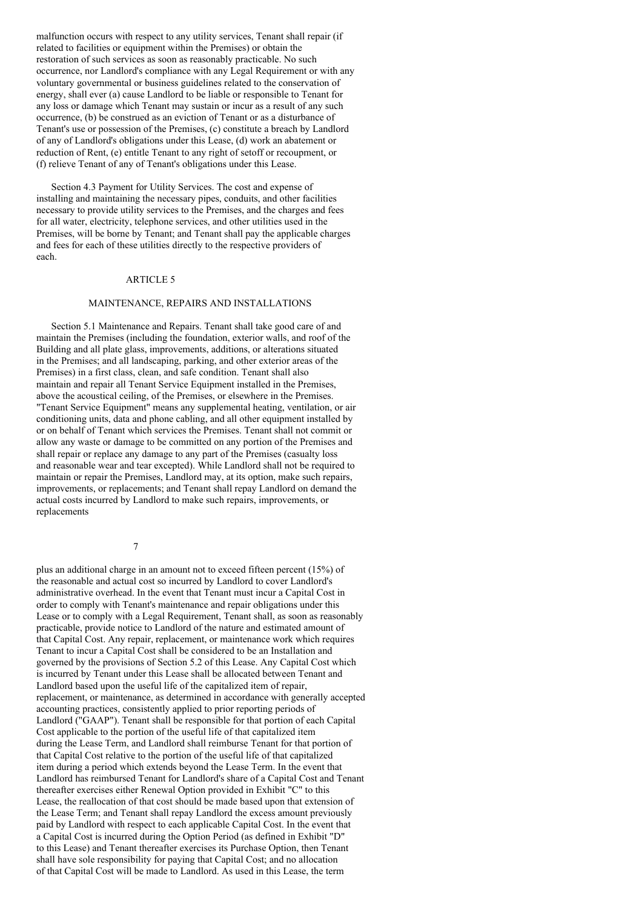malfunction occurs with respect to any utility services, Tenant shall repair (if related to facilities or equipment within the Premises) or obtain the restoration of such services as soon as reasonably practicable. No such occurrence, nor Landlord's compliance with any Legal Requirement or with any voluntary governmental or business guidelines related to the conservation of energy, shall ever (a) cause Landlord to be liable or responsible to Tenant for any loss or damage which Tenant may sustain or incur as a result of any such occurrence, (b) be construed as an eviction of Tenant or as a disturbance of Tenant's use or possession of the Premises, (c) constitute a breach by Landlord of any of Landlord's obligations under this Lease, (d) work an abatement or reduction of Rent, (e) entitle Tenant to any right of setoff or recoupment, or (f) relieve Tenant of any of Tenant's obligations under this Lease.

Section 4.3 Payment for Utility Services. The cost and expense of installing and maintaining the necessary pipes, conduits, and other facilities necessary to provide utility services to the Premises, and the charges and fees for all water, electricity, telephone services, and other utilities used in the Premises, will be borne by Tenant; and Tenant shall pay the applicable charges and fees for each of these utilities directly to the respective providers of each.

# ARTICLE 5

# MAINTENANCE, REPAIRS AND INSTALLATIONS

Section 5.1 Maintenance and Repairs. Tenant shall take good care of and maintain the Premises (including the foundation, exterior walls, and roof of the Building and all plate glass, improvements, additions, or alterations situated in the Premises; and all landscaping, parking, and other exterior areas of the Premises) in a first class, clean, and safe condition. Tenant shall also maintain and repair all Tenant Service Equipment installed in the Premises, above the acoustical ceiling, of the Premises, or elsewhere in the Premises. "Tenant Service Equipment" means any supplemental heating, ventilation, or air conditioning units, data and phone cabling, and all other equipment installed by or on behalf of Tenant which services the Premises. Tenant shall not commit or allow any waste or damage to be committed on any portion of the Premises and shall repair or replace any damage to any part of the Premises (casualty loss and reasonable wear and tear excepted). While Landlord shall not be required to maintain or repair the Premises, Landlord may, at its option, make such repairs, improvements, or replacements; and Tenant shall repay Landlord on demand the actual costs incurred by Landlord to make such repairs, improvements, or replacements

7

plus an additional charge in an amount not to exceed fifteen percent (15%) of the reasonable and actual cost so incurred by Landlord to cover Landlord's administrative overhead. In the event that Tenant must incur a Capital Cost in order to comply with Tenant's maintenance and repair obligations under this Lease or to comply with a Legal Requirement, Tenant shall, as soon as reasonably practicable, provide notice to Landlord of the nature and estimated amount of that Capital Cost. Any repair, replacement, or maintenance work which requires Tenant to incur a Capital Cost shall be considered to be an Installation and governed by the provisions of Section 5.2 of this Lease. Any Capital Cost which is incurred by Tenant under this Lease shall be allocated between Tenant and Landlord based upon the useful life of the capitalized item of repair, replacement, or maintenance, as determined in accordance with generally accepted accounting practices, consistently applied to prior reporting periods of Landlord ("GAAP"). Tenant shall be responsible for that portion of each Capital Cost applicable to the portion of the useful life of that capitalized item during the Lease Term, and Landlord shall reimburse Tenant for that portion of that Capital Cost relative to the portion of the useful life of that capitalized item during a period which extends beyond the Lease Term. In the event that Landlord has reimbursed Tenant for Landlord's share of a Capital Cost and Tenant thereafter exercises either Renewal Option provided in Exhibit "C" to this Lease, the reallocation of that cost should be made based upon that extension of the Lease Term; and Tenant shall repay Landlord the excess amount previously paid by Landlord with respect to each applicable Capital Cost. In the event that a Capital Cost is incurred during the Option Period (as defined in Exhibit "D" to this Lease) and Tenant thereafter exercises its Purchase Option, then Tenant shall have sole responsibility for paying that Capital Cost; and no allocation of that Capital Cost will be made to Landlord. As used in this Lease, the term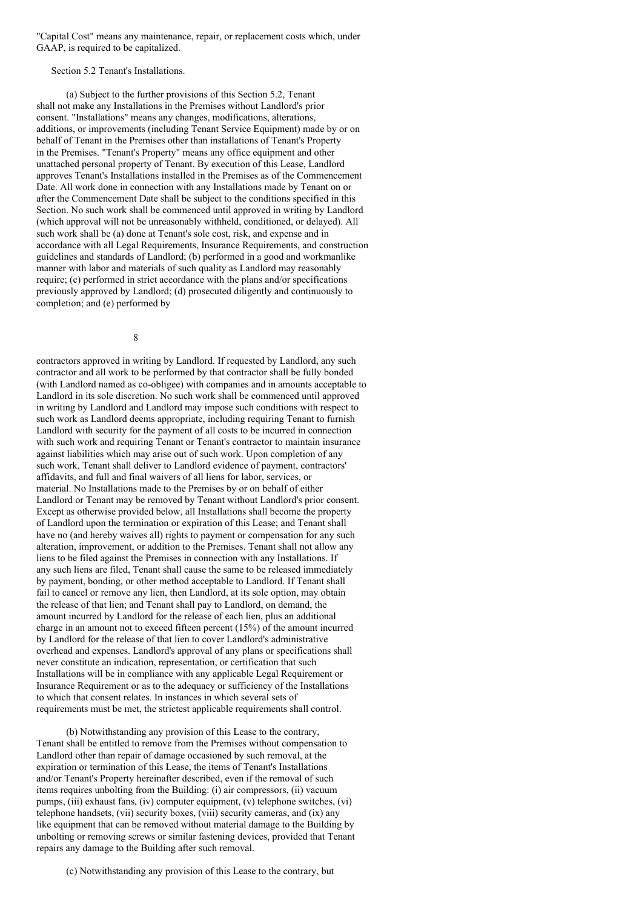"Capital Cost" means any maintenance, repair, or replacement costs which, under GAAP, is required to be capitalized.

Section 5.2 Tenant's Installations.

(a) Subject to the further provisions of this Section 5.2, Tenant shall not make any Installations in the Premises without Landlord's prior consent. "Installations" means any changes, modifications, alterations, additions, or improvements (including Tenant Service Equipment) made by or on behalf of Tenant in the Premises other than installations of Tenant's Property in the Premises. "Tenant's Property" means any office equipment and other unattached personal property of Tenant. By execution of this Lease, Landlord approves Tenant's Installations installed in the Premises as of the Commencement Date. All work done in connection with any Installations made by Tenant on or after the Commencement Date shall be subject to the conditions specified in this Section. No such work shall be commenced until approved in writing by Landlord (which approval will not be unreasonably withheld, conditioned, or delayed). All such work shall be (a) done at Tenant's sole cost, risk, and expense and in accordance with all Legal Requirements, Insurance Requirements, and construction guidelines and standards of Landlord; (b) performed in a good and workmanlike manner with labor and materials of such quality as Landlord may reasonably require; (c) performed in strict accordance with the plans and/or specifications previously approved by Landlord; (d) prosecuted diligently and continuously to completion; and (e) performed by

8

contractors approved in writing by Landlord. If requested by Landlord, any such contractor and all work to be performed by that contractor shall be fully bonded (with Landlord named as co-obligee) with companies and in amounts acceptable to Landlord in its sole discretion. No such work shall be commenced until approved in writing by Landlord and Landlord may impose such conditions with respect to such work as Landlord deems appropriate, including requiring Tenant to furnish Landlord with security for the payment of all costs to be incurred in connection with such work and requiring Tenant or Tenant's contractor to maintain insurance against liabilities which may arise out of such work. Upon completion of any such work, Tenant shall deliver to Landlord evidence of payment, contractors' affidavits, and full and final waivers of all liens for labor, services, or material. No Installations made to the Premises by or on behalf of either Landlord or Tenant may be removed by Tenant without Landlord's prior consent. Except as otherwise provided below, all Installations shall become the property of Landlord upon the termination or expiration of this Lease; and Tenant shall have no (and hereby waives all) rights to payment or compensation for any such alteration, improvement, or addition to the Premises. Tenant shall not allow any liens to be filed against the Premises in connection with any Installations. If any such liens are filed, Tenant shall cause the same to be released immediately by payment, bonding, or other method acceptable to Landlord. If Tenant shall fail to cancel or remove any lien, then Landlord, at its sole option, may obtain the release of that lien; and Tenant shall pay to Landlord, on demand, the amount incurred by Landlord for the release of each lien, plus an additional charge in an amount not to exceed fifteen percent (15%) of the amount incurred by Landlord for the release of that lien to cover Landlord's administrative overhead and expenses. Landlord's approval of any plans or specifications shall never constitute an indication, representation, or certification that such Installations will be in compliance with any applicable Legal Requirement or Insurance Requirement or as to the adequacy or sufficiency of the Installations to which that consent relates. In instances in which several sets of requirements must be met, the strictest applicable requirements shall control.

(b) Notwithstanding any provision of this Lease to the contrary, Tenant shall be entitled to remove from the Premises without compensation to Landlord other than repair of damage occasioned by such removal, at the expiration or termination of this Lease, the items of Tenant's Installations and/or Tenant's Property hereinafter described, even if the removal of such items requires unbolting from the Building: (i) air compressors, (ii) vacuum pumps, (iii) exhaust fans, (iv) computer equipment, (v) telephone switches, (vi) telephone handsets, (vii) security boxes, (viii) security cameras, and (ix) any like equipment that can be removed without material damage to the Building by unbolting or removing screws or similar fastening devices, provided that Tenant repairs any damage to the Building after such removal.

(c) Notwithstanding any provision of this Lease to the contrary, but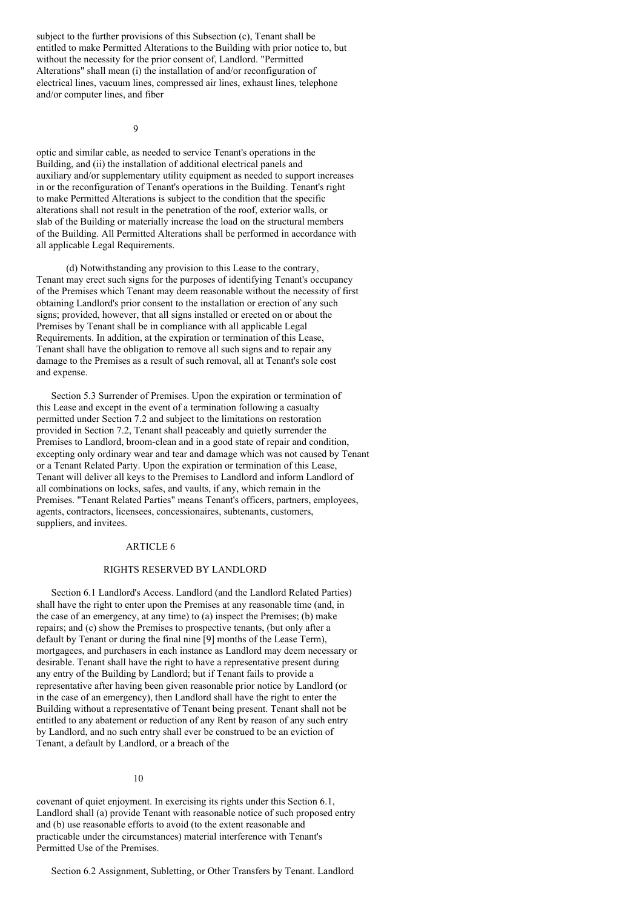subject to the further provisions of this Subsection (c), Tenant shall be entitled to make Permitted Alterations to the Building with prior notice to, but without the necessity for the prior consent of, Landlord. "Permitted Alterations" shall mean (i) the installation of and/or reconfiguration of electrical lines, vacuum lines, compressed air lines, exhaust lines, telephone and/or computer lines, and fiber

9

optic and similar cable, as needed to service Tenant's operations in the Building, and (ii) the installation of additional electrical panels and auxiliary and/or supplementary utility equipment as needed to support increases in or the reconfiguration of Tenant's operations in the Building. Tenant's right to make Permitted Alterations is subject to the condition that the specific alterations shall not result in the penetration of the roof, exterior walls, or slab of the Building or materially increase the load on the structural members of the Building. All Permitted Alterations shall be performed in accordance with all applicable Legal Requirements.

(d) Notwithstanding any provision to this Lease to the contrary, Tenant may erect such signs for the purposes of identifying Tenant's occupancy of the Premises which Tenant may deem reasonable without the necessity of first obtaining Landlord's prior consent to the installation or erection of any such signs; provided, however, that all signs installed or erected on or about the Premises by Tenant shall be in compliance with all applicable Legal Requirements. In addition, at the expiration or termination of this Lease, Tenant shall have the obligation to remove all such signs and to repair any damage to the Premises as a result of such removal, all at Tenant's sole cost and expense.

Section 5.3 Surrender of Premises. Upon the expiration or termination of this Lease and except in the event of a termination following a casualty permitted under Section 7.2 and subject to the limitations on restoration provided in Section 7.2, Tenant shall peaceably and quietly surrender the Premises to Landlord, broom-clean and in a good state of repair and condition, excepting only ordinary wear and tear and damage which was not caused by Tenant or a Tenant Related Party. Upon the expiration or termination of this Lease, Tenant will deliver all keys to the Premises to Landlord and inform Landlord of all combinations on locks, safes, and vaults, if any, which remain in the Premises. "Tenant Related Parties" means Tenant's officers, partners, employees, agents, contractors, licensees, concessionaires, subtenants, customers, suppliers, and invitees.

# ARTICLE 6

# RIGHTS RESERVED BY LANDLORD

Section 6.1 Landlord's Access. Landlord (and the Landlord Related Parties) shall have the right to enter upon the Premises at any reasonable time (and, in the case of an emergency, at any time) to (a) inspect the Premises; (b) make repairs; and (c) show the Premises to prospective tenants, (but only after a default by Tenant or during the final nine [9] months of the Lease Term), mortgagees, and purchasers in each instance as Landlord may deem necessary or desirable. Tenant shall have the right to have a representative present during any entry of the Building by Landlord; but if Tenant fails to provide a representative after having been given reasonable prior notice by Landlord (or in the case of an emergency), then Landlord shall have the right to enter the Building without a representative of Tenant being present. Tenant shall not be entitled to any abatement or reduction of any Rent by reason of any such entry by Landlord, and no such entry shall ever be construed to be an eviction of Tenant, a default by Landlord, or a breach of the

### 10

covenant of quiet enjoyment. In exercising its rights under this Section 6.1, Landlord shall (a) provide Tenant with reasonable notice of such proposed entry and (b) use reasonable efforts to avoid (to the extent reasonable and practicable under the circumstances) material interference with Tenant's Permitted Use of the Premises.

Section 6.2 Assignment, Subletting, or Other Transfers by Tenant. Landlord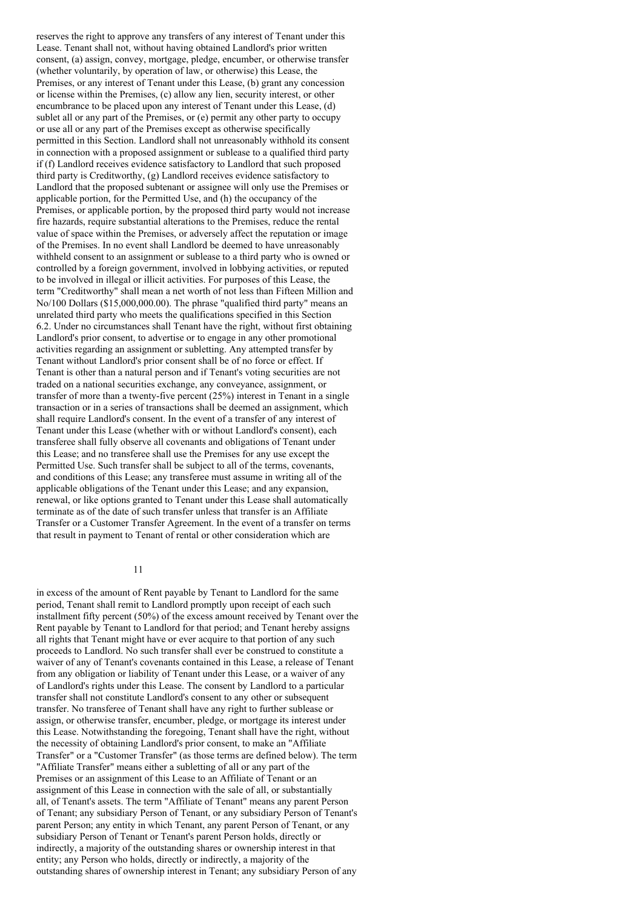reserves the right to approve any transfers of any interest of Tenant under this Lease. Tenant shall not, without having obtained Landlord's prior written consent, (a) assign, convey, mortgage, pledge, encumber, or otherwise transfer (whether voluntarily, by operation of law, or otherwise) this Lease, the Premises, or any interest of Tenant under this Lease, (b) grant any concession or license within the Premises, (c) allow any lien, security interest, or other encumbrance to be placed upon any interest of Tenant under this Lease, (d) sublet all or any part of the Premises, or (e) permit any other party to occupy or use all or any part of the Premises except as otherwise specifically permitted in this Section. Landlord shall not unreasonably withhold its consent in connection with a proposed assignment or sublease to a qualified third party if (f) Landlord receives evidence satisfactory to Landlord that such proposed third party is Creditworthy, (g) Landlord receives evidence satisfactory to Landlord that the proposed subtenant or assignee will only use the Premises or applicable portion, for the Permitted Use, and (h) the occupancy of the Premises, or applicable portion, by the proposed third party would not increase fire hazards, require substantial alterations to the Premises, reduce the rental value of space within the Premises, or adversely affect the reputation or image of the Premises. In no event shall Landlord be deemed to have unreasonably withheld consent to an assignment or sublease to a third party who is owned or controlled by a foreign government, involved in lobbying activities, or reputed to be involved in illegal or illicit activities. For purposes of this Lease, the term "Creditworthy" shall mean a net worth of not less than Fifteen Million and No/100 Dollars (\$15,000,000.00). The phrase "qualified third party" means an unrelated third party who meets the qualifications specified in this Section 6.2. Under no circumstances shall Tenant have the right, without first obtaining Landlord's prior consent, to advertise or to engage in any other promotional activities regarding an assignment or subletting. Any attempted transfer by Tenant without Landlord's prior consent shall be of no force or effect. If Tenant is other than a natural person and if Tenant's voting securities are not traded on a national securities exchange, any conveyance, assignment, or transfer of more than a twenty-five percent (25%) interest in Tenant in a single transaction or in a series of transactions shall be deemed an assignment, which shall require Landlord's consent. In the event of a transfer of any interest of Tenant under this Lease (whether with or without Landlord's consent), each transferee shall fully observe all covenants and obligations of Tenant under this Lease; and no transferee shall use the Premises for any use except the Permitted Use. Such transfer shall be subject to all of the terms, covenants, and conditions of this Lease; any transferee must assume in writing all of the applicable obligations of the Tenant under this Lease; and any expansion, renewal, or like options granted to Tenant under this Lease shall automatically terminate as of the date of such transfer unless that transfer is an Affiliate Transfer or a Customer Transfer Agreement. In the event of a transfer on terms that result in payment to Tenant of rental or other consideration which are

### 11

in excess of the amount of Rent payable by Tenant to Landlord for the same period, Tenant shall remit to Landlord promptly upon receipt of each such installment fifty percent (50%) of the excess amount received by Tenant over the Rent payable by Tenant to Landlord for that period; and Tenant hereby assigns all rights that Tenant might have or ever acquire to that portion of any such proceeds to Landlord. No such transfer shall ever be construed to constitute a waiver of any of Tenant's covenants contained in this Lease, a release of Tenant from any obligation or liability of Tenant under this Lease, or a waiver of any of Landlord's rights under this Lease. The consent by Landlord to a particular transfer shall not constitute Landlord's consent to any other or subsequent transfer. No transferee of Tenant shall have any right to further sublease or assign, or otherwise transfer, encumber, pledge, or mortgage its interest under this Lease. Notwithstanding the foregoing, Tenant shall have the right, without the necessity of obtaining Landlord's prior consent, to make an "Affiliate Transfer" or a "Customer Transfer" (as those terms are defined below). The term "Affiliate Transfer" means either a subletting of all or any part of the Premises or an assignment of this Lease to an Affiliate of Tenant or an assignment of this Lease in connection with the sale of all, or substantially all, of Tenant's assets. The term "Affiliate of Tenant" means any parent Person of Tenant; any subsidiary Person of Tenant, or any subsidiary Person of Tenant's parent Person; any entity in which Tenant, any parent Person of Tenant, or any subsidiary Person of Tenant or Tenant's parent Person holds, directly or indirectly, a majority of the outstanding shares or ownership interest in that entity; any Person who holds, directly or indirectly, a majority of the outstanding shares of ownership interest in Tenant; any subsidiary Person of any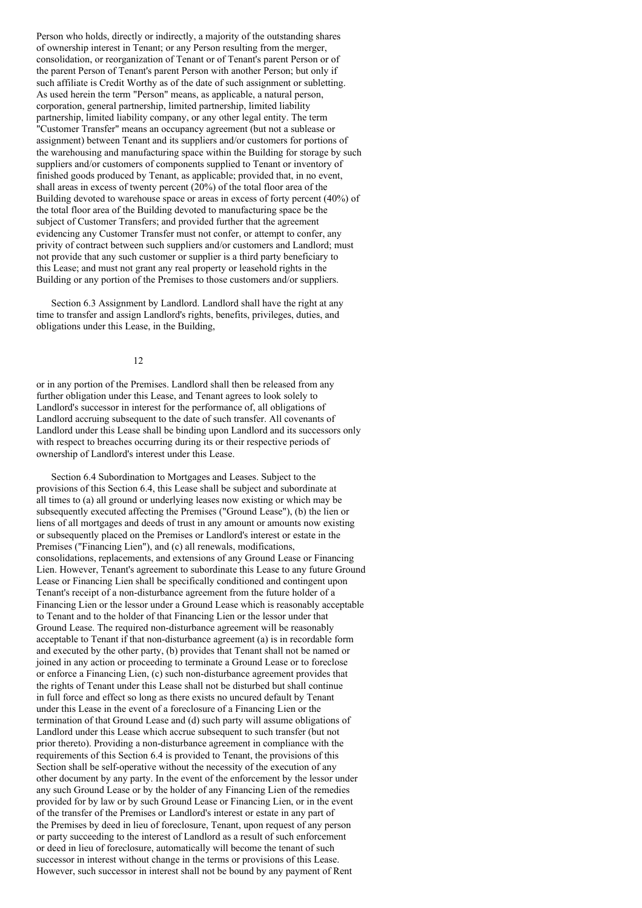Person who holds, directly or indirectly, a majority of the outstanding shares of ownership interest in Tenant; or any Person resulting from the merger, consolidation, or reorganization of Tenant or of Tenant's parent Person or of the parent Person of Tenant's parent Person with another Person; but only if such affiliate is Credit Worthy as of the date of such assignment or subletting. As used herein the term "Person" means, as applicable, a natural person, corporation, general partnership, limited partnership, limited liability partnership, limited liability company, or any other legal entity. The term "Customer Transfer" means an occupancy agreement (but not a sublease or assignment) between Tenant and its suppliers and/or customers for portions of the warehousing and manufacturing space within the Building for storage by such suppliers and/or customers of components supplied to Tenant or inventory of finished goods produced by Tenant, as applicable; provided that, in no event, shall areas in excess of twenty percent (20%) of the total floor area of the Building devoted to warehouse space or areas in excess of forty percent (40%) of the total floor area of the Building devoted to manufacturing space be the subject of Customer Transfers; and provided further that the agreement evidencing any Customer Transfer must not confer, or attempt to confer, any privity of contract between such suppliers and/or customers and Landlord; must not provide that any such customer or supplier is a third party beneficiary to this Lease; and must not grant any real property or leasehold rights in the Building or any portion of the Premises to those customers and/or suppliers.

Section 6.3 Assignment by Landlord. Landlord shall have the right at any time to transfer and assign Landlord's rights, benefits, privileges, duties, and obligations under this Lease, in the Building,

12

or in any portion of the Premises. Landlord shall then be released from any further obligation under this Lease, and Tenant agrees to look solely to Landlord's successor in interest for the performance of, all obligations of Landlord accruing subsequent to the date of such transfer. All covenants of Landlord under this Lease shall be binding upon Landlord and its successors only with respect to breaches occurring during its or their respective periods of ownership of Landlord's interest under this Lease.

Section 6.4 Subordination to Mortgages and Leases. Subject to the provisions of this Section 6.4, this Lease shall be subject and subordinate at all times to (a) all ground or underlying leases now existing or which may be subsequently executed affecting the Premises ("Ground Lease"), (b) the lien or liens of all mortgages and deeds of trust in any amount or amounts now existing or subsequently placed on the Premises or Landlord's interest or estate in the Premises ("Financing Lien"), and (c) all renewals, modifications, consolidations, replacements, and extensions of any Ground Lease or Financing Lien. However, Tenant's agreement to subordinate this Lease to any future Ground Lease or Financing Lien shall be specifically conditioned and contingent upon Tenant's receipt of a non-disturbance agreement from the future holder of a Financing Lien or the lessor under a Ground Lease which is reasonably acceptable to Tenant and to the holder of that Financing Lien or the lessor under that Ground Lease. The required non-disturbance agreement will be reasonably acceptable to Tenant if that non-disturbance agreement (a) is in recordable form and executed by the other party, (b) provides that Tenant shall not be named or joined in any action or proceeding to terminate a Ground Lease or to foreclose or enforce a Financing Lien, (c) such non-disturbance agreement provides that the rights of Tenant under this Lease shall not be disturbed but shall continue in full force and effect so long as there exists no uncured default by Tenant under this Lease in the event of a foreclosure of a Financing Lien or the termination of that Ground Lease and (d) such party will assume obligations of Landlord under this Lease which accrue subsequent to such transfer (but not prior thereto). Providing a non-disturbance agreement in compliance with the requirements of this Section 6.4 is provided to Tenant, the provisions of this Section shall be self-operative without the necessity of the execution of any other document by any party. In the event of the enforcement by the lessor under any such Ground Lease or by the holder of any Financing Lien of the remedies provided for by law or by such Ground Lease or Financing Lien, or in the event of the transfer of the Premises or Landlord's interest or estate in any part of the Premises by deed in lieu of foreclosure, Tenant, upon request of any person or party succeeding to the interest of Landlord as a result of such enforcement or deed in lieu of foreclosure, automatically will become the tenant of such successor in interest without change in the terms or provisions of this Lease. However, such successor in interest shall not be bound by any payment of Rent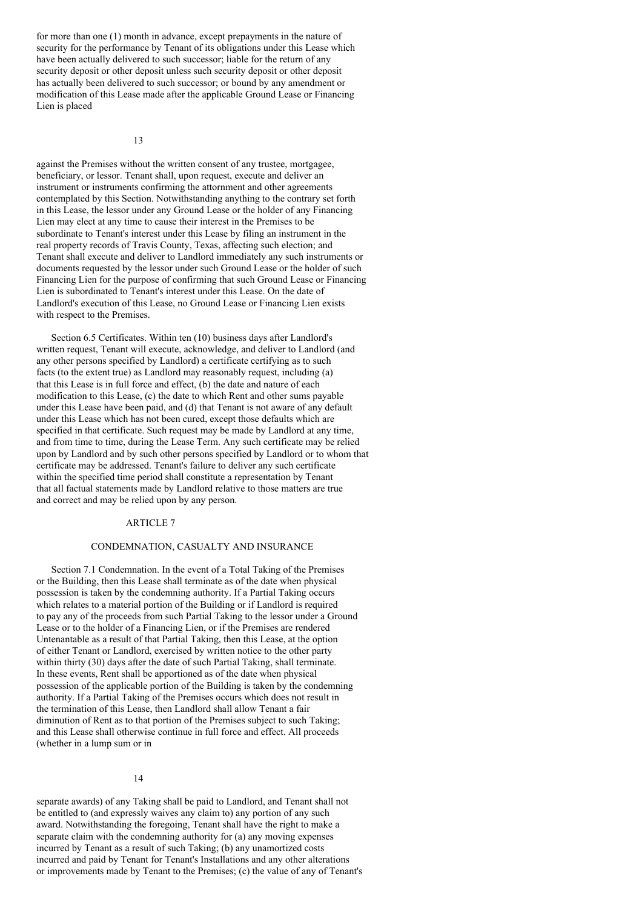for more than one (1) month in advance, except prepayments in the nature of security for the performance by Tenant of its obligations under this Lease which have been actually delivered to such successor; liable for the return of any security deposit or other deposit unless such security deposit or other deposit has actually been delivered to such successor; or bound by any amendment or modification of this Lease made after the applicable Ground Lease or Financing Lien is placed

13

against the Premises without the written consent of any trustee, mortgagee, beneficiary, or lessor. Tenant shall, upon request, execute and deliver an instrument or instruments confirming the attornment and other agreements contemplated by this Section. Notwithstanding anything to the contrary set forth in this Lease, the lessor under any Ground Lease or the holder of any Financing Lien may elect at any time to cause their interest in the Premises to be subordinate to Tenant's interest under this Lease by filing an instrument in the real property records of Travis County, Texas, affecting such election; and Tenant shall execute and deliver to Landlord immediately any such instruments or documents requested by the lessor under such Ground Lease or the holder of such Financing Lien for the purpose of confirming that such Ground Lease or Financing Lien is subordinated to Tenant's interest under this Lease. On the date of Landlord's execution of this Lease, no Ground Lease or Financing Lien exists with respect to the Premises.

Section 6.5 Certificates. Within ten (10) business days after Landlord's written request, Tenant will execute, acknowledge, and deliver to Landlord (and any other persons specified by Landlord) a certificate certifying as to such facts (to the extent true) as Landlord may reasonably request, including (a) that this Lease is in full force and effect, (b) the date and nature of each modification to this Lease, (c) the date to which Rent and other sums payable under this Lease have been paid, and (d) that Tenant is not aware of any default under this Lease which has not been cured, except those defaults which are specified in that certificate. Such request may be made by Landlord at any time, and from time to time, during the Lease Term. Any such certificate may be relied upon by Landlord and by such other persons specified by Landlord or to whom that certificate may be addressed. Tenant's failure to deliver any such certificate within the specified time period shall constitute a representation by Tenant that all factual statements made by Landlord relative to those matters are true and correct and may be relied upon by any person.

### ARTICLE 7

### CONDEMNATION, CASUALTY AND INSURANCE

Section 7.1 Condemnation. In the event of a Total Taking of the Premises or the Building, then this Lease shall terminate as of the date when physical possession is taken by the condemning authority. If a Partial Taking occurs which relates to a material portion of the Building or if Landlord is required to pay any of the proceeds from such Partial Taking to the lessor under a Ground Lease or to the holder of a Financing Lien, or if the Premises are rendered Untenantable as a result of that Partial Taking, then this Lease, at the option of either Tenant or Landlord, exercised by written notice to the other party within thirty (30) days after the date of such Partial Taking, shall terminate. In these events, Rent shall be apportioned as of the date when physical possession of the applicable portion of the Building is taken by the condemning authority. If a Partial Taking of the Premises occurs which does not result in the termination of this Lease, then Landlord shall allow Tenant a fair diminution of Rent as to that portion of the Premises subject to such Taking; and this Lease shall otherwise continue in full force and effect. All proceeds (whether in a lump sum or in

#### 14

separate awards) of any Taking shall be paid to Landlord, and Tenant shall not be entitled to (and expressly waives any claim to) any portion of any such award. Notwithstanding the foregoing, Tenant shall have the right to make a separate claim with the condemning authority for (a) any moving expenses incurred by Tenant as a result of such Taking; (b) any unamortized costs incurred and paid by Tenant for Tenant's Installations and any other alterations or improvements made by Tenant to the Premises; (c) the value of any of Tenant's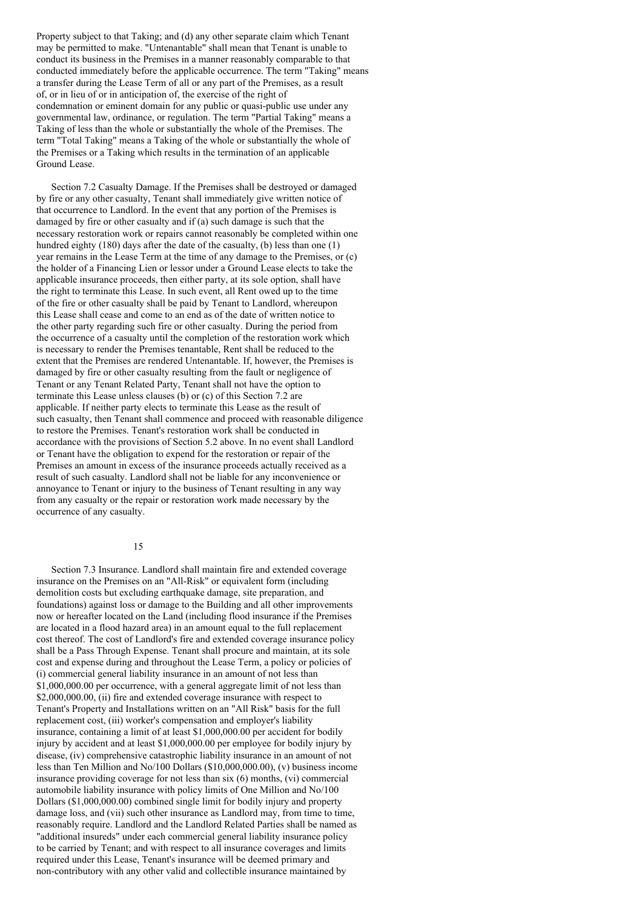Property subject to that Taking; and (d) any other separate claim which Tenant may be permitted to make. "Untenantable" shall mean that Tenant is unable to conduct its business in the Premises in a manner reasonably comparable to that conducted immediately before the applicable occurrence. The term "Taking" means a transfer during the Lease Term of all or any part of the Premises, as a result of, or in lieu of or in anticipation of, the exercise of the right of condemnation or eminent domain for any public or quasi-public use under any governmental law, ordinance, or regulation. The term "Partial Taking" means a Taking of less than the whole or substantially the whole of the Premises. The term "Total Taking" means a Taking of the whole or substantially the whole of the Premises or a Taking which results in the termination of an applicable Ground Lease.

Section 7.2 Casualty Damage. If the Premises shall be destroyed or damaged by fire or any other casualty, Tenant shall immediately give written notice of that occurrence to Landlord. In the event that any portion of the Premises is damaged by fire or other casualty and if (a) such damage is such that the necessary restoration work or repairs cannot reasonably be completed within one hundred eighty (180) days after the date of the casualty, (b) less than one (1) year remains in the Lease Term at the time of any damage to the Premises, or (c) the holder of a Financing Lien or lessor under a Ground Lease elects to take the applicable insurance proceeds, then either party, at its sole option, shall have the right to terminate this Lease. In such event, all Rent owed up to the time of the fire or other casualty shall be paid by Tenant to Landlord, whereupon this Lease shall cease and come to an end as of the date of written notice to the other party regarding such fire or other casualty. During the period from the occurrence of a casualty until the completion of the restoration work which is necessary to render the Premises tenantable, Rent shall be reduced to the extent that the Premises are rendered Untenantable. If, however, the Premises is damaged by fire or other casualty resulting from the fault or negligence of Tenant or any Tenant Related Party, Tenant shall not have the option to terminate this Lease unless clauses (b) or (c) of this Section 7.2 are applicable. If neither party elects to terminate this Lease as the result of such casualty, then Tenant shall commence and proceed with reasonable diligence to restore the Premises. Tenant's restoration work shall be conducted in accordance with the provisions of Section 5.2 above. In no event shall Landlord or Tenant have the obligation to expend for the restoration or repair of the Premises an amount in excess of the insurance proceeds actually received as a result of such casualty. Landlord shall not be liable for any inconvenience or annoyance to Tenant or injury to the business of Tenant resulting in any way from any casualty or the repair or restoration work made necessary by the occurrence of any casualty.

#### 15

Section 7.3 Insurance. Landlord shall maintain fire and extended coverage insurance on the Premises on an "All-Risk" or equivalent form (including demolition costs but excluding earthquake damage, site preparation, and foundations) against loss or damage to the Building and all other improvements now or hereafter located on the Land (including flood insurance if the Premises are located in a flood hazard area) in an amount equal to the full replacement cost thereof. The cost of Landlord's fire and extended coverage insurance policy shall be a Pass Through Expense. Tenant shall procure and maintain, at its sole cost and expense during and throughout the Lease Term, a policy or policies of (i) commercial general liability insurance in an amount of not less than \$1,000,000.00 per occurrence, with a general aggregate limit of not less than \$2,000,000.00, (ii) fire and extended coverage insurance with respect to Tenant's Property and Installations written on an "All Risk" basis for the full replacement cost, (iii) worker's compensation and employer's liability insurance, containing a limit of at least \$1,000,000.00 per accident for bodily injury by accident and at least \$1,000,000.00 per employee for bodily injury by disease, (iv) comprehensive catastrophic liability insurance in an amount of not less than Ten Million and No/100 Dollars (\$10,000,000.00), (v) business income insurance providing coverage for not less than six (6) months, (vi) commercial automobile liability insurance with policy limits of One Million and No/100 Dollars (\$1,000,000.00) combined single limit for bodily injury and property damage loss, and (vii) such other insurance as Landlord may, from time to time, reasonably require. Landlord and the Landlord Related Parties shall be named as "additional insureds" under each commercial general liability insurance policy to be carried by Tenant; and with respect to all insurance coverages and limits required under this Lease, Tenant's insurance will be deemed primary and non-contributory with any other valid and collectible insurance maintained by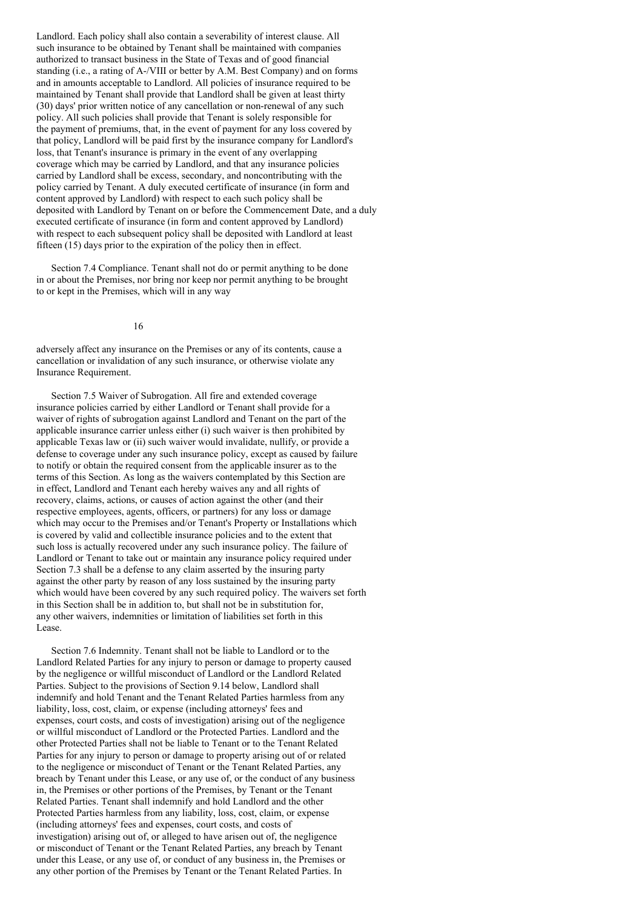Landlord. Each policy shall also contain a severability of interest clause. All such insurance to be obtained by Tenant shall be maintained with companies authorized to transact business in the State of Texas and of good financial standing (i.e., a rating of A-/VIII or better by A.M. Best Company) and on forms and in amounts acceptable to Landlord. All policies of insurance required to be maintained by Tenant shall provide that Landlord shall be given at least thirty (30) days' prior written notice of any cancellation or non-renewal of any such policy. All such policies shall provide that Tenant is solely responsible for the payment of premiums, that, in the event of payment for any loss covered by that policy, Landlord will be paid first by the insurance company for Landlord's loss, that Tenant's insurance is primary in the event of any overlapping coverage which may be carried by Landlord, and that any insurance policies carried by Landlord shall be excess, secondary, and noncontributing with the policy carried by Tenant. A duly executed certificate of insurance (in form and content approved by Landlord) with respect to each such policy shall be deposited with Landlord by Tenant on or before the Commencement Date, and a duly executed certificate of insurance (in form and content approved by Landlord) with respect to each subsequent policy shall be deposited with Landlord at least fifteen (15) days prior to the expiration of the policy then in effect.

Section 7.4 Compliance. Tenant shall not do or permit anything to be done in or about the Premises, nor bring nor keep nor permit anything to be brought to or kept in the Premises, which will in any way

16

adversely affect any insurance on the Premises or any of its contents, cause a cancellation or invalidation of any such insurance, or otherwise violate any Insurance Requirement.

Section 7.5 Waiver of Subrogation. All fire and extended coverage insurance policies carried by either Landlord or Tenant shall provide for a waiver of rights of subrogation against Landlord and Tenant on the part of the applicable insurance carrier unless either (i) such waiver is then prohibited by applicable Texas law or (ii) such waiver would invalidate, nullify, or provide a defense to coverage under any such insurance policy, except as caused by failure to notify or obtain the required consent from the applicable insurer as to the terms of this Section. As long as the waivers contemplated by this Section are in effect, Landlord and Tenant each hereby waives any and all rights of recovery, claims, actions, or causes of action against the other (and their respective employees, agents, officers, or partners) for any loss or damage which may occur to the Premises and/or Tenant's Property or Installations which is covered by valid and collectible insurance policies and to the extent that such loss is actually recovered under any such insurance policy. The failure of Landlord or Tenant to take out or maintain any insurance policy required under Section 7.3 shall be a defense to any claim asserted by the insuring party against the other party by reason of any loss sustained by the insuring party which would have been covered by any such required policy. The waivers set forth in this Section shall be in addition to, but shall not be in substitution for, any other waivers, indemnities or limitation of liabilities set forth in this Lease.

Section 7.6 Indemnity. Tenant shall not be liable to Landlord or to the Landlord Related Parties for any injury to person or damage to property caused by the negligence or willful misconduct of Landlord or the Landlord Related Parties. Subject to the provisions of Section 9.14 below, Landlord shall indemnify and hold Tenant and the Tenant Related Parties harmless from any liability, loss, cost, claim, or expense (including attorneys' fees and expenses, court costs, and costs of investigation) arising out of the negligence or willful misconduct of Landlord or the Protected Parties. Landlord and the other Protected Parties shall not be liable to Tenant or to the Tenant Related Parties for any injury to person or damage to property arising out of or related to the negligence or misconduct of Tenant or the Tenant Related Parties, any breach by Tenant under this Lease, or any use of, or the conduct of any business in, the Premises or other portions of the Premises, by Tenant or the Tenant Related Parties. Tenant shall indemnify and hold Landlord and the other Protected Parties harmless from any liability, loss, cost, claim, or expense (including attorneys' fees and expenses, court costs, and costs of investigation) arising out of, or alleged to have arisen out of, the negligence or misconduct of Tenant or the Tenant Related Parties, any breach by Tenant under this Lease, or any use of, or conduct of any business in, the Premises or any other portion of the Premises by Tenant or the Tenant Related Parties. In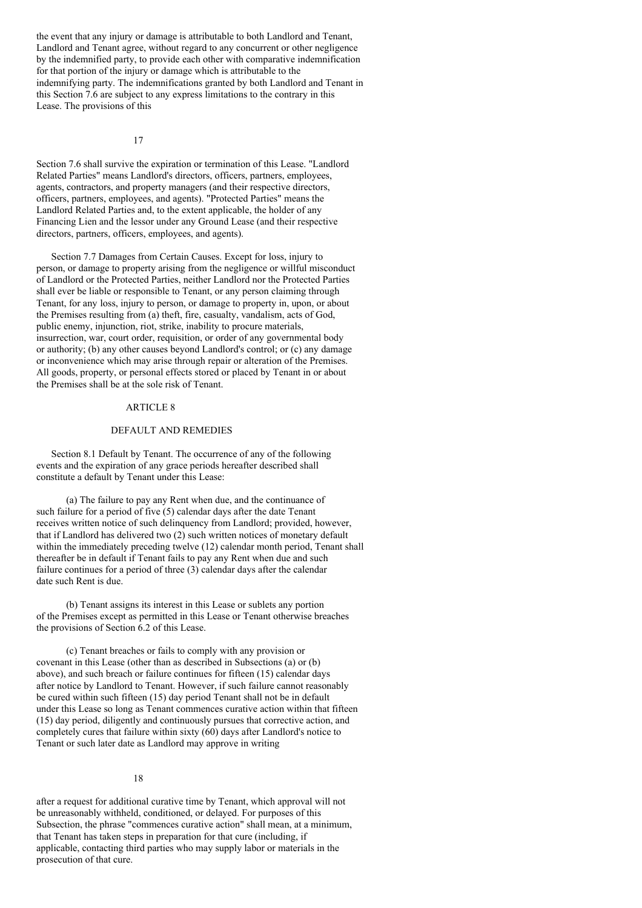the event that any injury or damage is attributable to both Landlord and Tenant, Landlord and Tenant agree, without regard to any concurrent or other negligence by the indemnified party, to provide each other with comparative indemnification for that portion of the injury or damage which is attributable to the indemnifying party. The indemnifications granted by both Landlord and Tenant in this Section 7.6 are subject to any express limitations to the contrary in this Lease. The provisions of this

17

Section 7.6 shall survive the expiration or termination of this Lease. "Landlord Related Parties" means Landlord's directors, officers, partners, employees, agents, contractors, and property managers (and their respective directors, officers, partners, employees, and agents). "Protected Parties" means the Landlord Related Parties and, to the extent applicable, the holder of any Financing Lien and the lessor under any Ground Lease (and their respective directors, partners, officers, employees, and agents).

Section 7.7 Damages from Certain Causes. Except for loss, injury to person, or damage to property arising from the negligence or willful misconduct of Landlord or the Protected Parties, neither Landlord nor the Protected Parties shall ever be liable or responsible to Tenant, or any person claiming through Tenant, for any loss, injury to person, or damage to property in, upon, or about the Premises resulting from (a) theft, fire, casualty, vandalism, acts of God, public enemy, injunction, riot, strike, inability to procure materials, insurrection, war, court order, requisition, or order of any governmental body or authority; (b) any other causes beyond Landlord's control; or (c) any damage or inconvenience which may arise through repair or alteration of the Premises. All goods, property, or personal effects stored or placed by Tenant in or about the Premises shall be at the sole risk of Tenant.

# ARTICLE 8

# DEFAULT AND REMEDIES

Section 8.1 Default by Tenant. The occurrence of any of the following events and the expiration of any grace periods hereafter described shall constitute a default by Tenant under this Lease:

(a) The failure to pay any Rent when due, and the continuance of such failure for a period of five (5) calendar days after the date Tenant receives written notice of such delinquency from Landlord; provided, however, that if Landlord has delivered two (2) such written notices of monetary default within the immediately preceding twelve (12) calendar month period, Tenant shall thereafter be in default if Tenant fails to pay any Rent when due and such failure continues for a period of three (3) calendar days after the calendar date such Rent is due.

(b) Tenant assigns its interest in this Lease or sublets any portion of the Premises except as permitted in this Lease or Tenant otherwise breaches the provisions of Section 6.2 of this Lease.

(c) Tenant breaches or fails to comply with any provision or covenant in this Lease (other than as described in Subsections (a) or (b) above), and such breach or failure continues for fifteen (15) calendar days after notice by Landlord to Tenant. However, if such failure cannot reasonably be cured within such fifteen (15) day period Tenant shall not be in default under this Lease so long as Tenant commences curative action within that fifteen (15) day period, diligently and continuously pursues that corrective action, and completely cures that failure within sixty (60) days after Landlord's notice to Tenant or such later date as Landlord may approve in writing

### 18

after a request for additional curative time by Tenant, which approval will not be unreasonably withheld, conditioned, or delayed. For purposes of this Subsection, the phrase "commences curative action" shall mean, at a minimum, that Tenant has taken steps in preparation for that cure (including, if applicable, contacting third parties who may supply labor or materials in the prosecution of that cure.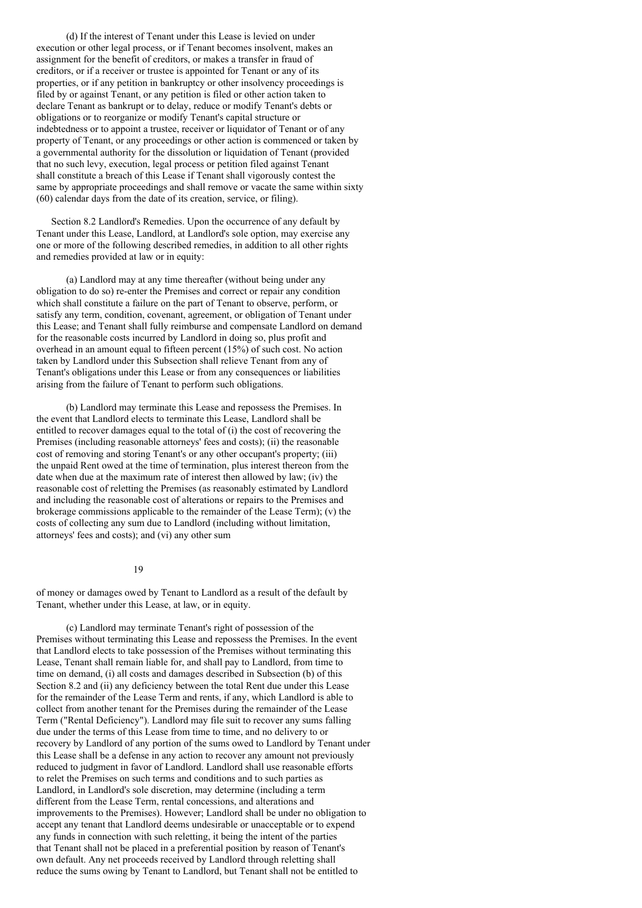(d) If the interest of Tenant under this Lease is levied on under execution or other legal process, or if Tenant becomes insolvent, makes an assignment for the benefit of creditors, or makes a transfer in fraud of creditors, or if a receiver or trustee is appointed for Tenant or any of its properties, or if any petition in bankruptcy or other insolvency proceedings is filed by or against Tenant, or any petition is filed or other action taken to declare Tenant as bankrupt or to delay, reduce or modify Tenant's debts or obligations or to reorganize or modify Tenant's capital structure or indebtedness or to appoint a trustee, receiver or liquidator of Tenant or of any property of Tenant, or any proceedings or other action is commenced or taken by a governmental authority for the dissolution or liquidation of Tenant (provided that no such levy, execution, legal process or petition filed against Tenant shall constitute a breach of this Lease if Tenant shall vigorously contest the same by appropriate proceedings and shall remove or vacate the same within sixty (60) calendar days from the date of its creation, service, or filing).

Section 8.2 Landlord's Remedies. Upon the occurrence of any default by Tenant under this Lease, Landlord, at Landlord's sole option, may exercise any one or more of the following described remedies, in addition to all other rights and remedies provided at law or in equity:

(a) Landlord may at any time thereafter (without being under any obligation to do so) re-enter the Premises and correct or repair any condition which shall constitute a failure on the part of Tenant to observe, perform, or satisfy any term, condition, covenant, agreement, or obligation of Tenant under this Lease; and Tenant shall fully reimburse and compensate Landlord on demand for the reasonable costs incurred by Landlord in doing so, plus profit and overhead in an amount equal to fifteen percent (15%) of such cost. No action taken by Landlord under this Subsection shall relieve Tenant from any of Tenant's obligations under this Lease or from any consequences or liabilities arising from the failure of Tenant to perform such obligations.

(b) Landlord may terminate this Lease and repossess the Premises. In the event that Landlord elects to terminate this Lease, Landlord shall be entitled to recover damages equal to the total of (i) the cost of recovering the Premises (including reasonable attorneys' fees and costs); (ii) the reasonable cost of removing and storing Tenant's or any other occupant's property; (iii) the unpaid Rent owed at the time of termination, plus interest thereon from the date when due at the maximum rate of interest then allowed by law; (iv) the reasonable cost of reletting the Premises (as reasonably estimated by Landlord and including the reasonable cost of alterations or repairs to the Premises and brokerage commissions applicable to the remainder of the Lease Term); (v) the costs of collecting any sum due to Landlord (including without limitation, attorneys' fees and costs); and (vi) any other sum

#### 19

of money or damages owed by Tenant to Landlord as a result of the default by Tenant, whether under this Lease, at law, or in equity.

(c) Landlord may terminate Tenant's right of possession of the Premises without terminating this Lease and repossess the Premises. In the event that Landlord elects to take possession of the Premises without terminating this Lease, Tenant shall remain liable for, and shall pay to Landlord, from time to time on demand, (i) all costs and damages described in Subsection (b) of this Section 8.2 and (ii) any deficiency between the total Rent due under this Lease for the remainder of the Lease Term and rents, if any, which Landlord is able to collect from another tenant for the Premises during the remainder of the Lease Term ("Rental Deficiency"). Landlord may file suit to recover any sums falling due under the terms of this Lease from time to time, and no delivery to or recovery by Landlord of any portion of the sums owed to Landlord by Tenant under this Lease shall be a defense in any action to recover any amount not previously reduced to judgment in favor of Landlord. Landlord shall use reasonable efforts to relet the Premises on such terms and conditions and to such parties as Landlord, in Landlord's sole discretion, may determine (including a term different from the Lease Term, rental concessions, and alterations and improvements to the Premises). However; Landlord shall be under no obligation to accept any tenant that Landlord deems undesirable or unacceptable or to expend any funds in connection with such reletting, it being the intent of the parties that Tenant shall not be placed in a preferential position by reason of Tenant's own default. Any net proceeds received by Landlord through reletting shall reduce the sums owing by Tenant to Landlord, but Tenant shall not be entitled to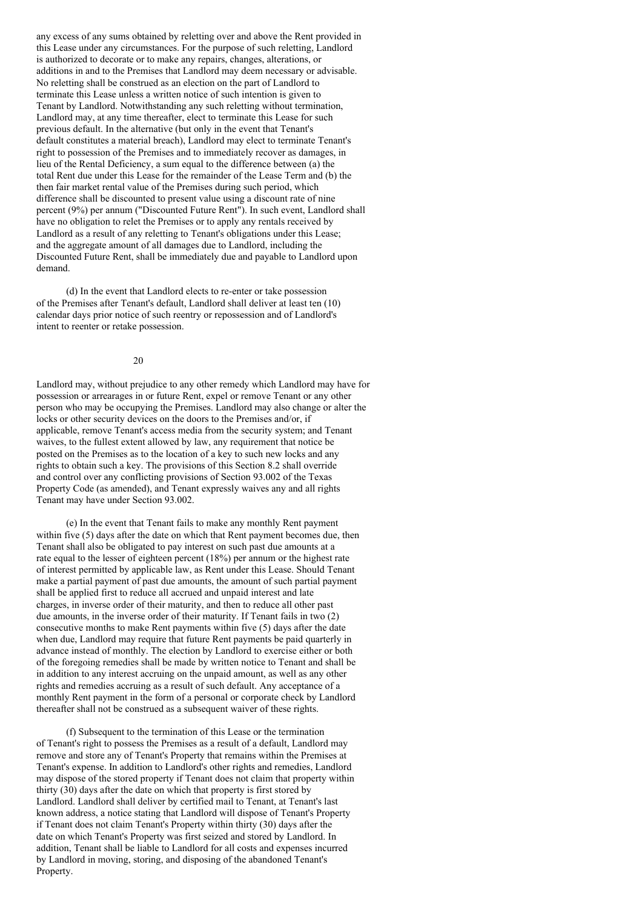any excess of any sums obtained by reletting over and above the Rent provided in this Lease under any circumstances. For the purpose of such reletting, Landlord is authorized to decorate or to make any repairs, changes, alterations, or additions in and to the Premises that Landlord may deem necessary or advisable. No reletting shall be construed as an election on the part of Landlord to terminate this Lease unless a written notice of such intention is given to Tenant by Landlord. Notwithstanding any such reletting without termination, Landlord may, at any time thereafter, elect to terminate this Lease for such previous default. In the alternative (but only in the event that Tenant's default constitutes a material breach), Landlord may elect to terminate Tenant's right to possession of the Premises and to immediately recover as damages, in lieu of the Rental Deficiency, a sum equal to the difference between (a) the total Rent due under this Lease for the remainder of the Lease Term and (b) the then fair market rental value of the Premises during such period, which difference shall be discounted to present value using a discount rate of nine percent (9%) per annum ("Discounted Future Rent"). In such event, Landlord shall have no obligation to relet the Premises or to apply any rentals received by Landlord as a result of any reletting to Tenant's obligations under this Lease; and the aggregate amount of all damages due to Landlord, including the Discounted Future Rent, shall be immediately due and payable to Landlord upon demand.

(d) In the event that Landlord elects to re-enter or take possession of the Premises after Tenant's default, Landlord shall deliver at least ten (10) calendar days prior notice of such reentry or repossession and of Landlord's intent to reenter or retake possession.

20

Landlord may, without prejudice to any other remedy which Landlord may have for possession or arrearages in or future Rent, expel or remove Tenant or any other person who may be occupying the Premises. Landlord may also change or alter the locks or other security devices on the doors to the Premises and/or, if applicable, remove Tenant's access media from the security system; and Tenant waives, to the fullest extent allowed by law, any requirement that notice be posted on the Premises as to the location of a key to such new locks and any rights to obtain such a key. The provisions of this Section 8.2 shall override and control over any conflicting provisions of Section 93.002 of the Texas Property Code (as amended), and Tenant expressly waives any and all rights Tenant may have under Section 93.002.

(e) In the event that Tenant fails to make any monthly Rent payment within five (5) days after the date on which that Rent payment becomes due, then Tenant shall also be obligated to pay interest on such past due amounts at a rate equal to the lesser of eighteen percent (18%) per annum or the highest rate of interest permitted by applicable law, as Rent under this Lease. Should Tenant make a partial payment of past due amounts, the amount of such partial payment shall be applied first to reduce all accrued and unpaid interest and late charges, in inverse order of their maturity, and then to reduce all other past due amounts, in the inverse order of their maturity. If Tenant fails in two (2) consecutive months to make Rent payments within five (5) days after the date when due, Landlord may require that future Rent payments be paid quarterly in advance instead of monthly. The election by Landlord to exercise either or both of the foregoing remedies shall be made by written notice to Tenant and shall be in addition to any interest accruing on the unpaid amount, as well as any other rights and remedies accruing as a result of such default. Any acceptance of a monthly Rent payment in the form of a personal or corporate check by Landlord thereafter shall not be construed as a subsequent waiver of these rights.

(f) Subsequent to the termination of this Lease or the termination of Tenant's right to possess the Premises as a result of a default, Landlord may remove and store any of Tenant's Property that remains within the Premises at Tenant's expense. In addition to Landlord's other rights and remedies, Landlord may dispose of the stored property if Tenant does not claim that property within thirty (30) days after the date on which that property is first stored by Landlord. Landlord shall deliver by certified mail to Tenant, at Tenant's last known address, a notice stating that Landlord will dispose of Tenant's Property if Tenant does not claim Tenant's Property within thirty (30) days after the date on which Tenant's Property was first seized and stored by Landlord. In addition, Tenant shall be liable to Landlord for all costs and expenses incurred by Landlord in moving, storing, and disposing of the abandoned Tenant's Property.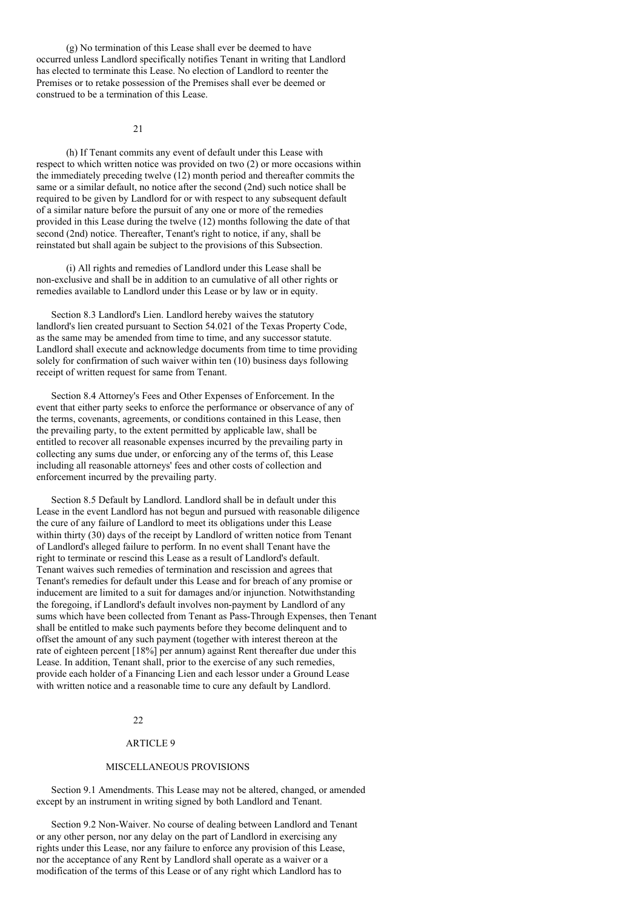(g) No termination of this Lease shall ever be deemed to have occurred unless Landlord specifically notifies Tenant in writing that Landlord has elected to terminate this Lease. No election of Landlord to reenter the Premises or to retake possession of the Premises shall ever be deemed or construed to be a termination of this Lease.

 $21$ 

(h) If Tenant commits any event of default under this Lease with respect to which written notice was provided on two (2) or more occasions within the immediately preceding twelve (12) month period and thereafter commits the same or a similar default, no notice after the second (2nd) such notice shall be required to be given by Landlord for or with respect to any subsequent default of a similar nature before the pursuit of any one or more of the remedies provided in this Lease during the twelve (12) months following the date of that second (2nd) notice. Thereafter, Tenant's right to notice, if any, shall be reinstated but shall again be subject to the provisions of this Subsection.

(i) All rights and remedies of Landlord under this Lease shall be non-exclusive and shall be in addition to an cumulative of all other rights or remedies available to Landlord under this Lease or by law or in equity.

Section 8.3 Landlord's Lien. Landlord hereby waives the statutory landlord's lien created pursuant to Section 54.021 of the Texas Property Code, as the same may be amended from time to time, and any successor statute. Landlord shall execute and acknowledge documents from time to time providing solely for confirmation of such waiver within ten (10) business days following receipt of written request for same from Tenant.

Section 8.4 Attorney's Fees and Other Expenses of Enforcement. In the event that either party seeks to enforce the performance or observance of any of the terms, covenants, agreements, or conditions contained in this Lease, then the prevailing party, to the extent permitted by applicable law, shall be entitled to recover all reasonable expenses incurred by the prevailing party in collecting any sums due under, or enforcing any of the terms of, this Lease including all reasonable attorneys' fees and other costs of collection and enforcement incurred by the prevailing party.

Section 8.5 Default by Landlord. Landlord shall be in default under this Lease in the event Landlord has not begun and pursued with reasonable diligence the cure of any failure of Landlord to meet its obligations under this Lease within thirty (30) days of the receipt by Landlord of written notice from Tenant of Landlord's alleged failure to perform. In no event shall Tenant have the right to terminate or rescind this Lease as a result of Landlord's default. Tenant waives such remedies of termination and rescission and agrees that Tenant's remedies for default under this Lease and for breach of any promise or inducement are limited to a suit for damages and/or injunction. Notwithstanding the foregoing, if Landlord's default involves non-payment by Landlord of any sums which have been collected from Tenant as Pass-Through Expenses, then Tenant shall be entitled to make such payments before they become delinquent and to offset the amount of any such payment (together with interest thereon at the rate of eighteen percent [18%] per annum) against Rent thereafter due under this Lease. In addition, Tenant shall, prior to the exercise of any such remedies, provide each holder of a Financing Lien and each lessor under a Ground Lease with written notice and a reasonable time to cure any default by Landlord.

# 22

# ARTICLE 9

### MISCELLANEOUS PROVISIONS

Section 9.1 Amendments. This Lease may not be altered, changed, or amended except by an instrument in writing signed by both Landlord and Tenant.

Section 9.2 Non-Waiver. No course of dealing between Landlord and Tenant or any other person, nor any delay on the part of Landlord in exercising any rights under this Lease, nor any failure to enforce any provision of this Lease, nor the acceptance of any Rent by Landlord shall operate as a waiver or a modification of the terms of this Lease or of any right which Landlord has to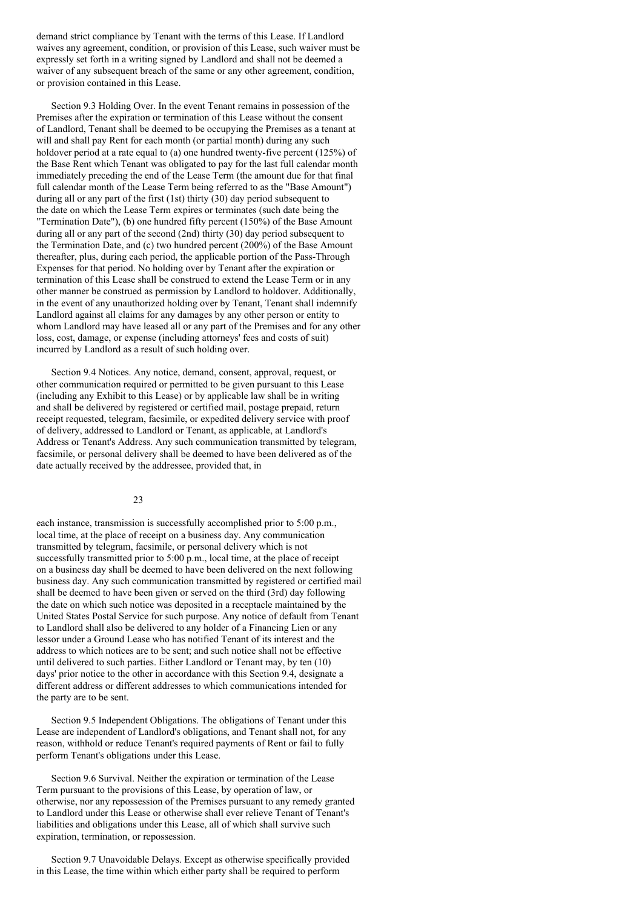demand strict compliance by Tenant with the terms of this Lease. If Landlord waives any agreement, condition, or provision of this Lease, such waiver must be expressly set forth in a writing signed by Landlord and shall not be deemed a waiver of any subsequent breach of the same or any other agreement, condition, or provision contained in this Lease.

Section 9.3 Holding Over. In the event Tenant remains in possession of the Premises after the expiration or termination of this Lease without the consent of Landlord, Tenant shall be deemed to be occupying the Premises as a tenant at will and shall pay Rent for each month (or partial month) during any such holdover period at a rate equal to (a) one hundred twenty-five percent (125%) of the Base Rent which Tenant was obligated to pay for the last full calendar month immediately preceding the end of the Lease Term (the amount due for that final full calendar month of the Lease Term being referred to as the "Base Amount") during all or any part of the first (1st) thirty (30) day period subsequent to the date on which the Lease Term expires or terminates (such date being the "Termination Date"), (b) one hundred fifty percent (150%) of the Base Amount during all or any part of the second (2nd) thirty (30) day period subsequent to the Termination Date, and (c) two hundred percent (200%) of the Base Amount thereafter, plus, during each period, the applicable portion of the Pass-Through Expenses for that period. No holding over by Tenant after the expiration or termination of this Lease shall be construed to extend the Lease Term or in any other manner be construed as permission by Landlord to holdover. Additionally, in the event of any unauthorized holding over by Tenant, Tenant shall indemnify Landlord against all claims for any damages by any other person or entity to whom Landlord may have leased all or any part of the Premises and for any other loss, cost, damage, or expense (including attorneys' fees and costs of suit) incurred by Landlord as a result of such holding over.

Section 9.4 Notices. Any notice, demand, consent, approval, request, or other communication required or permitted to be given pursuant to this Lease (including any Exhibit to this Lease) or by applicable law shall be in writing and shall be delivered by registered or certified mail, postage prepaid, return receipt requested, telegram, facsimile, or expedited delivery service with proof of delivery, addressed to Landlord or Tenant, as applicable, at Landlord's Address or Tenant's Address. Any such communication transmitted by telegram, facsimile, or personal delivery shall be deemed to have been delivered as of the date actually received by the addressee, provided that, in

# 23

each instance, transmission is successfully accomplished prior to 5:00 p.m., local time, at the place of receipt on a business day. Any communication transmitted by telegram, facsimile, or personal delivery which is not successfully transmitted prior to 5:00 p.m., local time, at the place of receipt on a business day shall be deemed to have been delivered on the next following business day. Any such communication transmitted by registered or certified mail shall be deemed to have been given or served on the third (3rd) day following the date on which such notice was deposited in a receptacle maintained by the United States Postal Service for such purpose. Any notice of default from Tenant to Landlord shall also be delivered to any holder of a Financing Lien or any lessor under a Ground Lease who has notified Tenant of its interest and the address to which notices are to be sent; and such notice shall not be effective until delivered to such parties. Either Landlord or Tenant may, by ten (10) days' prior notice to the other in accordance with this Section 9.4, designate a different address or different addresses to which communications intended for the party are to be sent.

Section 9.5 Independent Obligations. The obligations of Tenant under this Lease are independent of Landlord's obligations, and Tenant shall not, for any reason, withhold or reduce Tenant's required payments of Rent or fail to fully perform Tenant's obligations under this Lease.

Section 9.6 Survival. Neither the expiration or termination of the Lease Term pursuant to the provisions of this Lease, by operation of law, or otherwise, nor any repossession of the Premises pursuant to any remedy granted to Landlord under this Lease or otherwise shall ever relieve Tenant of Tenant's liabilities and obligations under this Lease, all of which shall survive such expiration, termination, or repossession.

Section 9.7 Unavoidable Delays. Except as otherwise specifically provided in this Lease, the time within which either party shall be required to perform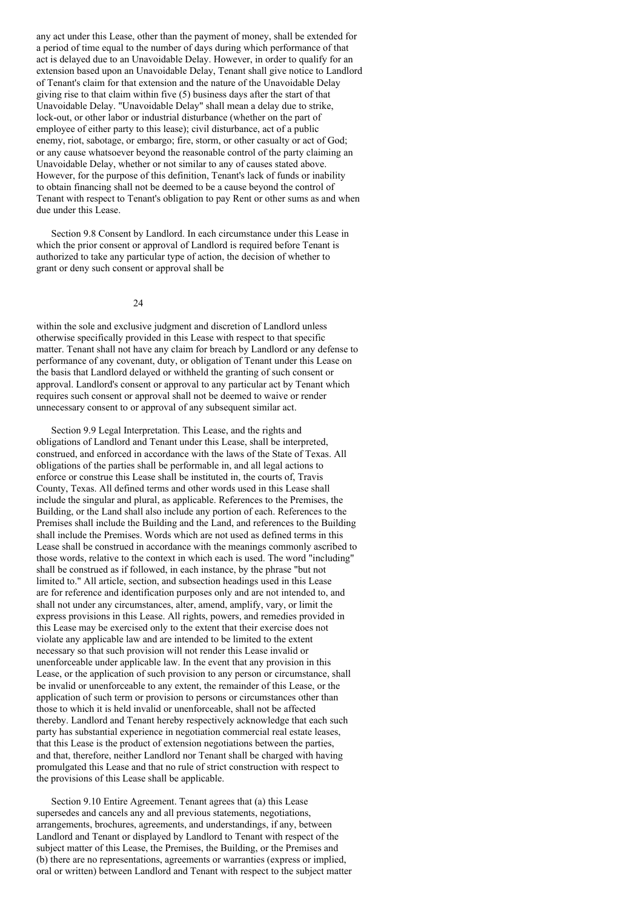any act under this Lease, other than the payment of money, shall be extended for a period of time equal to the number of days during which performance of that act is delayed due to an Unavoidable Delay. However, in order to qualify for an extension based upon an Unavoidable Delay, Tenant shall give notice to Landlord of Tenant's claim for that extension and the nature of the Unavoidable Delay giving rise to that claim within five (5) business days after the start of that Unavoidable Delay. "Unavoidable Delay" shall mean a delay due to strike, lock-out, or other labor or industrial disturbance (whether on the part of employee of either party to this lease); civil disturbance, act of a public enemy, riot, sabotage, or embargo; fire, storm, or other casualty or act of God; or any cause whatsoever beyond the reasonable control of the party claiming an Unavoidable Delay, whether or not similar to any of causes stated above. However, for the purpose of this definition, Tenant's lack of funds or inability to obtain financing shall not be deemed to be a cause beyond the control of Tenant with respect to Tenant's obligation to pay Rent or other sums as and when due under this Lease.

Section 9.8 Consent by Landlord. In each circumstance under this Lease in which the prior consent or approval of Landlord is required before Tenant is authorized to take any particular type of action, the decision of whether to grant or deny such consent or approval shall be

 $24$ 

within the sole and exclusive judgment and discretion of Landlord unless otherwise specifically provided in this Lease with respect to that specific matter. Tenant shall not have any claim for breach by Landlord or any defense to performance of any covenant, duty, or obligation of Tenant under this Lease on the basis that Landlord delayed or withheld the granting of such consent or approval. Landlord's consent or approval to any particular act by Tenant which requires such consent or approval shall not be deemed to waive or render unnecessary consent to or approval of any subsequent similar act.

Section 9.9 Legal Interpretation. This Lease, and the rights and obligations of Landlord and Tenant under this Lease, shall be interpreted, construed, and enforced in accordance with the laws of the State of Texas. All obligations of the parties shall be performable in, and all legal actions to enforce or construe this Lease shall be instituted in, the courts of, Travis County, Texas. All defined terms and other words used in this Lease shall include the singular and plural, as applicable. References to the Premises, the Building, or the Land shall also include any portion of each. References to the Premises shall include the Building and the Land, and references to the Building shall include the Premises. Words which are not used as defined terms in this Lease shall be construed in accordance with the meanings commonly ascribed to those words, relative to the context in which each is used. The word "including" shall be construed as if followed, in each instance, by the phrase "but not limited to." All article, section, and subsection headings used in this Lease are for reference and identification purposes only and are not intended to, and shall not under any circumstances, alter, amend, amplify, vary, or limit the express provisions in this Lease. All rights, powers, and remedies provided in this Lease may be exercised only to the extent that their exercise does not violate any applicable law and are intended to be limited to the extent necessary so that such provision will not render this Lease invalid or unenforceable under applicable law. In the event that any provision in this Lease, or the application of such provision to any person or circumstance, shall be invalid or unenforceable to any extent, the remainder of this Lease, or the application of such term or provision to persons or circumstances other than those to which it is held invalid or unenforceable, shall not be affected thereby. Landlord and Tenant hereby respectively acknowledge that each such party has substantial experience in negotiation commercial real estate leases, that this Lease is the product of extension negotiations between the parties, and that, therefore, neither Landlord nor Tenant shall be charged with having promulgated this Lease and that no rule of strict construction with respect to the provisions of this Lease shall be applicable.

Section 9.10 Entire Agreement. Tenant agrees that (a) this Lease supersedes and cancels any and all previous statements, negotiations, arrangements, brochures, agreements, and understandings, if any, between Landlord and Tenant or displayed by Landlord to Tenant with respect of the subject matter of this Lease, the Premises, the Building, or the Premises and (b) there are no representations, agreements or warranties (express or implied, oral or written) between Landlord and Tenant with respect to the subject matter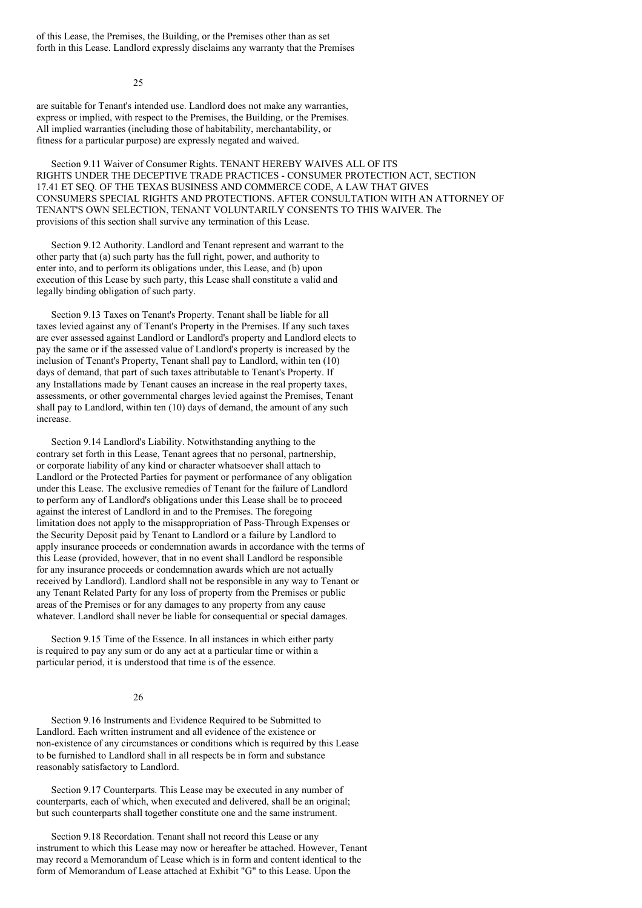of this Lease, the Premises, the Building, or the Premises other than as set forth in this Lease. Landlord expressly disclaims any warranty that the Premises

25

are suitable for Tenant's intended use. Landlord does not make any warranties, express or implied, with respect to the Premises, the Building, or the Premises. All implied warranties (including those of habitability, merchantability, or fitness for a particular purpose) are expressly negated and waived.

Section 9.11 Waiver of Consumer Rights. TENANT HEREBY WAIVES ALL OF ITS RIGHTS UNDER THE DECEPTIVE TRADE PRACTICES - CONSUMER PROTECTION ACT, SECTION 17.41 ET SEQ. OF THE TEXAS BUSINESS AND COMMERCE CODE, A LAW THAT GIVES CONSUMERS SPECIAL RIGHTS AND PROTECTIONS. AFTER CONSULTATION WITH AN ATTORNEY OF TENANT'S OWN SELECTION, TENANT VOLUNTARILY CONSENTS TO THIS WAIVER. The provisions of this section shall survive any termination of this Lease.

Section 9.12 Authority. Landlord and Tenant represent and warrant to the other party that (a) such party has the full right, power, and authority to enter into, and to perform its obligations under, this Lease, and (b) upon execution of this Lease by such party, this Lease shall constitute a valid and legally binding obligation of such party.

Section 9.13 Taxes on Tenant's Property. Tenant shall be liable for all taxes levied against any of Tenant's Property in the Premises. If any such taxes are ever assessed against Landlord or Landlord's property and Landlord elects to pay the same or if the assessed value of Landlord's property is increased by the inclusion of Tenant's Property, Tenant shall pay to Landlord, within ten (10) days of demand, that part of such taxes attributable to Tenant's Property. If any Installations made by Tenant causes an increase in the real property taxes, assessments, or other governmental charges levied against the Premises, Tenant shall pay to Landlord, within ten (10) days of demand, the amount of any such increase.

Section 9.14 Landlord's Liability. Notwithstanding anything to the contrary set forth in this Lease, Tenant agrees that no personal, partnership, or corporate liability of any kind or character whatsoever shall attach to Landlord or the Protected Parties for payment or performance of any obligation under this Lease. The exclusive remedies of Tenant for the failure of Landlord to perform any of Landlord's obligations under this Lease shall be to proceed against the interest of Landlord in and to the Premises. The foregoing limitation does not apply to the misappropriation of Pass-Through Expenses or the Security Deposit paid by Tenant to Landlord or a failure by Landlord to apply insurance proceeds or condemnation awards in accordance with the terms of this Lease (provided, however, that in no event shall Landlord be responsible for any insurance proceeds or condemnation awards which are not actually received by Landlord). Landlord shall not be responsible in any way to Tenant or any Tenant Related Party for any loss of property from the Premises or public areas of the Premises or for any damages to any property from any cause whatever. Landlord shall never be liable for consequential or special damages.

Section 9.15 Time of the Essence. In all instances in which either party is required to pay any sum or do any act at a particular time or within a particular period, it is understood that time is of the essence.

### 26

Section 9.16 Instruments and Evidence Required to be Submitted to Landlord. Each written instrument and all evidence of the existence or non-existence of any circumstances or conditions which is required by this Lease to be furnished to Landlord shall in all respects be in form and substance reasonably satisfactory to Landlord.

Section 9.17 Counterparts. This Lease may be executed in any number of counterparts, each of which, when executed and delivered, shall be an original; but such counterparts shall together constitute one and the same instrument.

Section 9.18 Recordation. Tenant shall not record this Lease or any instrument to which this Lease may now or hereafter be attached. However, Tenant may record a Memorandum of Lease which is in form and content identical to the form of Memorandum of Lease attached at Exhibit "G" to this Lease. Upon the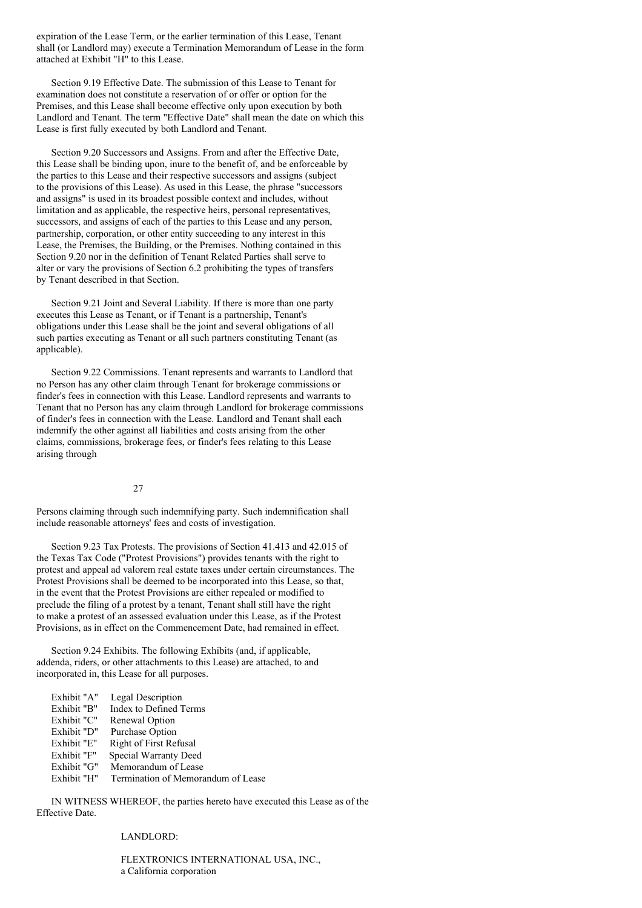expiration of the Lease Term, or the earlier termination of this Lease, Tenant shall (or Landlord may) execute a Termination Memorandum of Lease in the form attached at Exhibit "H" to this Lease.

Section 9.19 Effective Date. The submission of this Lease to Tenant for examination does not constitute a reservation of or offer or option for the Premises, and this Lease shall become effective only upon execution by both Landlord and Tenant. The term "Effective Date" shall mean the date on which this Lease is first fully executed by both Landlord and Tenant.

Section 9.20 Successors and Assigns. From and after the Effective Date, this Lease shall be binding upon, inure to the benefit of, and be enforceable by the parties to this Lease and their respective successors and assigns (subject to the provisions of this Lease). As used in this Lease, the phrase "successors and assigns" is used in its broadest possible context and includes, without limitation and as applicable, the respective heirs, personal representatives, successors, and assigns of each of the parties to this Lease and any person, partnership, corporation, or other entity succeeding to any interest in this Lease, the Premises, the Building, or the Premises. Nothing contained in this Section 9.20 nor in the definition of Tenant Related Parties shall serve to alter or vary the provisions of Section 6.2 prohibiting the types of transfers by Tenant described in that Section.

Section 9.21 Joint and Several Liability. If there is more than one party executes this Lease as Tenant, or if Tenant is a partnership, Tenant's obligations under this Lease shall be the joint and several obligations of all such parties executing as Tenant or all such partners constituting Tenant (as applicable).

Section 9.22 Commissions. Tenant represents and warrants to Landlord that no Person has any other claim through Tenant for brokerage commissions or finder's fees in connection with this Lease. Landlord represents and warrants to Tenant that no Person has any claim through Landlord for brokerage commissions of finder's fees in connection with the Lease. Landlord and Tenant shall each indemnify the other against all liabilities and costs arising from the other claims, commissions, brokerage fees, or finder's fees relating to this Lease arising through

### 27

Persons claiming through such indemnifying party. Such indemnification shall include reasonable attorneys' fees and costs of investigation.

Section 9.23 Tax Protests. The provisions of Section 41.413 and 42.015 of the Texas Tax Code ("Protest Provisions") provides tenants with the right to protest and appeal ad valorem real estate taxes under certain circumstances. The Protest Provisions shall be deemed to be incorporated into this Lease, so that, in the event that the Protest Provisions are either repealed or modified to preclude the filing of a protest by a tenant, Tenant shall still have the right to make a protest of an assessed evaluation under this Lease, as if the Protest Provisions, as in effect on the Commencement Date, had remained in effect.

Section 9.24 Exhibits. The following Exhibits (and, if applicable, addenda, riders, or other attachments to this Lease) are attached, to and incorporated in, this Lease for all purposes.

| Exhibit "A" | Legal Description                  |
|-------------|------------------------------------|
| Exhibit "B" | <b>Index to Defined Terms</b>      |
| Exhibit "C" | Renewal Option                     |
| Exhibit "D" | <b>Purchase Option</b>             |
| Exhibit "E" | <b>Right of First Refusal</b>      |
| Exhibit "F" | Special Warranty Deed              |
| Exhibit "G" | Memorandum of Lease                |
| Exhibit "H" | Termination of Memorandum of Lease |
|             |                                    |

IN WITNESS WHEREOF, the parties hereto have executed this Lease as of the Effective Date.

### LANDLORD:

FLEXTRONICS INTERNATIONAL USA, INC., a California corporation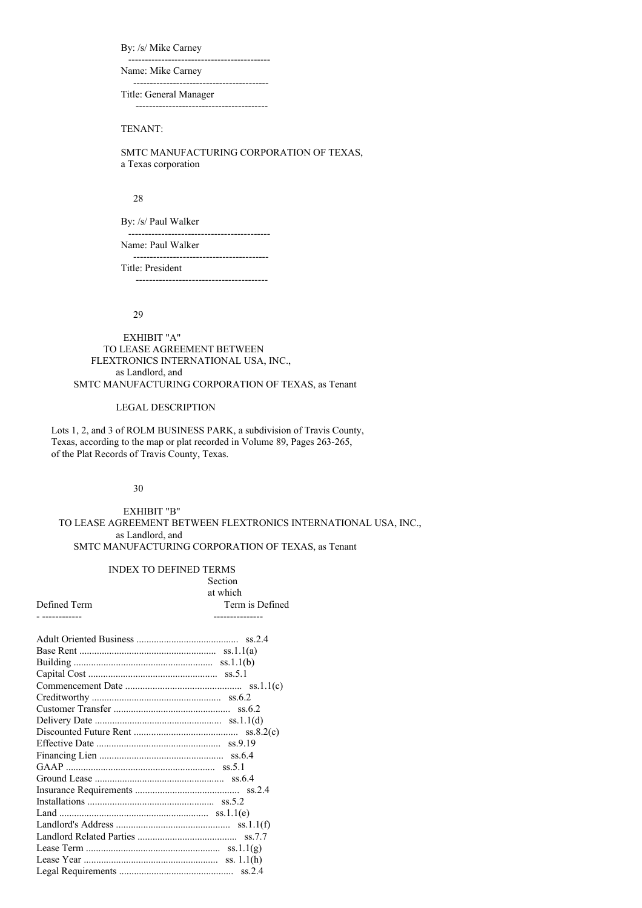By: /s/ Mike Carney

------------------------------------------- Name: Mike Carney

-----------------------------------------

Title: General Manager ----------------------------------------

# TENANT:

SMTC MANUFACTURING CORPORATION OF TEXAS, a Texas corporation

# 28

By: /s/ Paul Walker

------------------------------------------- Name: Paul Walker

-----------------------------------------

Title: President ----------------------------------------

### 29

EXHIBIT "A" TO LEASE AGREEMENT BETWEEN FLEXTRONICS INTERNATIONAL USA, INC., as Landlord, and SMTC MANUFACTURING CORPORATION OF TEXAS, as Tenant

# LEGAL DESCRIPTION

Lots 1, 2, and 3 of ROLM BUSINESS PARK, a subdivision of Travis County, Texas, according to the map or plat recorded in Volume 89, Pages 263-265, of the Plat Records of Travis County, Texas.

# 30

EXHIBIT "B" TO LEASE AGREEMENT BETWEEN FLEXTRONICS INTERNATIONAL USA, INC., as Landlord, and SMTC MANUFACTURING CORPORATION OF TEXAS, as Tenant

| <b>INDEX TO DEFINED TERMS</b> |                 |
|-------------------------------|-----------------|
|                               | Section         |
|                               | at which        |
| Defined Term                  | Term is Defined |
| - ------------                | --------------- |
|                               |                 |
|                               |                 |
|                               |                 |
|                               |                 |
|                               |                 |
|                               |                 |
|                               |                 |
|                               |                 |
|                               |                 |
|                               |                 |
|                               |                 |
|                               |                 |
|                               |                 |
|                               |                 |
|                               |                 |
|                               |                 |
|                               |                 |
|                               |                 |
|                               |                 |
|                               |                 |
|                               |                 |
|                               |                 |
|                               |                 |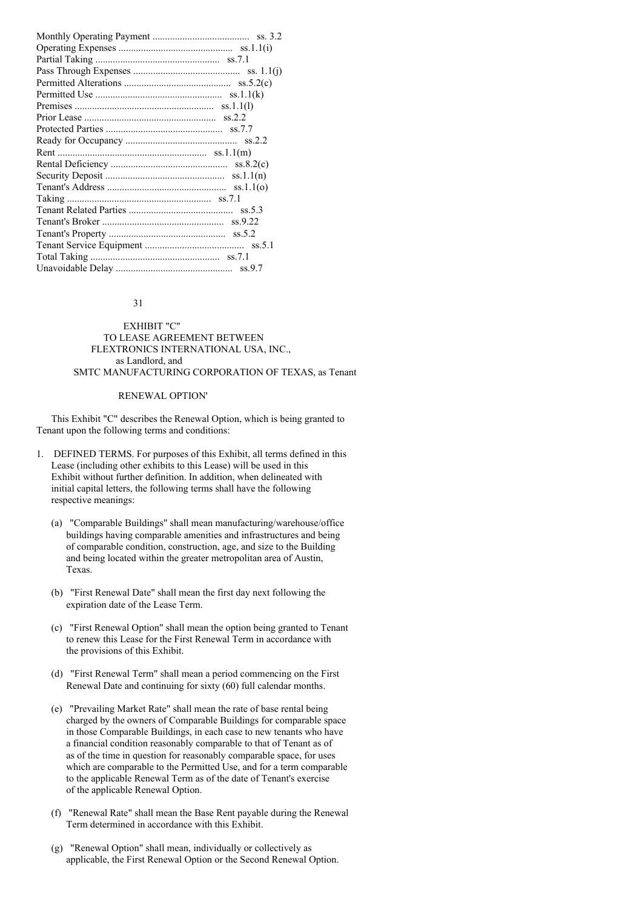#### 31

# EXHIBIT "C" TO LEASE AGREEMENT BETWEEN FLEXTRONICS INTERNATIONAL USA, INC., as Landlord, and SMTC MANUFACTURING CORPORATION OF TEXAS, as Tenant

# RENEWAL OPTION'

This Exhibit "C" describes the Renewal Option, which is being granted to Tenant upon the following terms and conditions:

- 1. DEFINED TERMS. For purposes of this Exhibit, all terms defined in this Lease (including other exhibits to this Lease) will be used in this Exhibit without further definition. In addition, when delineated with initial capital letters, the following terms shall have the following respective meanings:
	- (a) "Comparable Buildings" shall mean manufacturing/warehouse/office buildings having comparable amenities and infrastructures and being of comparable condition, construction, age, and size to the Building and being located within the greater metropolitan area of Austin, Texas.
	- (b) "First Renewal Date" shall mean the first day next following the expiration date of the Lease Term.
	- (c) "First Renewal Option" shall mean the option being granted to Tenant to renew this Lease for the First Renewal Term in accordance with the provisions of this Exhibit.
	- (d) "First Renewal Term" shall mean a period commencing on the First Renewal Date and continuing for sixty (60) full calendar months.
	- (e) "Prevailing Market Rate" shall mean the rate of base rental being charged by the owners of Comparable Buildings for comparable space in those Comparable Buildings, in each case to new tenants who have a financial condition reasonably comparable to that of Tenant as of as of the time in question for reasonably comparable space, for uses which are comparable to the Permitted Use, and for a term comparable to the applicable Renewal Term as of the date of Tenant's exercise of the applicable Renewal Option.
	- (f) "Renewal Rate" shall mean the Base Rent payable during the Renewal Term determined in accordance with this Exhibit.
	- (g) "Renewal Option" shall mean, individually or collectively as applicable, the First Renewal Option or the Second Renewal Option.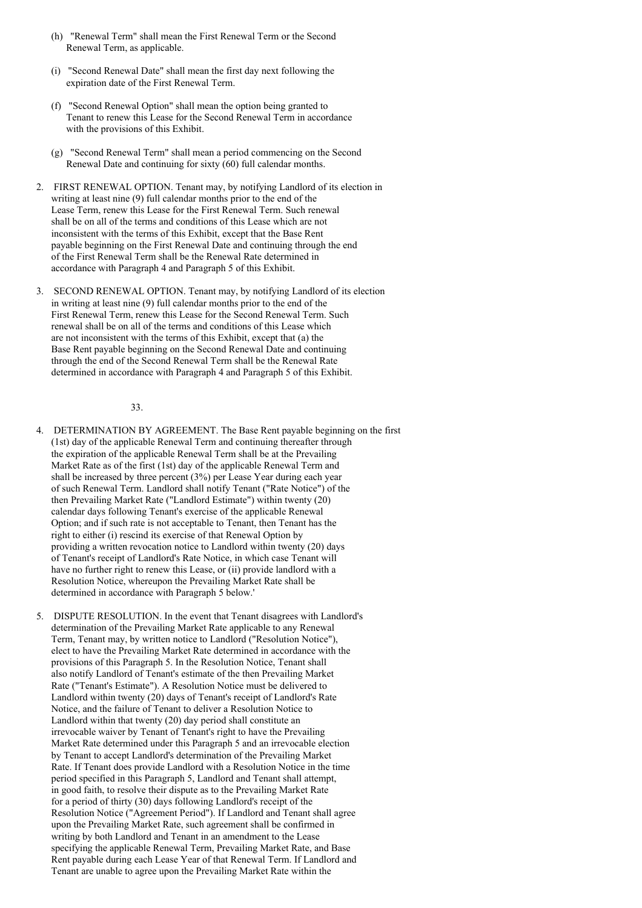- (h) "Renewal Term" shall mean the First Renewal Term or the Second Renewal Term, as applicable.
- (i) "Second Renewal Date" shall mean the first day next following the expiration date of the First Renewal Term.
- (f) "Second Renewal Option" shall mean the option being granted to Tenant to renew this Lease for the Second Renewal Term in accordance with the provisions of this Exhibit.
- (g) "Second Renewal Term" shall mean a period commencing on the Second Renewal Date and continuing for sixty (60) full calendar months.
- 2. FIRST RENEWAL OPTION. Tenant may, by notifying Landlord of its election in writing at least nine (9) full calendar months prior to the end of the Lease Term, renew this Lease for the First Renewal Term. Such renewal shall be on all of the terms and conditions of this Lease which are not inconsistent with the terms of this Exhibit, except that the Base Rent payable beginning on the First Renewal Date and continuing through the end of the First Renewal Term shall be the Renewal Rate determined in accordance with Paragraph 4 and Paragraph 5 of this Exhibit.
- 3. SECOND RENEWAL OPTION. Tenant may, by notifying Landlord of its election in writing at least nine (9) full calendar months prior to the end of the First Renewal Term, renew this Lease for the Second Renewal Term. Such renewal shall be on all of the terms and conditions of this Lease which are not inconsistent with the terms of this Exhibit, except that (a) the Base Rent payable beginning on the Second Renewal Date and continuing through the end of the Second Renewal Term shall be the Renewal Rate determined in accordance with Paragraph 4 and Paragraph 5 of this Exhibit.

### 33.

- 4. DETERMINATION BY AGREEMENT. The Base Rent payable beginning on the first (1st) day of the applicable Renewal Term and continuing thereafter through the expiration of the applicable Renewal Term shall be at the Prevailing Market Rate as of the first (1st) day of the applicable Renewal Term and shall be increased by three percent (3%) per Lease Year during each year of such Renewal Term. Landlord shall notify Tenant ("Rate Notice") of the then Prevailing Market Rate ("Landlord Estimate") within twenty (20) calendar days following Tenant's exercise of the applicable Renewal Option; and if such rate is not acceptable to Tenant, then Tenant has the right to either (i) rescind its exercise of that Renewal Option by providing a written revocation notice to Landlord within twenty (20) days of Tenant's receipt of Landlord's Rate Notice, in which case Tenant will have no further right to renew this Lease, or (ii) provide landlord with a Resolution Notice, whereupon the Prevailing Market Rate shall be determined in accordance with Paragraph 5 below.'
- 5. DISPUTE RESOLUTION. In the event that Tenant disagrees with Landlord's determination of the Prevailing Market Rate applicable to any Renewal Term, Tenant may, by written notice to Landlord ("Resolution Notice"), elect to have the Prevailing Market Rate determined in accordance with the provisions of this Paragraph 5. In the Resolution Notice, Tenant shall also notify Landlord of Tenant's estimate of the then Prevailing Market Rate ("Tenant's Estimate"). A Resolution Notice must be delivered to Landlord within twenty (20) days of Tenant's receipt of Landlord's Rate Notice, and the failure of Tenant to deliver a Resolution Notice to Landlord within that twenty (20) day period shall constitute an irrevocable waiver by Tenant of Tenant's right to have the Prevailing Market Rate determined under this Paragraph 5 and an irrevocable election by Tenant to accept Landlord's determination of the Prevailing Market Rate. If Tenant does provide Landlord with a Resolution Notice in the time period specified in this Paragraph 5, Landlord and Tenant shall attempt, in good faith, to resolve their dispute as to the Prevailing Market Rate for a period of thirty (30) days following Landlord's receipt of the Resolution Notice ("Agreement Period"). If Landlord and Tenant shall agree upon the Prevailing Market Rate, such agreement shall be confirmed in writing by both Landlord and Tenant in an amendment to the Lease specifying the applicable Renewal Term, Prevailing Market Rate, and Base Rent payable during each Lease Year of that Renewal Term. If Landlord and Tenant are unable to agree upon the Prevailing Market Rate within the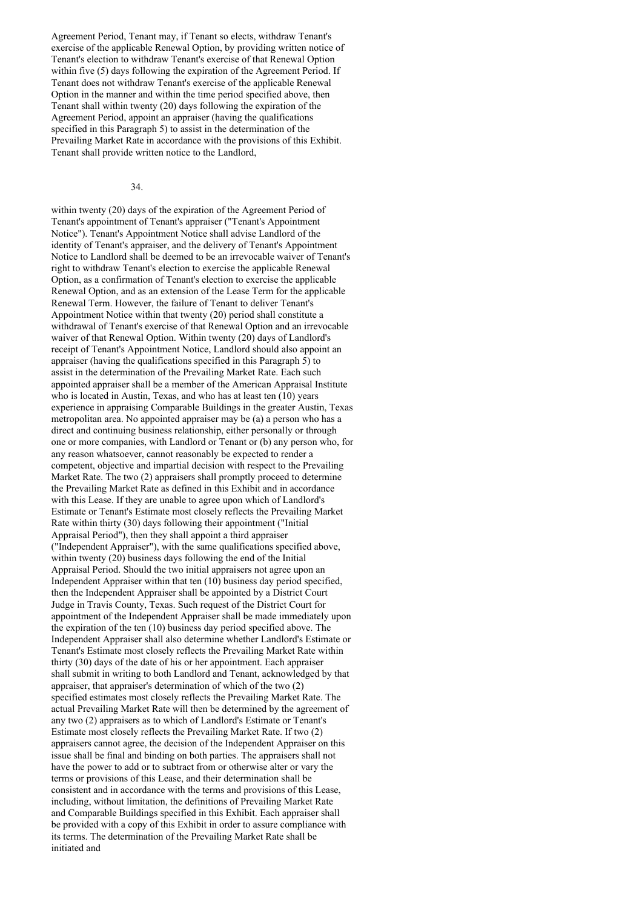Agreement Period, Tenant may, if Tenant so elects, withdraw Tenant's exercise of the applicable Renewal Option, by providing written notice of Tenant's election to withdraw Tenant's exercise of that Renewal Option within five (5) days following the expiration of the Agreement Period. If Tenant does not withdraw Tenant's exercise of the applicable Renewal Option in the manner and within the time period specified above, then Tenant shall within twenty (20) days following the expiration of the Agreement Period, appoint an appraiser (having the qualifications specified in this Paragraph 5) to assist in the determination of the Prevailing Market Rate in accordance with the provisions of this Exhibit. Tenant shall provide written notice to the Landlord,

#### 34.

within twenty (20) days of the expiration of the Agreement Period of Tenant's appointment of Tenant's appraiser ("Tenant's Appointment Notice"). Tenant's Appointment Notice shall advise Landlord of the identity of Tenant's appraiser, and the delivery of Tenant's Appointment Notice to Landlord shall be deemed to be an irrevocable waiver of Tenant's right to withdraw Tenant's election to exercise the applicable Renewal Option, as a confirmation of Tenant's election to exercise the applicable Renewal Option, and as an extension of the Lease Term for the applicable Renewal Term. However, the failure of Tenant to deliver Tenant's Appointment Notice within that twenty (20) period shall constitute a withdrawal of Tenant's exercise of that Renewal Option and an irrevocable waiver of that Renewal Option. Within twenty (20) days of Landlord's receipt of Tenant's Appointment Notice, Landlord should also appoint an appraiser (having the qualifications specified in this Paragraph 5) to assist in the determination of the Prevailing Market Rate. Each such appointed appraiser shall be a member of the American Appraisal Institute who is located in Austin, Texas, and who has at least ten (10) years experience in appraising Comparable Buildings in the greater Austin, Texas metropolitan area. No appointed appraiser may be (a) a person who has a direct and continuing business relationship, either personally or through one or more companies, with Landlord or Tenant or (b) any person who, for any reason whatsoever, cannot reasonably be expected to render a competent, objective and impartial decision with respect to the Prevailing Market Rate. The two (2) appraisers shall promptly proceed to determine the Prevailing Market Rate as defined in this Exhibit and in accordance with this Lease. If they are unable to agree upon which of Landlord's Estimate or Tenant's Estimate most closely reflects the Prevailing Market Rate within thirty (30) days following their appointment ("Initial Appraisal Period"), then they shall appoint a third appraiser ("Independent Appraiser"), with the same qualifications specified above, within twenty (20) business days following the end of the Initial Appraisal Period. Should the two initial appraisers not agree upon an Independent Appraiser within that ten (10) business day period specified, then the Independent Appraiser shall be appointed by a District Court Judge in Travis County, Texas. Such request of the District Court for appointment of the Independent Appraiser shall be made immediately upon the expiration of the ten (10) business day period specified above. The Independent Appraiser shall also determine whether Landlord's Estimate or Tenant's Estimate most closely reflects the Prevailing Market Rate within thirty (30) days of the date of his or her appointment. Each appraiser shall submit in writing to both Landlord and Tenant, acknowledged by that appraiser, that appraiser's determination of which of the two (2) specified estimates most closely reflects the Prevailing Market Rate. The actual Prevailing Market Rate will then be determined by the agreement of any two (2) appraisers as to which of Landlord's Estimate or Tenant's Estimate most closely reflects the Prevailing Market Rate. If two (2) appraisers cannot agree, the decision of the Independent Appraiser on this issue shall be final and binding on both parties. The appraisers shall not have the power to add or to subtract from or otherwise alter or vary the terms or provisions of this Lease, and their determination shall be consistent and in accordance with the terms and provisions of this Lease, including, without limitation, the definitions of Prevailing Market Rate and Comparable Buildings specified in this Exhibit. Each appraiser shall be provided with a copy of this Exhibit in order to assure compliance with its terms. The determination of the Prevailing Market Rate shall be initiated and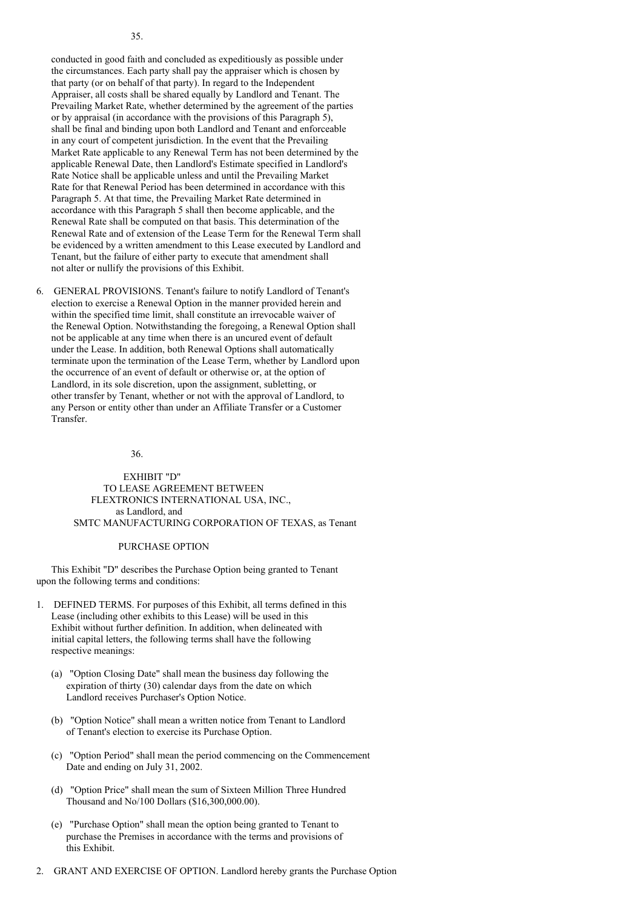conducted in good faith and concluded as expeditiously as possible under the circumstances. Each party shall pay the appraiser which is chosen by that party (or on behalf of that party). In regard to the Independent Appraiser, all costs shall be shared equally by Landlord and Tenant. The Prevailing Market Rate, whether determined by the agreement of the parties or by appraisal (in accordance with the provisions of this Paragraph 5), shall be final and binding upon both Landlord and Tenant and enforceable in any court of competent jurisdiction. In the event that the Prevailing Market Rate applicable to any Renewal Term has not been determined by the applicable Renewal Date, then Landlord's Estimate specified in Landlord's Rate Notice shall be applicable unless and until the Prevailing Market Rate for that Renewal Period has been determined in accordance with this Paragraph 5. At that time, the Prevailing Market Rate determined in accordance with this Paragraph 5 shall then become applicable, and the Renewal Rate shall be computed on that basis. This determination of the Renewal Rate and of extension of the Lease Term for the Renewal Term shall be evidenced by a written amendment to this Lease executed by Landlord and Tenant, but the failure of either party to execute that amendment shall not alter or nullify the provisions of this Exhibit.

6. GENERAL PROVISIONS. Tenant's failure to notify Landlord of Tenant's election to exercise a Renewal Option in the manner provided herein and within the specified time limit, shall constitute an irrevocable waiver of the Renewal Option. Notwithstanding the foregoing, a Renewal Option shall not be applicable at any time when there is an uncured event of default under the Lease. In addition, both Renewal Options shall automatically terminate upon the termination of the Lease Term, whether by Landlord upon the occurrence of an event of default or otherwise or, at the option of Landlord, in its sole discretion, upon the assignment, subletting, or other transfer by Tenant, whether or not with the approval of Landlord, to any Person or entity other than under an Affiliate Transfer or a Customer Transfer.

### 36.

EXHIBIT "D" TO LEASE AGREEMENT BETWEEN FLEXTRONICS INTERNATIONAL USA, INC., as Landlord, and SMTC MANUFACTURING CORPORATION OF TEXAS, as Tenant

#### PURCHASE OPTION

This Exhibit "D" describes the Purchase Option being granted to Tenant upon the following terms and conditions:

- 1. DEFINED TERMS. For purposes of this Exhibit, all terms defined in this Lease (including other exhibits to this Lease) will be used in this Exhibit without further definition. In addition, when delineated with initial capital letters, the following terms shall have the following respective meanings:
	- (a) "Option Closing Date" shall mean the business day following the expiration of thirty (30) calendar days from the date on which Landlord receives Purchaser's Option Notice.
	- (b) "Option Notice" shall mean a written notice from Tenant to Landlord of Tenant's election to exercise its Purchase Option.
	- (c) "Option Period" shall mean the period commencing on the Commencement Date and ending on July 31, 2002.
	- (d) "Option Price" shall mean the sum of Sixteen Million Three Hundred Thousand and No/100 Dollars (\$16,300,000.00).
	- (e) "Purchase Option" shall mean the option being granted to Tenant to purchase the Premises in accordance with the terms and provisions of this Exhibit.
- 2. GRANT AND EXERCISE OF OPTION. Landlord hereby grants the Purchase Option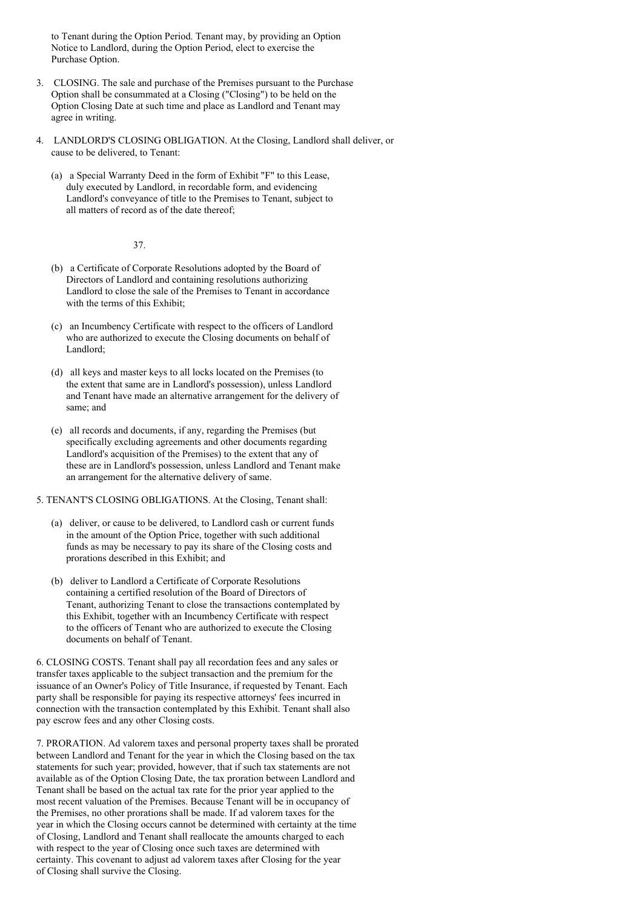to Tenant during the Option Period. Tenant may, by providing an Option Notice to Landlord, during the Option Period, elect to exercise the Purchase Option.

- 3. CLOSING. The sale and purchase of the Premises pursuant to the Purchase Option shall be consummated at a Closing ("Closing") to be held on the Option Closing Date at such time and place as Landlord and Tenant may agree in writing.
- 4. LANDLORD'S CLOSING OBLIGATION. At the Closing, Landlord shall deliver, or cause to be delivered, to Tenant:
	- (a) a Special Warranty Deed in the form of Exhibit "F" to this Lease, duly executed by Landlord, in recordable form, and evidencing Landlord's conveyance of title to the Premises to Tenant, subject to all matters of record as of the date thereof;

37.

- (b) a Certificate of Corporate Resolutions adopted by the Board of Directors of Landlord and containing resolutions authorizing Landlord to close the sale of the Premises to Tenant in accordance with the terms of this Exhibit;
- (c) an Incumbency Certificate with respect to the officers of Landlord who are authorized to execute the Closing documents on behalf of Landlord;
- (d) all keys and master keys to all locks located on the Premises (to the extent that same are in Landlord's possession), unless Landlord and Tenant have made an alternative arrangement for the delivery of same; and
- (e) all records and documents, if any, regarding the Premises (but specifically excluding agreements and other documents regarding Landlord's acquisition of the Premises) to the extent that any of these are in Landlord's possession, unless Landlord and Tenant make an arrangement for the alternative delivery of same.

# 5. TENANT'S CLOSING OBLIGATIONS. At the Closing, Tenant shall:

- (a) deliver, or cause to be delivered, to Landlord cash or current funds in the amount of the Option Price, together with such additional funds as may be necessary to pay its share of the Closing costs and prorations described in this Exhibit; and
- (b) deliver to Landlord a Certificate of Corporate Resolutions containing a certified resolution of the Board of Directors of Tenant, authorizing Tenant to close the transactions contemplated by this Exhibit, together with an Incumbency Certificate with respect to the officers of Tenant who are authorized to execute the Closing documents on behalf of Tenant.

6. CLOSING COSTS. Tenant shall pay all recordation fees and any sales or transfer taxes applicable to the subject transaction and the premium for the issuance of an Owner's Policy of Title Insurance, if requested by Tenant. Each party shall be responsible for paying its respective attorneys' fees incurred in connection with the transaction contemplated by this Exhibit. Tenant shall also pay escrow fees and any other Closing costs.

7. PRORATION. Ad valorem taxes and personal property taxes shall be prorated between Landlord and Tenant for the year in which the Closing based on the tax statements for such year; provided, however, that if such tax statements are not available as of the Option Closing Date, the tax proration between Landlord and Tenant shall be based on the actual tax rate for the prior year applied to the most recent valuation of the Premises. Because Tenant will be in occupancy of the Premises, no other prorations shall be made. If ad valorem taxes for the year in which the Closing occurs cannot be determined with certainty at the time of Closing, Landlord and Tenant shall reallocate the amounts charged to each with respect to the year of Closing once such taxes are determined with certainty. This covenant to adjust ad valorem taxes after Closing for the year of Closing shall survive the Closing.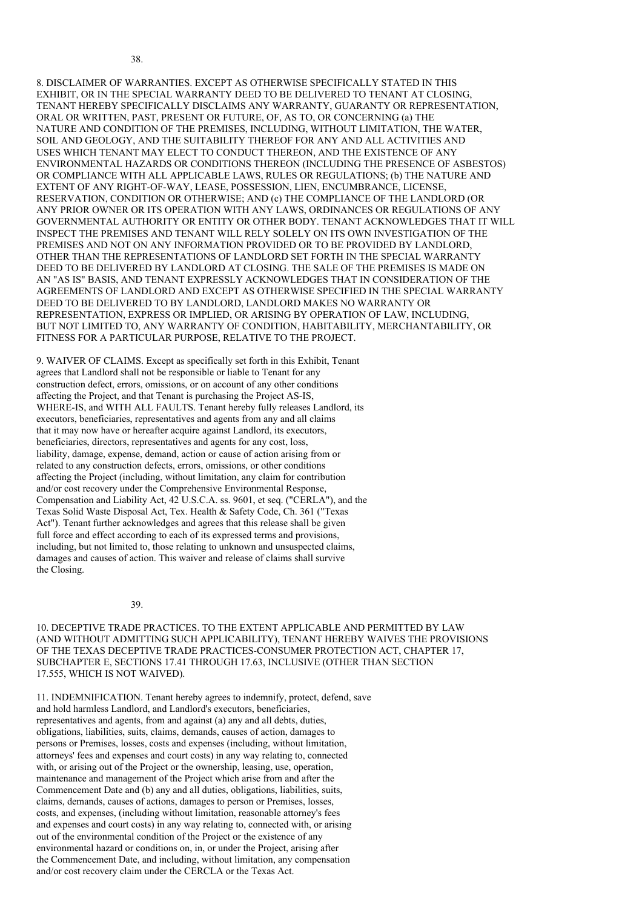8. DISCLAIMER OF WARRANTIES. EXCEPT AS OTHERWISE SPECIFICALLY STATED IN THIS EXHIBIT, OR IN THE SPECIAL WARRANTY DEED TO BE DELIVERED TO TENANT AT CLOSING, TENANT HEREBY SPECIFICALLY DISCLAIMS ANY WARRANTY, GUARANTY OR REPRESENTATION, ORAL OR WRITTEN, PAST, PRESENT OR FUTURE, OF, AS TO, OR CONCERNING (a) THE NATURE AND CONDITION OF THE PREMISES, INCLUDING, WITHOUT LIMITATION, THE WATER, SOIL AND GEOLOGY, AND THE SUITABILITY THEREOF FOR ANY AND ALL ACTIVITIES AND USES WHICH TENANT MAY ELECT TO CONDUCT THEREON, AND THE EXISTENCE OF ANY ENVIRONMENTAL HAZARDS OR CONDITIONS THEREON (INCLUDING THE PRESENCE OF ASBESTOS) OR COMPLIANCE WITH ALL APPLICABLE LAWS, RULES OR REGULATIONS; (b) THE NATURE AND EXTENT OF ANY RIGHT-OF-WAY, LEASE, POSSESSION, LIEN, ENCUMBRANCE, LICENSE, RESERVATION, CONDITION OR OTHERWISE; AND (c) THE COMPLIANCE OF THE LANDLORD (OR ANY PRIOR OWNER OR ITS OPERATION WITH ANY LAWS, ORDINANCES OR REGULATIONS OF ANY GOVERNMENTAL AUTHORITY OR ENTITY OR OTHER BODY. TENANT ACKNOWLEDGES THAT IT WILL INSPECT THE PREMISES AND TENANT WILL RELY SOLELY ON ITS OWN INVESTIGATION OF THE PREMISES AND NOT ON ANY INFORMATION PROVIDED OR TO BE PROVIDED BY LANDLORD, OTHER THAN THE REPRESENTATIONS OF LANDLORD SET FORTH IN THE SPECIAL WARRANTY DEED TO BE DELIVERED BY LANDLORD AT CLOSING. THE SALE OF THE PREMISES IS MADE ON AN "AS IS" BASIS, AND TENANT EXPRESSLY ACKNOWLEDGES THAT IN CONSIDERATION OF THE AGREEMENTS OF LANDLORD AND EXCEPT AS OTHERWISE SPECIFIED IN THE SPECIAL WARRANTY DEED TO BE DELIVERED TO BY LANDLORD, LANDLORD MAKES NO WARRANTY OR REPRESENTATION, EXPRESS OR IMPLIED, OR ARISING BY OPERATION OF LAW, INCLUDING, BUT NOT LIMITED TO, ANY WARRANTY OF CONDITION, HABITABILITY, MERCHANTABILITY, OR FITNESS FOR A PARTICULAR PURPOSE, RELATIVE TO THE PROJECT.

9. WAIVER OF CLAIMS. Except as specifically set forth in this Exhibit, Tenant agrees that Landlord shall not be responsible or liable to Tenant for any construction defect, errors, omissions, or on account of any other conditions affecting the Project, and that Tenant is purchasing the Project AS-IS, WHERE-IS, and WITH ALL FAULTS. Tenant hereby fully releases Landlord, its executors, beneficiaries, representatives and agents from any and all claims that it may now have or hereafter acquire against Landlord, its executors, beneficiaries, directors, representatives and agents for any cost, loss, liability, damage, expense, demand, action or cause of action arising from or related to any construction defects, errors, omissions, or other conditions affecting the Project (including, without limitation, any claim for contribution and/or cost recovery under the Comprehensive Environmental Response, Compensation and Liability Act, 42 U.S.C.A. ss. 9601, et seq. ("CERLA"), and the Texas Solid Waste Disposal Act, Tex. Health & Safety Code, Ch. 361 ("Texas Act"). Tenant further acknowledges and agrees that this release shall be given full force and effect according to each of its expressed terms and provisions, including, but not limited to, those relating to unknown and unsuspected claims, damages and causes of action. This waiver and release of claims shall survive the Closing.

39.

38.

10. DECEPTIVE TRADE PRACTICES. TO THE EXTENT APPLICABLE AND PERMITTED BY LAW (AND WITHOUT ADMITTING SUCH APPLICABILITY), TENANT HEREBY WAIVES THE PROVISIONS OF THE TEXAS DECEPTIVE TRADE PRACTICES-CONSUMER PROTECTION ACT, CHAPTER 17, SUBCHAPTER E, SECTIONS 17.41 THROUGH 17.63, INCLUSIVE (OTHER THAN SECTION 17.555, WHICH IS NOT WAIVED).

11. INDEMNIFICATION. Tenant hereby agrees to indemnify, protect, defend, save and hold harmless Landlord, and Landlord's executors, beneficiaries, representatives and agents, from and against (a) any and all debts, duties, obligations, liabilities, suits, claims, demands, causes of action, damages to persons or Premises, losses, costs and expenses (including, without limitation, attorneys' fees and expenses and court costs) in any way relating to, connected with, or arising out of the Project or the ownership, leasing, use, operation, maintenance and management of the Project which arise from and after the Commencement Date and (b) any and all duties, obligations, liabilities, suits, claims, demands, causes of actions, damages to person or Premises, losses, costs, and expenses, (including without limitation, reasonable attorney's fees and expenses and court costs) in any way relating to, connected with, or arising out of the environmental condition of the Project or the existence of any environmental hazard or conditions on, in, or under the Project, arising after the Commencement Date, and including, without limitation, any compensation and/or cost recovery claim under the CERCLA or the Texas Act.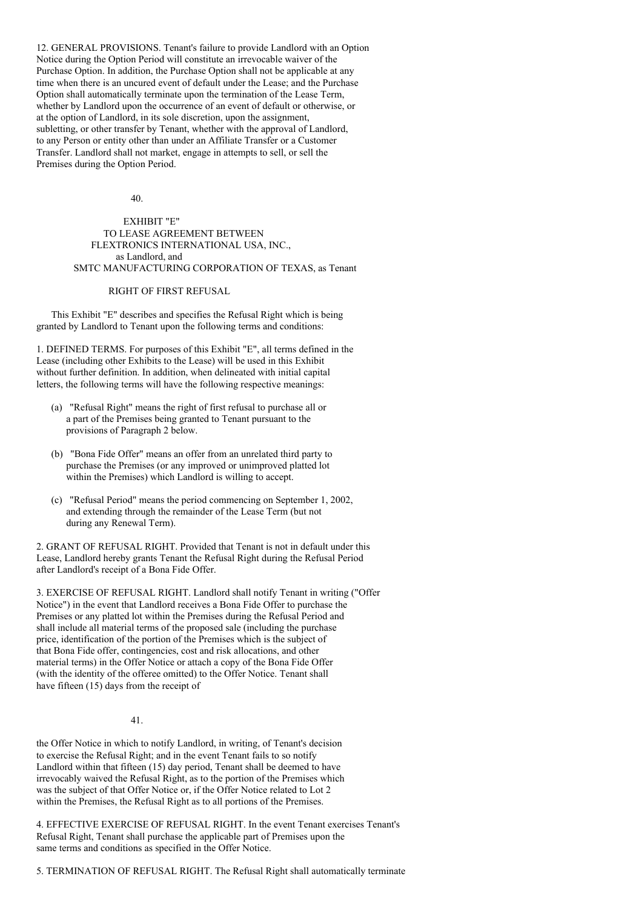12. GENERAL PROVISIONS. Tenant's failure to provide Landlord with an Option Notice during the Option Period will constitute an irrevocable waiver of the Purchase Option. In addition, the Purchase Option shall not be applicable at any time when there is an uncured event of default under the Lease; and the Purchase Option shall automatically terminate upon the termination of the Lease Term, whether by Landlord upon the occurrence of an event of default or otherwise, or at the option of Landlord, in its sole discretion, upon the assignment, subletting, or other transfer by Tenant, whether with the approval of Landlord, to any Person or entity other than under an Affiliate Transfer or a Customer Transfer. Landlord shall not market, engage in attempts to sell, or sell the Premises during the Option Period.

40.

# EXHIBIT "E" TO LEASE AGREEMENT BETWEEN FLEXTRONICS INTERNATIONAL USA, INC., as Landlord, and SMTC MANUFACTURING CORPORATION OF TEXAS, as Tenant

# RIGHT OF FIRST REFUSAL

This Exhibit "E" describes and specifies the Refusal Right which is being granted by Landlord to Tenant upon the following terms and conditions:

1. DEFINED TERMS. For purposes of this Exhibit "E", all terms defined in the Lease (including other Exhibits to the Lease) will be used in this Exhibit without further definition. In addition, when delineated with initial capital letters, the following terms will have the following respective meanings:

- (a) "Refusal Right" means the right of first refusal to purchase all or a part of the Premises being granted to Tenant pursuant to the provisions of Paragraph 2 below.
- (b) "Bona Fide Offer" means an offer from an unrelated third party to purchase the Premises (or any improved or unimproved platted lot within the Premises) which Landlord is willing to accept.
- (c) "Refusal Period" means the period commencing on September 1, 2002, and extending through the remainder of the Lease Term (but not during any Renewal Term).

2. GRANT OF REFUSAL RIGHT. Provided that Tenant is not in default under this Lease, Landlord hereby grants Tenant the Refusal Right during the Refusal Period after Landlord's receipt of a Bona Fide Offer.

3. EXERCISE OF REFUSAL RIGHT. Landlord shall notify Tenant in writing ("Offer Notice") in the event that Landlord receives a Bona Fide Offer to purchase the Premises or any platted lot within the Premises during the Refusal Period and shall include all material terms of the proposed sale (including the purchase price, identification of the portion of the Premises which is the subject of that Bona Fide offer, contingencies, cost and risk allocations, and other material terms) in the Offer Notice or attach a copy of the Bona Fide Offer (with the identity of the offeree omitted) to the Offer Notice. Tenant shall have fifteen (15) days from the receipt of

41.

the Offer Notice in which to notify Landlord, in writing, of Tenant's decision to exercise the Refusal Right; and in the event Tenant fails to so notify Landlord within that fifteen (15) day period, Tenant shall be deemed to have irrevocably waived the Refusal Right, as to the portion of the Premises which was the subject of that Offer Notice or, if the Offer Notice related to Lot 2 within the Premises, the Refusal Right as to all portions of the Premises.

4. EFFECTIVE EXERCISE OF REFUSAL RIGHT. In the event Tenant exercises Tenant's Refusal Right, Tenant shall purchase the applicable part of Premises upon the same terms and conditions as specified in the Offer Notice.

5. TERMINATION OF REFUSAL RIGHT. The Refusal Right shall automatically terminate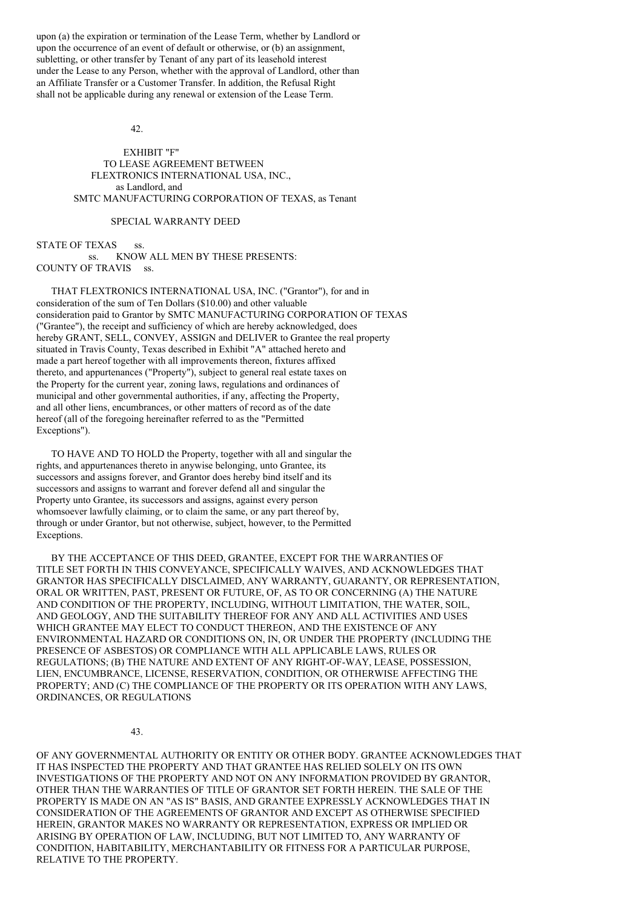upon (a) the expiration or termination of the Lease Term, whether by Landlord or upon the occurrence of an event of default or otherwise, or (b) an assignment, subletting, or other transfer by Tenant of any part of its leasehold interest under the Lease to any Person, whether with the approval of Landlord, other than an Affiliate Transfer or a Customer Transfer. In addition, the Refusal Right shall not be applicable during any renewal or extension of the Lease Term.

### $42^{\circ}$

EXHIBIT "F" TO LEASE AGREEMENT BETWEEN FLEXTRONICS INTERNATIONAL USA, INC., as Landlord, and SMTC MANUFACTURING CORPORATION OF TEXAS, as Tenant

### SPECIAL WARRANTY DEED

STATE OF TEXAS ss. ss. KNOW ALL MEN BY THESE PRESENTS: COUNTY OF TRAVIS ss.

THAT FLEXTRONICS INTERNATIONAL USA, INC. ("Grantor"), for and in consideration of the sum of Ten Dollars (\$10.00) and other valuable consideration paid to Grantor by SMTC MANUFACTURING CORPORATION OF TEXAS ("Grantee"), the receipt and sufficiency of which are hereby acknowledged, does hereby GRANT, SELL, CONVEY, ASSIGN and DELIVER to Grantee the real property situated in Travis County, Texas described in Exhibit "A" attached hereto and made a part hereof together with all improvements thereon, fixtures affixed thereto, and appurtenances ("Property"), subject to general real estate taxes on the Property for the current year, zoning laws, regulations and ordinances of municipal and other governmental authorities, if any, affecting the Property, and all other liens, encumbrances, or other matters of record as of the date hereof (all of the foregoing hereinafter referred to as the "Permitted Exceptions").

TO HAVE AND TO HOLD the Property, together with all and singular the rights, and appurtenances thereto in anywise belonging, unto Grantee, its successors and assigns forever, and Grantor does hereby bind itself and its successors and assigns to warrant and forever defend all and singular the Property unto Grantee, its successors and assigns, against every person whomsoever lawfully claiming, or to claim the same, or any part thereof by, through or under Grantor, but not otherwise, subject, however, to the Permitted Exceptions.

BY THE ACCEPTANCE OF THIS DEED, GRANTEE, EXCEPT FOR THE WARRANTIES OF TITLE SET FORTH IN THIS CONVEYANCE, SPECIFICALLY WAIVES, AND ACKNOWLEDGES THAT GRANTOR HAS SPECIFICALLY DISCLAIMED, ANY WARRANTY, GUARANTY, OR REPRESENTATION, ORAL OR WRITTEN, PAST, PRESENT OR FUTURE, OF, AS TO OR CONCERNING (A) THE NATURE AND CONDITION OF THE PROPERTY, INCLUDING, WITHOUT LIMITATION, THE WATER, SOIL, AND GEOLOGY, AND THE SUITABILITY THEREOF FOR ANY AND ALL ACTIVITIES AND USES WHICH GRANTEE MAY ELECT TO CONDUCT THEREON, AND THE EXISTENCE OF ANY ENVIRONMENTAL HAZARD OR CONDITIONS ON, IN, OR UNDER THE PROPERTY (INCLUDING THE PRESENCE OF ASBESTOS) OR COMPLIANCE WITH ALL APPLICABLE LAWS, RULES OR REGULATIONS; (B) THE NATURE AND EXTENT OF ANY RIGHT-OF-WAY, LEASE, POSSESSION, LIEN, ENCUMBRANCE, LICENSE, RESERVATION, CONDITION, OR OTHERWISE AFFECTING THE PROPERTY; AND (C) THE COMPLIANCE OF THE PROPERTY OR ITS OPERATION WITH ANY LAWS, ORDINANCES, OR REGULATIONS

### 43.

OF ANY GOVERNMENTAL AUTHORITY OR ENTITY OR OTHER BODY. GRANTEE ACKNOWLEDGES THAT IT HAS INSPECTED THE PROPERTY AND THAT GRANTEE HAS RELIED SOLELY ON ITS OWN INVESTIGATIONS OF THE PROPERTY AND NOT ON ANY INFORMATION PROVIDED BY GRANTOR, OTHER THAN THE WARRANTIES OF TITLE OF GRANTOR SET FORTH HEREIN. THE SALE OF THE PROPERTY IS MADE ON AN "AS IS" BASIS, AND GRANTEE EXPRESSLY ACKNOWLEDGES THAT IN CONSIDERATION OF THE AGREEMENTS OF GRANTOR AND EXCEPT AS OTHERWISE SPECIFIED HEREIN, GRANTOR MAKES NO WARRANTY OR REPRESENTATION, EXPRESS OR IMPLIED OR ARISING BY OPERATION OF LAW, INCLUDING, BUT NOT LIMITED TO, ANY WARRANTY OF CONDITION, HABITABILITY, MERCHANTABILITY OR FITNESS FOR A PARTICULAR PURPOSE, RELATIVE TO THE PROPERTY.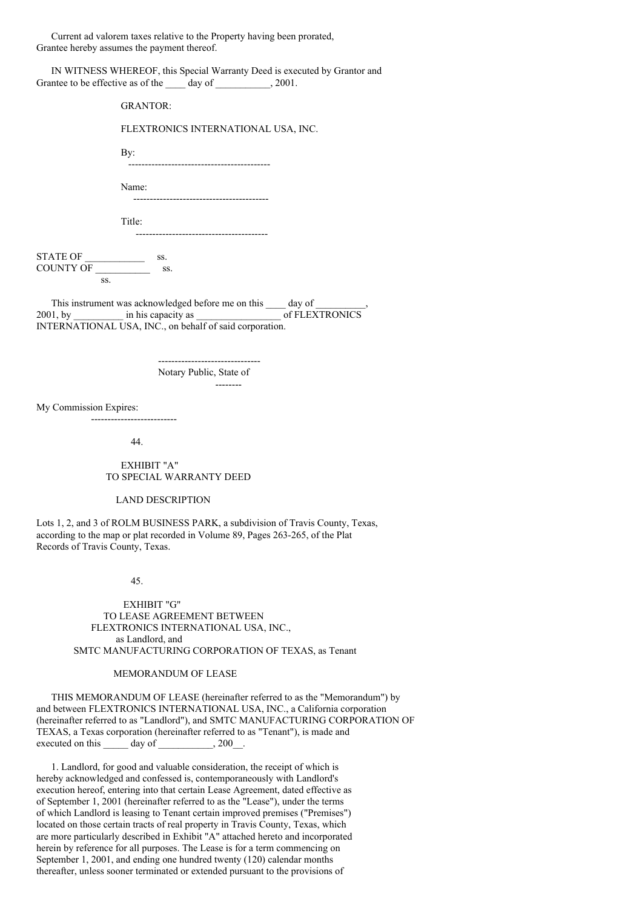Current ad valorem taxes relative to the Property having been prorated, Grantee hereby assumes the payment thereof.

IN WITNESS WHEREOF, this Special Warranty Deed is executed by Grantor and Grantee to be effective as of the day of  $\qquad \qquad .2001.$ 

|                        | <b>GRANTOR:</b>                                                                                                                     |
|------------------------|-------------------------------------------------------------------------------------------------------------------------------------|
|                        | FLEXTRONICS INTERNATIONAL USA, INC.                                                                                                 |
|                        | By:<br>--------------------------------------                                                                                       |
|                        | Name:<br>--------------------------------------                                                                                     |
|                        | Title:<br>                                                                                                                          |
| $STATE OF$ ss.         |                                                                                                                                     |
| SS.                    |                                                                                                                                     |
|                        | This instrument was acknowledged before me on this ____ day of _________<br>INTERNATIONAL USA, INC., on behalf of said corporation. |
|                        | Notary Public, State of                                                                                                             |
| My Commission Expires: | ---------------------------                                                                                                         |

44.

EXHIBIT "A" TO SPECIAL WARRANTY DEED

# LAND DESCRIPTION

Lots 1, 2, and 3 of ROLM BUSINESS PARK, a subdivision of Travis County, Texas, according to the map or plat recorded in Volume 89, Pages 263-265, of the Plat Records of Travis County, Texas.

#### 45.

EXHIBIT "G" TO LEASE AGREEMENT BETWEEN FLEXTRONICS INTERNATIONAL USA, INC., as Landlord, and SMTC MANUFACTURING CORPORATION OF TEXAS, as Tenant

### MEMORANDUM OF LEASE

THIS MEMORANDUM OF LEASE (hereinafter referred to as the "Memorandum") by and between FLEXTRONICS INTERNATIONAL USA, INC., a California corporation (hereinafter referred to as "Landlord"), and SMTC MANUFACTURING CORPORATION OF TEXAS, a Texas corporation (hereinafter referred to as "Tenant"), is made and executed on this  $\_\_\_\_\$  day of  $\_\_\_\_\_\$ , 200 $\_\_\_\_\$ .

1. Landlord, for good and valuable consideration, the receipt of which is hereby acknowledged and confessed is, contemporaneously with Landlord's execution hereof, entering into that certain Lease Agreement, dated effective as of September 1, 2001 (hereinafter referred to as the "Lease"), under the terms of which Landlord is leasing to Tenant certain improved premises ("Premises") located on those certain tracts of real property in Travis County, Texas, which are more particularly described in Exhibit "A" attached hereto and incorporated herein by reference for all purposes. The Lease is for a term commencing on September 1, 2001, and ending one hundred twenty (120) calendar months thereafter, unless sooner terminated or extended pursuant to the provisions of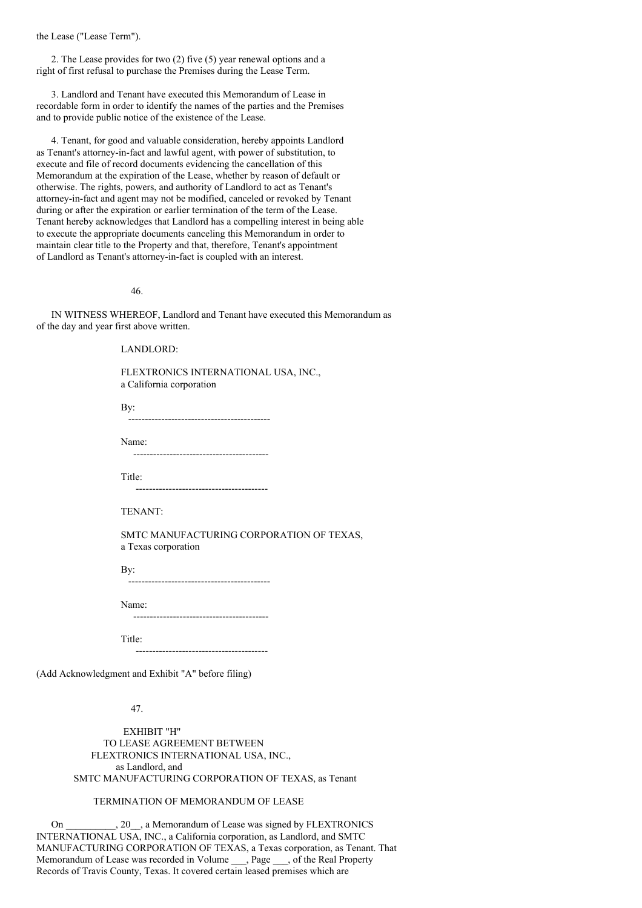the Lease ("Lease Term").

2. The Lease provides for two (2) five (5) year renewal options and a right of first refusal to purchase the Premises during the Lease Term.

3. Landlord and Tenant have executed this Memorandum of Lease in recordable form in order to identify the names of the parties and the Premises and to provide public notice of the existence of the Lease.

4. Tenant, for good and valuable consideration, hereby appoints Landlord as Tenant's attorney-in-fact and lawful agent, with power of substitution, to execute and file of record documents evidencing the cancellation of this Memorandum at the expiration of the Lease, whether by reason of default or otherwise. The rights, powers, and authority of Landlord to act as Tenant's attorney-in-fact and agent may not be modified, canceled or revoked by Tenant during or after the expiration or earlier termination of the term of the Lease. Tenant hereby acknowledges that Landlord has a compelling interest in being able to execute the appropriate documents canceling this Memorandum in order to maintain clear title to the Property and that, therefore, Tenant's appointment of Landlord as Tenant's attorney-in-fact is coupled with an interest.

46.

IN WITNESS WHEREOF, Landlord and Tenant have executed this Memorandum as of the day and year first above written.

LANDLORD:

FLEXTRONICS INTERNATIONAL USA, INC., a California corporation

By: -------------------------------------------

Name: -----------------------------------------

Title:

----------------------------------------

TENANT:

SMTC MANUFACTURING CORPORATION OF TEXAS, a Texas corporation

By:

-------------------------------------------

Name:

-----------------------------------------

Title: ----------------------------------------

(Add Acknowledgment and Exhibit "A" before filing)

47.

EXHIBIT "H" TO LEASE AGREEMENT BETWEEN FLEXTRONICS INTERNATIONAL USA, INC., as Landlord, and SMTC MANUFACTURING CORPORATION OF TEXAS, as Tenant

# TERMINATION OF MEMORANDUM OF LEASE

On \_\_\_\_\_\_\_\_\_\_, 20\_\_, a Memorandum of Lease was signed by FLEXTRONICS INTERNATIONAL USA, INC., a California corporation, as Landlord, and SMTC MANUFACTURING CORPORATION OF TEXAS, a Texas corporation, as Tenant. That Memorandum of Lease was recorded in Volume \_\_\_, Page \_\_\_, of the Real Property Records of Travis County, Texas. It covered certain leased premises which are